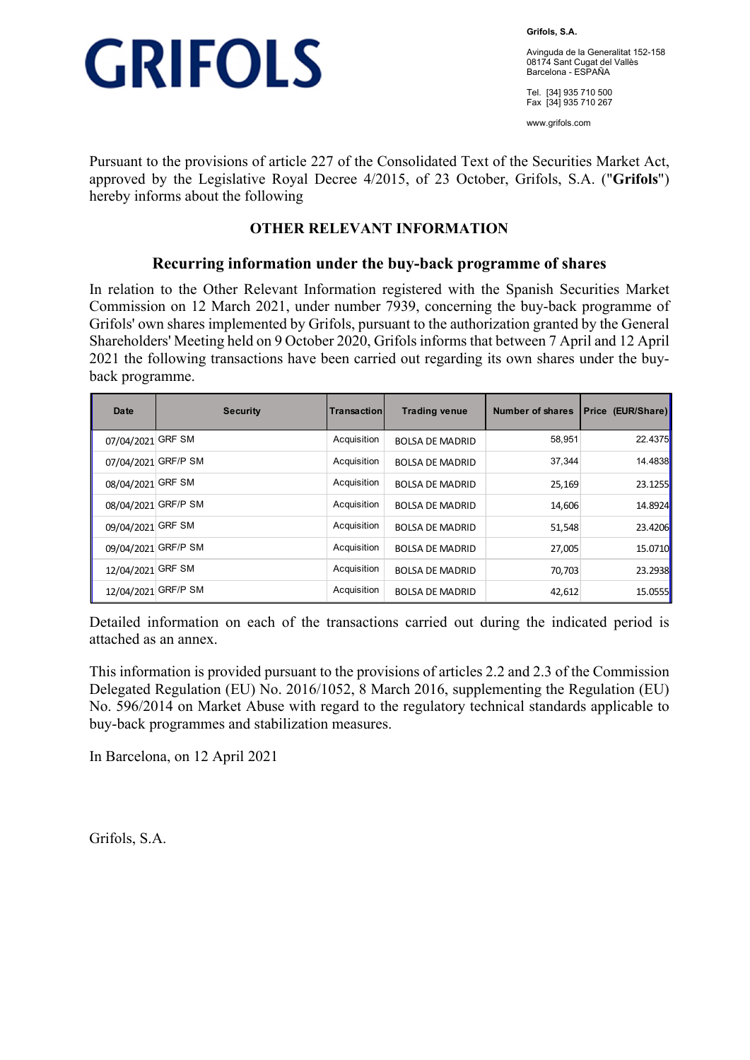

**Grifols, S.A.** 

Avinguda de la Generalitat 152-158 08174 Sant Cugat del Vallès Barcelona - ESPAÑA

Tel. [34] 935 710 500 Fax [34] 935 710 267

www.grifols.com

Pursuant to the provisions of article 227 of the Consolidated Text of the Securities Market Act, approved by the Legislative Royal Decree 4/2015, of 23 October, Grifols, S.A. ("**Grifols**") hereby informs about the following

## **OTHER RELEVANT INFORMATION**

### **Recurring information under the buy-back programme of shares**

In relation to the Other Relevant Information registered with the Spanish Securities Market Commission on 12 March 2021, under number 7939, concerning the buy-back programme of Grifols' own shares implemented by Grifols, pursuant to the authorization granted by the General Shareholders' Meeting held on 9 October 2020, Grifols informs that between 7 April and 12 April 2021 the following transactions have been carried out regarding its own shares under the buyback programme.

| Date                | <b>Security</b> | Transaction | <b>Trading venue</b>   | <b>Number of shares</b> | <b>Price (EUR/Share)</b> |
|---------------------|-----------------|-------------|------------------------|-------------------------|--------------------------|
| 07/04/2021          | <b>GRF SM</b>   | Acquisition | <b>BOLSA DE MADRID</b> | 58,951                  | 22.4375                  |
| 07/04/2021          | <b>GRF/P SM</b> | Acquisition | <b>BOLSA DE MADRID</b> | 37.344                  | 14.4838                  |
| 08/04/2021 GRF SM   |                 | Acquisition | <b>BOLSA DE MADRID</b> | 25,169                  | 23.1255                  |
| 08/04/2021 GRF/P SM |                 | Acquisition | <b>BOLSA DE MADRID</b> | 14,606                  | 14.8924                  |
| 09/04/2021 GRF SM   |                 | Acquisition | <b>BOLSA DE MADRID</b> | 51,548                  | 23.4206                  |
| 09/04/2021 GRF/P SM |                 | Acquisition | <b>BOLSA DE MADRID</b> | 27,005                  | 15.0710                  |
| 12/04/2021 GRF SM   |                 | Acquisition | <b>BOLSA DE MADRID</b> | 70.703                  | 23.2938                  |
| 12/04/2021 GRF/P SM |                 | Acquisition | <b>BOLSA DE MADRID</b> | 42,612                  | 15.0555                  |

Detailed information on each of the transactions carried out during the indicated period is attached as an annex.

This information is provided pursuant to the provisions of articles 2.2 and 2.3 of the Commission Delegated Regulation (EU) No. 2016/1052, 8 March 2016, supplementing the Regulation (EU) No. 596/2014 on Market Abuse with regard to the regulatory technical standards applicable to buy-back programmes and stabilization measures.

In Barcelona, on 12 April 2021

Grifols, S.A.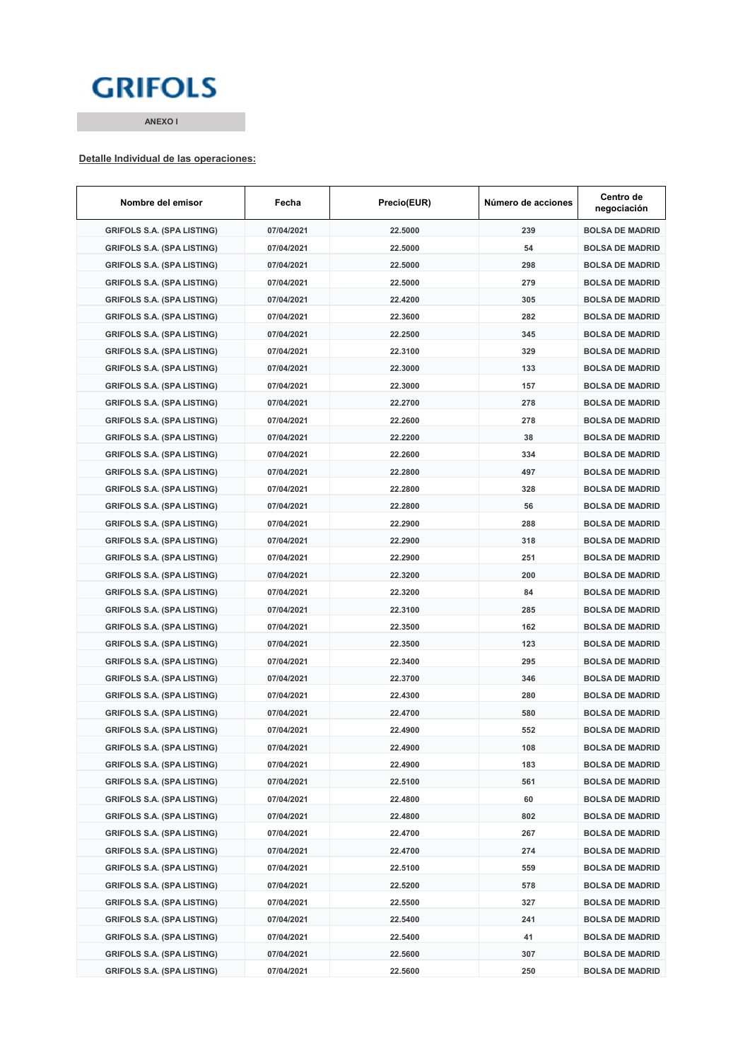## **GRIFOLS**

**ANEXO I**

#### **Detalle Individual de las operaciones:**

| Nombre del emisor                 | Fecha      | Precio(EUR) | Número de acciones | Centro de<br>negociación |
|-----------------------------------|------------|-------------|--------------------|--------------------------|
| <b>GRIFOLS S.A. (SPA LISTING)</b> | 07/04/2021 | 22.5000     | 239                | <b>BOLSA DE MADRID</b>   |
| <b>GRIFOLS S.A. (SPA LISTING)</b> | 07/04/2021 | 22.5000     | 54                 | <b>BOLSA DE MADRID</b>   |
| <b>GRIFOLS S.A. (SPA LISTING)</b> | 07/04/2021 | 22.5000     | 298                | <b>BOLSA DE MADRID</b>   |
| <b>GRIFOLS S.A. (SPA LISTING)</b> | 07/04/2021 | 22.5000     | 279                | <b>BOLSA DE MADRID</b>   |
| <b>GRIFOLS S.A. (SPA LISTING)</b> | 07/04/2021 | 22.4200     | 305                | <b>BOLSA DE MADRID</b>   |
| <b>GRIFOLS S.A. (SPA LISTING)</b> | 07/04/2021 | 22.3600     | 282                | <b>BOLSA DE MADRID</b>   |
| <b>GRIFOLS S.A. (SPA LISTING)</b> | 07/04/2021 | 22.2500     | 345                | <b>BOLSA DE MADRID</b>   |
| <b>GRIFOLS S.A. (SPA LISTING)</b> | 07/04/2021 | 22.3100     | 329                | <b>BOLSA DE MADRID</b>   |
| <b>GRIFOLS S.A. (SPA LISTING)</b> | 07/04/2021 | 22.3000     | 133                | <b>BOLSA DE MADRID</b>   |
| <b>GRIFOLS S.A. (SPA LISTING)</b> | 07/04/2021 | 22.3000     | 157                | <b>BOLSA DE MADRID</b>   |
| <b>GRIFOLS S.A. (SPA LISTING)</b> | 07/04/2021 | 22.2700     | 278                | <b>BOLSA DE MADRID</b>   |
| <b>GRIFOLS S.A. (SPA LISTING)</b> | 07/04/2021 | 22.2600     | 278                | <b>BOLSA DE MADRID</b>   |
| <b>GRIFOLS S.A. (SPA LISTING)</b> | 07/04/2021 | 22.2200     | 38                 | <b>BOLSA DE MADRID</b>   |
| <b>GRIFOLS S.A. (SPA LISTING)</b> | 07/04/2021 | 22.2600     | 334                | <b>BOLSA DE MADRID</b>   |
| <b>GRIFOLS S.A. (SPA LISTING)</b> | 07/04/2021 | 22.2800     | 497                | <b>BOLSA DE MADRID</b>   |
| <b>GRIFOLS S.A. (SPA LISTING)</b> | 07/04/2021 | 22.2800     | 328                | <b>BOLSA DE MADRID</b>   |
| <b>GRIFOLS S.A. (SPA LISTING)</b> | 07/04/2021 | 22.2800     | 56                 | <b>BOLSA DE MADRID</b>   |
| <b>GRIFOLS S.A. (SPA LISTING)</b> | 07/04/2021 | 22.2900     | 288                | <b>BOLSA DE MADRID</b>   |
| <b>GRIFOLS S.A. (SPA LISTING)</b> | 07/04/2021 | 22.2900     | 318                | <b>BOLSA DE MADRID</b>   |
| <b>GRIFOLS S.A. (SPA LISTING)</b> | 07/04/2021 | 22.2900     | 251                | <b>BOLSA DE MADRID</b>   |
| <b>GRIFOLS S.A. (SPA LISTING)</b> | 07/04/2021 | 22.3200     | 200                | <b>BOLSA DE MADRID</b>   |
| <b>GRIFOLS S.A. (SPA LISTING)</b> | 07/04/2021 | 22.3200     | 84                 | <b>BOLSA DE MADRID</b>   |
| <b>GRIFOLS S.A. (SPA LISTING)</b> | 07/04/2021 | 22.3100     | 285                | <b>BOLSA DE MADRID</b>   |
| <b>GRIFOLS S.A. (SPA LISTING)</b> | 07/04/2021 | 22.3500     | 162                | <b>BOLSA DE MADRID</b>   |
| <b>GRIFOLS S.A. (SPA LISTING)</b> | 07/04/2021 | 22.3500     | 123                | <b>BOLSA DE MADRID</b>   |
| <b>GRIFOLS S.A. (SPA LISTING)</b> | 07/04/2021 | 22.3400     | 295                | <b>BOLSA DE MADRID</b>   |
| <b>GRIFOLS S.A. (SPA LISTING)</b> | 07/04/2021 | 22.3700     | 346                | <b>BOLSA DE MADRID</b>   |
| <b>GRIFOLS S.A. (SPA LISTING)</b> | 07/04/2021 | 22.4300     | 280                | <b>BOLSA DE MADRID</b>   |
| <b>GRIFOLS S.A. (SPA LISTING)</b> | 07/04/2021 | 22.4700     | 580                | <b>BOLSA DE MADRID</b>   |
| <b>GRIFOLS S.A. (SPA LISTING)</b> | 07/04/2021 | 22.4900     | 552                | <b>BOLSA DE MADRID</b>   |
| <b>GRIFOLS S.A. (SPA LISTING)</b> | 07/04/2021 | 22.4900     | 108                | <b>BOLSA DE MADRID</b>   |
| <b>GRIFOLS S.A. (SPA LISTING)</b> | 07/04/2021 | 22.4900     | 183                | <b>BOLSA DE MADRID</b>   |
| <b>GRIFOLS S.A. (SPA LISTING)</b> | 07/04/2021 | 22.5100     | 561                | <b>BOLSA DE MADRID</b>   |
| <b>GRIFOLS S.A. (SPA LISTING)</b> | 07/04/2021 | 22.4800     | 60                 | <b>BOLSA DE MADRID</b>   |
| <b>GRIFOLS S.A. (SPA LISTING)</b> | 07/04/2021 | 22.4800     | 802                | <b>BOLSA DE MADRID</b>   |
| <b>GRIFOLS S.A. (SPA LISTING)</b> | 07/04/2021 | 22.4700     | 267                | <b>BOLSA DE MADRID</b>   |
| <b>GRIFOLS S.A. (SPA LISTING)</b> | 07/04/2021 | 22.4700     | 274                | <b>BOLSA DE MADRID</b>   |
| <b>GRIFOLS S.A. (SPA LISTING)</b> | 07/04/2021 | 22.5100     | 559                | <b>BOLSA DE MADRID</b>   |
| <b>GRIFOLS S.A. (SPA LISTING)</b> | 07/04/2021 | 22.5200     | 578                | <b>BOLSA DE MADRID</b>   |
| <b>GRIFOLS S.A. (SPA LISTING)</b> | 07/04/2021 | 22.5500     | 327                | <b>BOLSA DE MADRID</b>   |
| <b>GRIFOLS S.A. (SPA LISTING)</b> | 07/04/2021 | 22.5400     | 241                | <b>BOLSA DE MADRID</b>   |
| <b>GRIFOLS S.A. (SPA LISTING)</b> | 07/04/2021 | 22.5400     | 41                 | <b>BOLSA DE MADRID</b>   |
| <b>GRIFOLS S.A. (SPA LISTING)</b> | 07/04/2021 | 22.5600     | 307                | <b>BOLSA DE MADRID</b>   |
| <b>GRIFOLS S.A. (SPA LISTING)</b> | 07/04/2021 | 22.5600     | 250                | <b>BOLSA DE MADRID</b>   |
|                                   |            |             |                    |                          |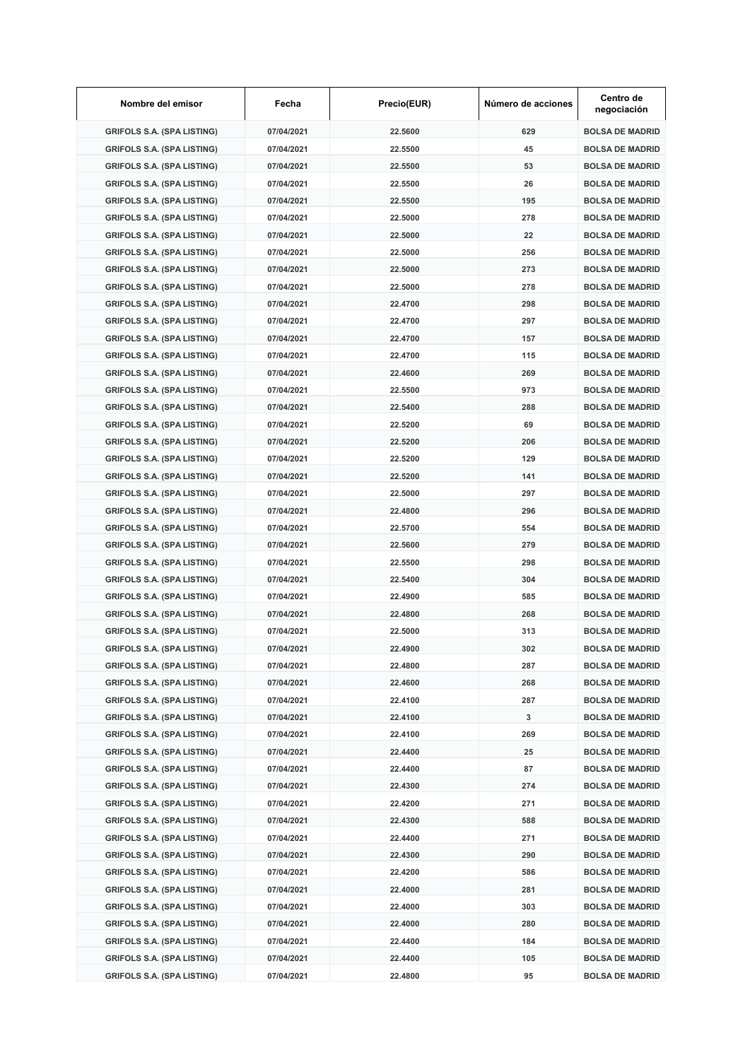| Nombre del emisor                 | Fecha      | Precio(EUR) | Número de acciones | Centro de<br>negociación |
|-----------------------------------|------------|-------------|--------------------|--------------------------|
| <b>GRIFOLS S.A. (SPA LISTING)</b> | 07/04/2021 | 22.5600     | 629                | <b>BOLSA DE MADRID</b>   |
| <b>GRIFOLS S.A. (SPA LISTING)</b> | 07/04/2021 | 22.5500     | 45                 | <b>BOLSA DE MADRID</b>   |
| <b>GRIFOLS S.A. (SPA LISTING)</b> | 07/04/2021 | 22.5500     | 53                 | <b>BOLSA DE MADRID</b>   |
| <b>GRIFOLS S.A. (SPA LISTING)</b> | 07/04/2021 | 22.5500     | 26                 | <b>BOLSA DE MADRID</b>   |
| <b>GRIFOLS S.A. (SPA LISTING)</b> | 07/04/2021 | 22.5500     | 195                | <b>BOLSA DE MADRID</b>   |
| <b>GRIFOLS S.A. (SPA LISTING)</b> | 07/04/2021 | 22.5000     | 278                | <b>BOLSA DE MADRID</b>   |
| <b>GRIFOLS S.A. (SPA LISTING)</b> | 07/04/2021 | 22.5000     | 22                 | <b>BOLSA DE MADRID</b>   |
| <b>GRIFOLS S.A. (SPA LISTING)</b> | 07/04/2021 | 22.5000     | 256                | <b>BOLSA DE MADRID</b>   |
| <b>GRIFOLS S.A. (SPA LISTING)</b> | 07/04/2021 | 22.5000     | 273                | <b>BOLSA DE MADRID</b>   |
| <b>GRIFOLS S.A. (SPA LISTING)</b> | 07/04/2021 | 22.5000     | 278                | <b>BOLSA DE MADRID</b>   |
| <b>GRIFOLS S.A. (SPA LISTING)</b> | 07/04/2021 | 22.4700     | 298                | <b>BOLSA DE MADRID</b>   |
| <b>GRIFOLS S.A. (SPA LISTING)</b> | 07/04/2021 | 22.4700     | 297                | <b>BOLSA DE MADRID</b>   |
| <b>GRIFOLS S.A. (SPA LISTING)</b> | 07/04/2021 | 22.4700     | 157                | <b>BOLSA DE MADRID</b>   |
| <b>GRIFOLS S.A. (SPA LISTING)</b> | 07/04/2021 | 22.4700     | 115                | <b>BOLSA DE MADRID</b>   |
| <b>GRIFOLS S.A. (SPA LISTING)</b> | 07/04/2021 | 22.4600     | 269                | <b>BOLSA DE MADRID</b>   |
| <b>GRIFOLS S.A. (SPA LISTING)</b> | 07/04/2021 | 22.5500     | 973                | <b>BOLSA DE MADRID</b>   |
| <b>GRIFOLS S.A. (SPA LISTING)</b> | 07/04/2021 | 22.5400     | 288                | <b>BOLSA DE MADRID</b>   |
| <b>GRIFOLS S.A. (SPA LISTING)</b> | 07/04/2021 | 22.5200     | 69                 | <b>BOLSA DE MADRID</b>   |
|                                   |            |             |                    |                          |
| <b>GRIFOLS S.A. (SPA LISTING)</b> | 07/04/2021 | 22.5200     | 206                | <b>BOLSA DE MADRID</b>   |
| <b>GRIFOLS S.A. (SPA LISTING)</b> | 07/04/2021 | 22.5200     | 129                | <b>BOLSA DE MADRID</b>   |
| <b>GRIFOLS S.A. (SPA LISTING)</b> | 07/04/2021 | 22.5200     | 141                | <b>BOLSA DE MADRID</b>   |
| <b>GRIFOLS S.A. (SPA LISTING)</b> | 07/04/2021 | 22.5000     | 297                | <b>BOLSA DE MADRID</b>   |
| <b>GRIFOLS S.A. (SPA LISTING)</b> | 07/04/2021 | 22.4800     | 296                | <b>BOLSA DE MADRID</b>   |
| <b>GRIFOLS S.A. (SPA LISTING)</b> | 07/04/2021 | 22.5700     | 554                | <b>BOLSA DE MADRID</b>   |
| <b>GRIFOLS S.A. (SPA LISTING)</b> | 07/04/2021 | 22.5600     | 279                | <b>BOLSA DE MADRID</b>   |
| <b>GRIFOLS S.A. (SPA LISTING)</b> | 07/04/2021 | 22.5500     | 298                | <b>BOLSA DE MADRID</b>   |
| <b>GRIFOLS S.A. (SPA LISTING)</b> | 07/04/2021 | 22.5400     | 304                | <b>BOLSA DE MADRID</b>   |
| <b>GRIFOLS S.A. (SPA LISTING)</b> | 07/04/2021 | 22.4900     | 585                | <b>BOLSA DE MADRID</b>   |
| <b>GRIFOLS S.A. (SPA LISTING)</b> | 07/04/2021 | 22.4800     | 268                | <b>BOLSA DE MADRID</b>   |
| <b>GRIFOLS S.A. (SPA LISTING)</b> | 07/04/2021 | 22.5000     | 313                | <b>BOLSA DE MADRID</b>   |
| <b>GRIFOLS S.A. (SPA LISTING)</b> | 07/04/2021 | 22.4900     | 302                | <b>BOLSA DE MADRID</b>   |
| <b>GRIFOLS S.A. (SPA LISTING)</b> | 07/04/2021 | 22.4800     | 287                | <b>BOLSA DE MADRID</b>   |
| <b>GRIFOLS S.A. (SPA LISTING)</b> | 07/04/2021 | 22.4600     | 268                | <b>BOLSA DE MADRID</b>   |
| <b>GRIFOLS S.A. (SPA LISTING)</b> | 07/04/2021 | 22.4100     | 287                | <b>BOLSA DE MADRID</b>   |
| <b>GRIFOLS S.A. (SPA LISTING)</b> | 07/04/2021 | 22.4100     | 3                  | <b>BOLSA DE MADRID</b>   |
| <b>GRIFOLS S.A. (SPA LISTING)</b> | 07/04/2021 | 22.4100     | 269                | <b>BOLSA DE MADRID</b>   |
| <b>GRIFOLS S.A. (SPA LISTING)</b> | 07/04/2021 | 22.4400     | 25                 | <b>BOLSA DE MADRID</b>   |
| <b>GRIFOLS S.A. (SPA LISTING)</b> | 07/04/2021 | 22.4400     | 87                 | <b>BOLSA DE MADRID</b>   |
| <b>GRIFOLS S.A. (SPA LISTING)</b> | 07/04/2021 | 22.4300     | 274                | <b>BOLSA DE MADRID</b>   |
| <b>GRIFOLS S.A. (SPA LISTING)</b> | 07/04/2021 | 22.4200     | 271                | <b>BOLSA DE MADRID</b>   |
| <b>GRIFOLS S.A. (SPA LISTING)</b> | 07/04/2021 | 22.4300     | 588                | <b>BOLSA DE MADRID</b>   |
| <b>GRIFOLS S.A. (SPA LISTING)</b> | 07/04/2021 | 22.4400     | 271                | <b>BOLSA DE MADRID</b>   |
| <b>GRIFOLS S.A. (SPA LISTING)</b> | 07/04/2021 | 22.4300     | 290                | <b>BOLSA DE MADRID</b>   |
|                                   |            |             |                    | <b>BOLSA DE MADRID</b>   |
| <b>GRIFOLS S.A. (SPA LISTING)</b> | 07/04/2021 | 22.4200     | 586                |                          |
| <b>GRIFOLS S.A. (SPA LISTING)</b> | 07/04/2021 | 22.4000     | 281                | <b>BOLSA DE MADRID</b>   |
| <b>GRIFOLS S.A. (SPA LISTING)</b> | 07/04/2021 | 22.4000     | 303                | <b>BOLSA DE MADRID</b>   |
| <b>GRIFOLS S.A. (SPA LISTING)</b> | 07/04/2021 | 22.4000     | 280                | <b>BOLSA DE MADRID</b>   |
| <b>GRIFOLS S.A. (SPA LISTING)</b> | 07/04/2021 | 22.4400     | 184                | <b>BOLSA DE MADRID</b>   |
| <b>GRIFOLS S.A. (SPA LISTING)</b> | 07/04/2021 | 22.4400     | 105                | <b>BOLSA DE MADRID</b>   |
| <b>GRIFOLS S.A. (SPA LISTING)</b> | 07/04/2021 | 22.4800     | 95                 | <b>BOLSA DE MADRID</b>   |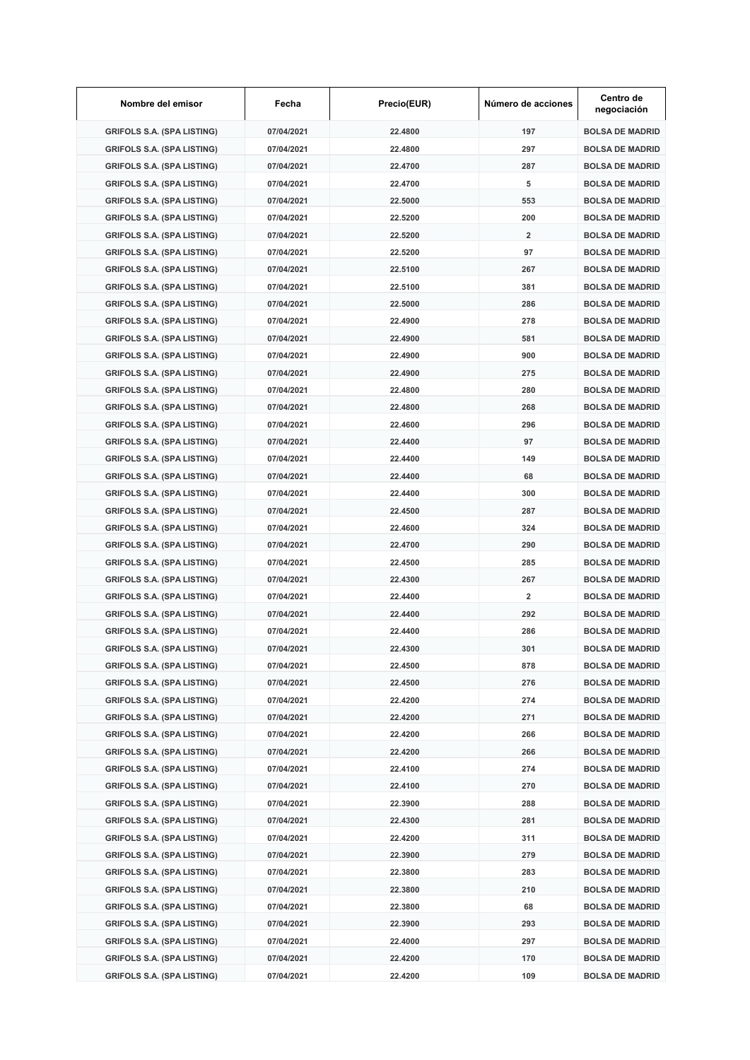| Nombre del emisor                 | Fecha      | Precio(EUR) | Número de acciones | Centro de<br>negociación |
|-----------------------------------|------------|-------------|--------------------|--------------------------|
| <b>GRIFOLS S.A. (SPA LISTING)</b> | 07/04/2021 | 22.4800     | 197                | <b>BOLSA DE MADRID</b>   |
| <b>GRIFOLS S.A. (SPA LISTING)</b> | 07/04/2021 | 22.4800     | 297                | <b>BOLSA DE MADRID</b>   |
| <b>GRIFOLS S.A. (SPA LISTING)</b> | 07/04/2021 | 22.4700     | 287                | <b>BOLSA DE MADRID</b>   |
| <b>GRIFOLS S.A. (SPA LISTING)</b> | 07/04/2021 | 22.4700     | 5                  | <b>BOLSA DE MADRID</b>   |
| <b>GRIFOLS S.A. (SPA LISTING)</b> | 07/04/2021 | 22.5000     | 553                | <b>BOLSA DE MADRID</b>   |
| <b>GRIFOLS S.A. (SPA LISTING)</b> | 07/04/2021 | 22.5200     | 200                | <b>BOLSA DE MADRID</b>   |
| <b>GRIFOLS S.A. (SPA LISTING)</b> | 07/04/2021 | 22.5200     | $\overline{2}$     | <b>BOLSA DE MADRID</b>   |
| <b>GRIFOLS S.A. (SPA LISTING)</b> | 07/04/2021 | 22.5200     | 97                 | <b>BOLSA DE MADRID</b>   |
| <b>GRIFOLS S.A. (SPA LISTING)</b> | 07/04/2021 | 22.5100     | 267                | <b>BOLSA DE MADRID</b>   |
| <b>GRIFOLS S.A. (SPA LISTING)</b> | 07/04/2021 | 22.5100     | 381                | <b>BOLSA DE MADRID</b>   |
| <b>GRIFOLS S.A. (SPA LISTING)</b> | 07/04/2021 | 22.5000     | 286                | <b>BOLSA DE MADRID</b>   |
| <b>GRIFOLS S.A. (SPA LISTING)</b> | 07/04/2021 | 22.4900     | 278                | <b>BOLSA DE MADRID</b>   |
| <b>GRIFOLS S.A. (SPA LISTING)</b> | 07/04/2021 | 22.4900     | 581                | <b>BOLSA DE MADRID</b>   |
| <b>GRIFOLS S.A. (SPA LISTING)</b> | 07/04/2021 | 22.4900     | 900                | <b>BOLSA DE MADRID</b>   |
| <b>GRIFOLS S.A. (SPA LISTING)</b> | 07/04/2021 | 22.4900     | 275                | <b>BOLSA DE MADRID</b>   |
| <b>GRIFOLS S.A. (SPA LISTING)</b> | 07/04/2021 | 22.4800     | 280                | <b>BOLSA DE MADRID</b>   |
| <b>GRIFOLS S.A. (SPA LISTING)</b> | 07/04/2021 | 22.4800     | 268                | <b>BOLSA DE MADRID</b>   |
| <b>GRIFOLS S.A. (SPA LISTING)</b> | 07/04/2021 | 22.4600     | 296                | <b>BOLSA DE MADRID</b>   |
| <b>GRIFOLS S.A. (SPA LISTING)</b> | 07/04/2021 | 22.4400     | 97                 | <b>BOLSA DE MADRID</b>   |
| <b>GRIFOLS S.A. (SPA LISTING)</b> | 07/04/2021 | 22.4400     | 149                | <b>BOLSA DE MADRID</b>   |
| <b>GRIFOLS S.A. (SPA LISTING)</b> | 07/04/2021 | 22.4400     | 68                 | <b>BOLSA DE MADRID</b>   |
| <b>GRIFOLS S.A. (SPA LISTING)</b> | 07/04/2021 | 22.4400     | 300                | <b>BOLSA DE MADRID</b>   |
| <b>GRIFOLS S.A. (SPA LISTING)</b> | 07/04/2021 | 22.4500     | 287                | <b>BOLSA DE MADRID</b>   |
| <b>GRIFOLS S.A. (SPA LISTING)</b> | 07/04/2021 | 22.4600     | 324                | <b>BOLSA DE MADRID</b>   |
| <b>GRIFOLS S.A. (SPA LISTING)</b> | 07/04/2021 | 22.4700     | 290                | <b>BOLSA DE MADRID</b>   |
| <b>GRIFOLS S.A. (SPA LISTING)</b> | 07/04/2021 | 22.4500     | 285                | <b>BOLSA DE MADRID</b>   |
| <b>GRIFOLS S.A. (SPA LISTING)</b> | 07/04/2021 | 22.4300     | 267                | <b>BOLSA DE MADRID</b>   |
| <b>GRIFOLS S.A. (SPA LISTING)</b> | 07/04/2021 | 22.4400     | 2                  | <b>BOLSA DE MADRID</b>   |
| <b>GRIFOLS S.A. (SPA LISTING)</b> | 07/04/2021 | 22.4400     | 292                | <b>BOLSA DE MADRID</b>   |
| <b>GRIFOLS S.A. (SPA LISTING)</b> | 07/04/2021 | 22.4400     | 286                | <b>BOLSA DE MADRID</b>   |
| <b>GRIFOLS S.A. (SPA LISTING)</b> | 07/04/2021 | 22.4300     | 301                | <b>BOLSA DE MADRID</b>   |
| <b>GRIFOLS S.A. (SPA LISTING)</b> | 07/04/2021 | 22.4500     | 878                | <b>BOLSA DE MADRID</b>   |
| <b>GRIFOLS S.A. (SPA LISTING)</b> | 07/04/2021 | 22.4500     | 276                | <b>BOLSA DE MADRID</b>   |
| <b>GRIFOLS S.A. (SPA LISTING)</b> | 07/04/2021 | 22.4200     | 274                | <b>BOLSA DE MADRID</b>   |
| <b>GRIFOLS S.A. (SPA LISTING)</b> | 07/04/2021 | 22.4200     | 271                | <b>BOLSA DE MADRID</b>   |
| <b>GRIFOLS S.A. (SPA LISTING)</b> | 07/04/2021 | 22.4200     | 266                | <b>BOLSA DE MADRID</b>   |
| <b>GRIFOLS S.A. (SPA LISTING)</b> | 07/04/2021 | 22.4200     | 266                | <b>BOLSA DE MADRID</b>   |
| <b>GRIFOLS S.A. (SPA LISTING)</b> | 07/04/2021 | 22.4100     | 274                | <b>BOLSA DE MADRID</b>   |
| <b>GRIFOLS S.A. (SPA LISTING)</b> | 07/04/2021 | 22.4100     | 270                | <b>BOLSA DE MADRID</b>   |
| <b>GRIFOLS S.A. (SPA LISTING)</b> | 07/04/2021 | 22.3900     | 288                | <b>BOLSA DE MADRID</b>   |
| <b>GRIFOLS S.A. (SPA LISTING)</b> | 07/04/2021 | 22.4300     | 281                | <b>BOLSA DE MADRID</b>   |
| <b>GRIFOLS S.A. (SPA LISTING)</b> | 07/04/2021 | 22.4200     | 311                | <b>BOLSA DE MADRID</b>   |
| <b>GRIFOLS S.A. (SPA LISTING)</b> | 07/04/2021 | 22.3900     | 279                | <b>BOLSA DE MADRID</b>   |
| <b>GRIFOLS S.A. (SPA LISTING)</b> | 07/04/2021 | 22.3800     | 283                | <b>BOLSA DE MADRID</b>   |
| <b>GRIFOLS S.A. (SPA LISTING)</b> | 07/04/2021 | 22.3800     | 210                | <b>BOLSA DE MADRID</b>   |
| <b>GRIFOLS S.A. (SPA LISTING)</b> | 07/04/2021 | 22.3800     | 68                 | <b>BOLSA DE MADRID</b>   |
| <b>GRIFOLS S.A. (SPA LISTING)</b> | 07/04/2021 | 22.3900     | 293                | <b>BOLSA DE MADRID</b>   |
| <b>GRIFOLS S.A. (SPA LISTING)</b> | 07/04/2021 | 22.4000     | 297                | <b>BOLSA DE MADRID</b>   |
| <b>GRIFOLS S.A. (SPA LISTING)</b> | 07/04/2021 | 22.4200     | 170                | <b>BOLSA DE MADRID</b>   |
| <b>GRIFOLS S.A. (SPA LISTING)</b> | 07/04/2021 | 22.4200     | 109                | <b>BOLSA DE MADRID</b>   |
|                                   |            |             |                    |                          |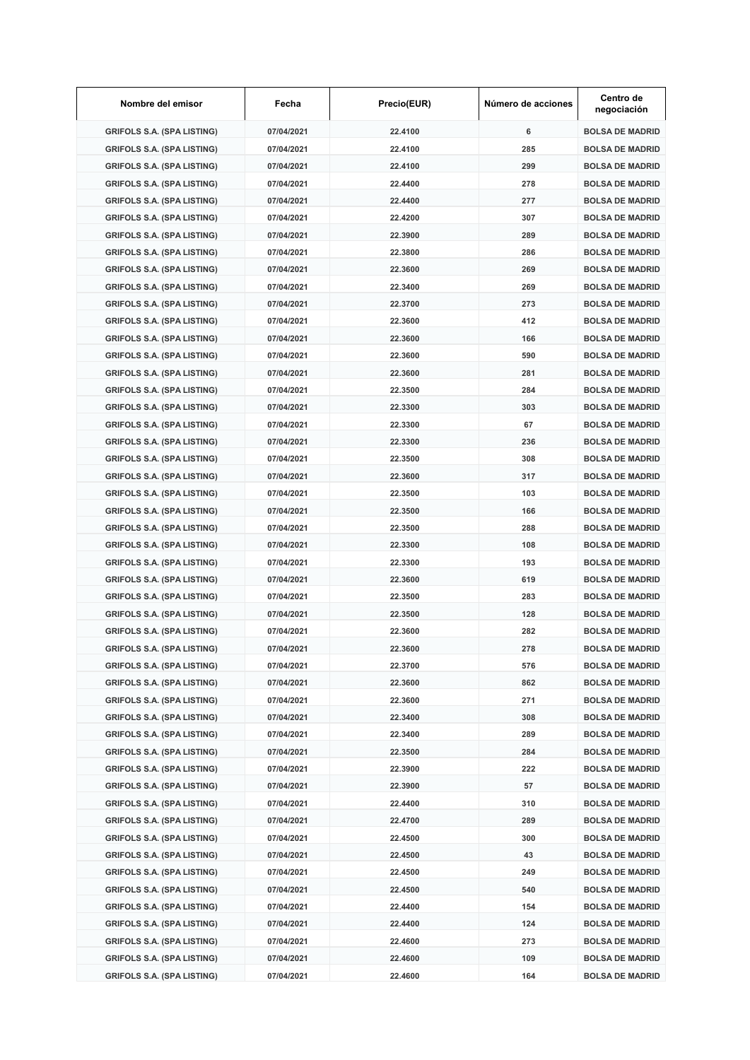| Nombre del emisor                 | Fecha      | Precio(EUR) | Número de acciones | Centro de<br>negociación |
|-----------------------------------|------------|-------------|--------------------|--------------------------|
| <b>GRIFOLS S.A. (SPA LISTING)</b> | 07/04/2021 | 22.4100     | 6                  | <b>BOLSA DE MADRID</b>   |
| <b>GRIFOLS S.A. (SPA LISTING)</b> | 07/04/2021 | 22.4100     | 285                | <b>BOLSA DE MADRID</b>   |
| <b>GRIFOLS S.A. (SPA LISTING)</b> | 07/04/2021 | 22.4100     | 299                | <b>BOLSA DE MADRID</b>   |
| <b>GRIFOLS S.A. (SPA LISTING)</b> | 07/04/2021 | 22.4400     | 278                | <b>BOLSA DE MADRID</b>   |
| <b>GRIFOLS S.A. (SPA LISTING)</b> | 07/04/2021 | 22.4400     | 277                | <b>BOLSA DE MADRID</b>   |
| <b>GRIFOLS S.A. (SPA LISTING)</b> | 07/04/2021 | 22.4200     | 307                | <b>BOLSA DE MADRID</b>   |
| <b>GRIFOLS S.A. (SPA LISTING)</b> | 07/04/2021 | 22.3900     | 289                | <b>BOLSA DE MADRID</b>   |
| <b>GRIFOLS S.A. (SPA LISTING)</b> | 07/04/2021 | 22.3800     | 286                | <b>BOLSA DE MADRID</b>   |
| <b>GRIFOLS S.A. (SPA LISTING)</b> | 07/04/2021 | 22.3600     | 269                | <b>BOLSA DE MADRID</b>   |
| <b>GRIFOLS S.A. (SPA LISTING)</b> | 07/04/2021 | 22.3400     | 269                | <b>BOLSA DE MADRID</b>   |
| <b>GRIFOLS S.A. (SPA LISTING)</b> | 07/04/2021 | 22.3700     | 273                | <b>BOLSA DE MADRID</b>   |
| <b>GRIFOLS S.A. (SPA LISTING)</b> | 07/04/2021 | 22.3600     | 412                | <b>BOLSA DE MADRID</b>   |
| <b>GRIFOLS S.A. (SPA LISTING)</b> | 07/04/2021 | 22.3600     | 166                | <b>BOLSA DE MADRID</b>   |
| <b>GRIFOLS S.A. (SPA LISTING)</b> | 07/04/2021 | 22.3600     | 590                | <b>BOLSA DE MADRID</b>   |
| <b>GRIFOLS S.A. (SPA LISTING)</b> | 07/04/2021 | 22.3600     | 281                | <b>BOLSA DE MADRID</b>   |
| <b>GRIFOLS S.A. (SPA LISTING)</b> | 07/04/2021 | 22.3500     | 284                | <b>BOLSA DE MADRID</b>   |
| <b>GRIFOLS S.A. (SPA LISTING)</b> | 07/04/2021 | 22.3300     | 303                | <b>BOLSA DE MADRID</b>   |
| <b>GRIFOLS S.A. (SPA LISTING)</b> | 07/04/2021 | 22.3300     | 67                 | <b>BOLSA DE MADRID</b>   |
| <b>GRIFOLS S.A. (SPA LISTING)</b> | 07/04/2021 | 22.3300     | 236                | <b>BOLSA DE MADRID</b>   |
| <b>GRIFOLS S.A. (SPA LISTING)</b> | 07/04/2021 | 22.3500     | 308                | <b>BOLSA DE MADRID</b>   |
| <b>GRIFOLS S.A. (SPA LISTING)</b> | 07/04/2021 | 22.3600     | 317                | <b>BOLSA DE MADRID</b>   |
| <b>GRIFOLS S.A. (SPA LISTING)</b> | 07/04/2021 | 22.3500     | 103                | <b>BOLSA DE MADRID</b>   |
| <b>GRIFOLS S.A. (SPA LISTING)</b> | 07/04/2021 | 22.3500     | 166                | <b>BOLSA DE MADRID</b>   |
| <b>GRIFOLS S.A. (SPA LISTING)</b> | 07/04/2021 | 22.3500     | 288                | <b>BOLSA DE MADRID</b>   |
| <b>GRIFOLS S.A. (SPA LISTING)</b> | 07/04/2021 | 22.3300     | 108                | <b>BOLSA DE MADRID</b>   |
| <b>GRIFOLS S.A. (SPA LISTING)</b> | 07/04/2021 | 22.3300     | 193                | <b>BOLSA DE MADRID</b>   |
| <b>GRIFOLS S.A. (SPA LISTING)</b> | 07/04/2021 | 22.3600     | 619                | <b>BOLSA DE MADRID</b>   |
| <b>GRIFOLS S.A. (SPA LISTING)</b> | 07/04/2021 | 22.3500     | 283                | <b>BOLSA DE MADRID</b>   |
| <b>GRIFOLS S.A. (SPA LISTING)</b> | 07/04/2021 | 22.3500     | 128                | <b>BOLSA DE MADRID</b>   |
| <b>GRIFOLS S.A. (SPA LISTING)</b> | 07/04/2021 | 22.3600     | 282                | <b>BOLSA DE MADRID</b>   |
| <b>GRIFOLS S.A. (SPA LISTING)</b> | 07/04/2021 | 22.3600     | 278                | <b>BOLSA DE MADRID</b>   |
| <b>GRIFOLS S.A. (SPA LISTING)</b> | 07/04/2021 | 22.3700     | 576                | <b>BOLSA DE MADRID</b>   |
| <b>GRIFOLS S.A. (SPA LISTING)</b> | 07/04/2021 | 22.3600     | 862                | <b>BOLSA DE MADRID</b>   |
| <b>GRIFOLS S.A. (SPA LISTING)</b> | 07/04/2021 | 22.3600     | 271                | <b>BOLSA DE MADRID</b>   |
| <b>GRIFOLS S.A. (SPA LISTING)</b> | 07/04/2021 | 22.3400     | 308                | <b>BOLSA DE MADRID</b>   |
| <b>GRIFOLS S.A. (SPA LISTING)</b> | 07/04/2021 | 22.3400     | 289                | <b>BOLSA DE MADRID</b>   |
| <b>GRIFOLS S.A. (SPA LISTING)</b> | 07/04/2021 | 22.3500     | 284                | <b>BOLSA DE MADRID</b>   |
| <b>GRIFOLS S.A. (SPA LISTING)</b> | 07/04/2021 | 22.3900     | 222                | <b>BOLSA DE MADRID</b>   |
| <b>GRIFOLS S.A. (SPA LISTING)</b> | 07/04/2021 | 22.3900     | 57                 | <b>BOLSA DE MADRID</b>   |
| <b>GRIFOLS S.A. (SPA LISTING)</b> | 07/04/2021 | 22.4400     | 310                | <b>BOLSA DE MADRID</b>   |
| <b>GRIFOLS S.A. (SPA LISTING)</b> | 07/04/2021 | 22.4700     | 289                | <b>BOLSA DE MADRID</b>   |
| <b>GRIFOLS S.A. (SPA LISTING)</b> | 07/04/2021 | 22.4500     | 300                | <b>BOLSA DE MADRID</b>   |
| <b>GRIFOLS S.A. (SPA LISTING)</b> | 07/04/2021 | 22.4500     | 43                 | <b>BOLSA DE MADRID</b>   |
| <b>GRIFOLS S.A. (SPA LISTING)</b> | 07/04/2021 | 22.4500     | 249                | <b>BOLSA DE MADRID</b>   |
| <b>GRIFOLS S.A. (SPA LISTING)</b> | 07/04/2021 | 22.4500     | 540                | <b>BOLSA DE MADRID</b>   |
| <b>GRIFOLS S.A. (SPA LISTING)</b> | 07/04/2021 | 22.4400     | 154                | <b>BOLSA DE MADRID</b>   |
| <b>GRIFOLS S.A. (SPA LISTING)</b> | 07/04/2021 | 22.4400     | 124                | <b>BOLSA DE MADRID</b>   |
| <b>GRIFOLS S.A. (SPA LISTING)</b> | 07/04/2021 | 22.4600     | 273                | <b>BOLSA DE MADRID</b>   |
| <b>GRIFOLS S.A. (SPA LISTING)</b> | 07/04/2021 | 22.4600     | 109                | <b>BOLSA DE MADRID</b>   |
| <b>GRIFOLS S.A. (SPA LISTING)</b> | 07/04/2021 | 22.4600     | 164                | <b>BOLSA DE MADRID</b>   |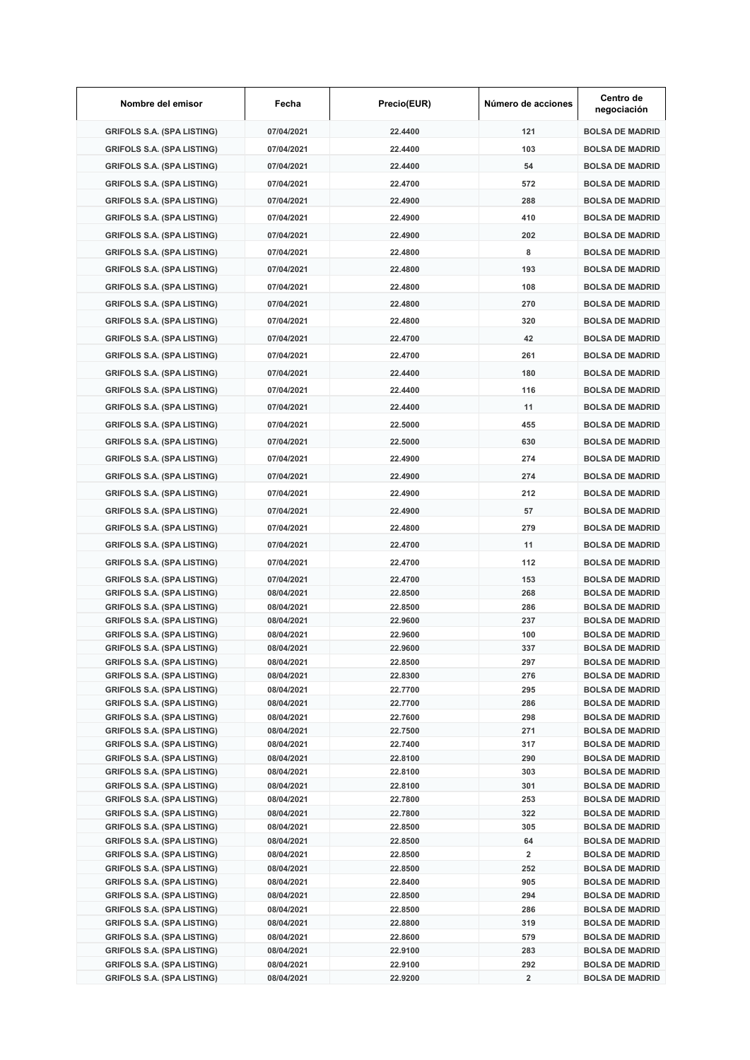| Nombre del emisor                                                      | Fecha                    | Precio(EUR)        | Número de acciones | Centro de<br>negociación                         |
|------------------------------------------------------------------------|--------------------------|--------------------|--------------------|--------------------------------------------------|
| <b>GRIFOLS S.A. (SPA LISTING)</b>                                      | 07/04/2021               | 22.4400            | 121                | <b>BOLSA DE MADRID</b>                           |
| <b>GRIFOLS S.A. (SPA LISTING)</b>                                      | 07/04/2021               | 22.4400            | 103                | <b>BOLSA DE MADRID</b>                           |
| <b>GRIFOLS S.A. (SPA LISTING)</b>                                      | 07/04/2021               | 22.4400            | 54                 | <b>BOLSA DE MADRID</b>                           |
| <b>GRIFOLS S.A. (SPA LISTING)</b>                                      | 07/04/2021               | 22.4700            | 572                | <b>BOLSA DE MADRID</b>                           |
| <b>GRIFOLS S.A. (SPA LISTING)</b>                                      | 07/04/2021               | 22.4900            | 288                | <b>BOLSA DE MADRID</b>                           |
| <b>GRIFOLS S.A. (SPA LISTING)</b>                                      | 07/04/2021               | 22.4900            | 410                | <b>BOLSA DE MADRID</b>                           |
| <b>GRIFOLS S.A. (SPA LISTING)</b>                                      | 07/04/2021               | 22.4900            | 202                | <b>BOLSA DE MADRID</b>                           |
| <b>GRIFOLS S.A. (SPA LISTING)</b>                                      | 07/04/2021               | 22.4800            | 8                  | <b>BOLSA DE MADRID</b>                           |
|                                                                        | 07/04/2021               | 22.4800            | 193                | <b>BOLSA DE MADRID</b>                           |
| <b>GRIFOLS S.A. (SPA LISTING)</b>                                      |                          |                    |                    |                                                  |
| <b>GRIFOLS S.A. (SPA LISTING)</b>                                      | 07/04/2021               | 22.4800            | 108                | <b>BOLSA DE MADRID</b>                           |
| <b>GRIFOLS S.A. (SPA LISTING)</b>                                      | 07/04/2021               | 22.4800            | 270                | <b>BOLSA DE MADRID</b>                           |
| <b>GRIFOLS S.A. (SPA LISTING)</b>                                      | 07/04/2021               | 22.4800            | 320                | <b>BOLSA DE MADRID</b>                           |
| <b>GRIFOLS S.A. (SPA LISTING)</b>                                      | 07/04/2021               | 22.4700            | 42                 | <b>BOLSA DE MADRID</b>                           |
| <b>GRIFOLS S.A. (SPA LISTING)</b>                                      | 07/04/2021               | 22.4700            | 261                | <b>BOLSA DE MADRID</b>                           |
| <b>GRIFOLS S.A. (SPA LISTING)</b>                                      | 07/04/2021               | 22.4400            | 180                | <b>BOLSA DE MADRID</b>                           |
| <b>GRIFOLS S.A. (SPA LISTING)</b>                                      | 07/04/2021               | 22.4400            | 116                | <b>BOLSA DE MADRID</b>                           |
| <b>GRIFOLS S.A. (SPA LISTING)</b>                                      | 07/04/2021               | 22.4400            | 11                 | <b>BOLSA DE MADRID</b>                           |
| <b>GRIFOLS S.A. (SPA LISTING)</b>                                      | 07/04/2021               | 22.5000            | 455                | <b>BOLSA DE MADRID</b>                           |
| <b>GRIFOLS S.A. (SPA LISTING)</b>                                      | 07/04/2021               | 22.5000            | 630                | <b>BOLSA DE MADRID</b>                           |
| <b>GRIFOLS S.A. (SPA LISTING)</b>                                      | 07/04/2021               | 22.4900            | 274                | <b>BOLSA DE MADRID</b>                           |
| <b>GRIFOLS S.A. (SPA LISTING)</b>                                      | 07/04/2021               | 22.4900            | 274                | <b>BOLSA DE MADRID</b>                           |
| <b>GRIFOLS S.A. (SPA LISTING)</b>                                      | 07/04/2021               | 22.4900            | 212                | <b>BOLSA DE MADRID</b>                           |
|                                                                        | 07/04/2021               | 22.4900            | 57                 |                                                  |
| <b>GRIFOLS S.A. (SPA LISTING)</b>                                      |                          |                    |                    | <b>BOLSA DE MADRID</b>                           |
| <b>GRIFOLS S.A. (SPA LISTING)</b>                                      | 07/04/2021               | 22.4800            | 279                | <b>BOLSA DE MADRID</b>                           |
| <b>GRIFOLS S.A. (SPA LISTING)</b>                                      | 07/04/2021               | 22.4700            | 11                 | <b>BOLSA DE MADRID</b>                           |
| <b>GRIFOLS S.A. (SPA LISTING)</b>                                      | 07/04/2021               | 22.4700            | 112                | <b>BOLSA DE MADRID</b>                           |
| <b>GRIFOLS S.A. (SPA LISTING)</b>                                      | 07/04/2021               | 22.4700            | 153                | <b>BOLSA DE MADRID</b>                           |
| <b>GRIFOLS S.A. (SPA LISTING)</b><br><b>GRIFOLS S.A. (SPA LISTING)</b> | 08/04/2021<br>08/04/2021 | 22.8500<br>22.8500 | 268<br>286         | <b>BOLSA DE MADRID</b><br><b>BOLSA DE MADRID</b> |
| <b>GRIFOLS S.A. (SPA LISTING)</b>                                      | 08/04/2021               | 22.9600            | 237                | <b>BOLSA DE MADRID</b>                           |
| <b>GRIFOLS S.A. (SPA LISTING)</b>                                      | 08/04/2021               | 22.9600            | 100                | <b>BOLSA DE MADRID</b>                           |
| <b>GRIFOLS S.A. (SPA LISTING)</b>                                      | 08/04/2021               | 22.9600            | 337                | <b>BOLSA DE MADRID</b>                           |
| <b>GRIFOLS S.A. (SPA LISTING)</b>                                      | 08/04/2021               | 22.8500            | 297                | <b>BOLSA DE MADRID</b>                           |
| <b>GRIFOLS S.A. (SPA LISTING)</b>                                      | 08/04/2021               | 22.8300            | 276                | <b>BOLSA DE MADRID</b>                           |
| <b>GRIFOLS S.A. (SPA LISTING)</b><br><b>GRIFOLS S.A. (SPA LISTING)</b> | 08/04/2021<br>08/04/2021 | 22.7700<br>22.7700 | 295<br>286         | <b>BOLSA DE MADRID</b><br><b>BOLSA DE MADRID</b> |
| <b>GRIFOLS S.A. (SPA LISTING)</b>                                      | 08/04/2021               | 22.7600            | 298                | <b>BOLSA DE MADRID</b>                           |
| <b>GRIFOLS S.A. (SPA LISTING)</b>                                      | 08/04/2021               | 22.7500            | 271                | <b>BOLSA DE MADRID</b>                           |
| <b>GRIFOLS S.A. (SPA LISTING)</b>                                      | 08/04/2021               | 22.7400            | 317                | <b>BOLSA DE MADRID</b>                           |
| <b>GRIFOLS S.A. (SPA LISTING)</b>                                      | 08/04/2021               | 22.8100            | 290                | <b>BOLSA DE MADRID</b>                           |
| <b>GRIFOLS S.A. (SPA LISTING)</b>                                      | 08/04/2021               | 22.8100            | 303                | <b>BOLSA DE MADRID</b>                           |
| <b>GRIFOLS S.A. (SPA LISTING)</b><br><b>GRIFOLS S.A. (SPA LISTING)</b> | 08/04/2021               | 22.8100            | 301                | <b>BOLSA DE MADRID</b>                           |
| <b>GRIFOLS S.A. (SPA LISTING)</b>                                      | 08/04/2021<br>08/04/2021 | 22.7800<br>22.7800 | 253<br>322         | <b>BOLSA DE MADRID</b><br><b>BOLSA DE MADRID</b> |
| <b>GRIFOLS S.A. (SPA LISTING)</b>                                      | 08/04/2021               | 22.8500            | 305                | <b>BOLSA DE MADRID</b>                           |
| <b>GRIFOLS S.A. (SPA LISTING)</b>                                      | 08/04/2021               | 22.8500            | 64                 | <b>BOLSA DE MADRID</b>                           |
| <b>GRIFOLS S.A. (SPA LISTING)</b>                                      | 08/04/2021               | 22.8500            | 2                  | <b>BOLSA DE MADRID</b>                           |
| <b>GRIFOLS S.A. (SPA LISTING)</b>                                      | 08/04/2021               | 22.8500            | 252                | <b>BOLSA DE MADRID</b>                           |
| <b>GRIFOLS S.A. (SPA LISTING)</b>                                      | 08/04/2021               | 22.8400            | 905                | <b>BOLSA DE MADRID</b>                           |
| <b>GRIFOLS S.A. (SPA LISTING)</b><br><b>GRIFOLS S.A. (SPA LISTING)</b> | 08/04/2021<br>08/04/2021 | 22.8500<br>22.8500 | 294<br>286         | <b>BOLSA DE MADRID</b><br><b>BOLSA DE MADRID</b> |
| <b>GRIFOLS S.A. (SPA LISTING)</b>                                      | 08/04/2021               | 22.8800            | 319                | <b>BOLSA DE MADRID</b>                           |
| <b>GRIFOLS S.A. (SPA LISTING)</b>                                      | 08/04/2021               | 22.8600            | 579                | <b>BOLSA DE MADRID</b>                           |
| <b>GRIFOLS S.A. (SPA LISTING)</b>                                      | 08/04/2021               | 22.9100            | 283                | <b>BOLSA DE MADRID</b>                           |
| <b>GRIFOLS S.A. (SPA LISTING)</b>                                      | 08/04/2021               | 22.9100            | 292                | <b>BOLSA DE MADRID</b>                           |
| <b>GRIFOLS S.A. (SPA LISTING)</b>                                      | 08/04/2021               | 22.9200            | 2                  | <b>BOLSA DE MADRID</b>                           |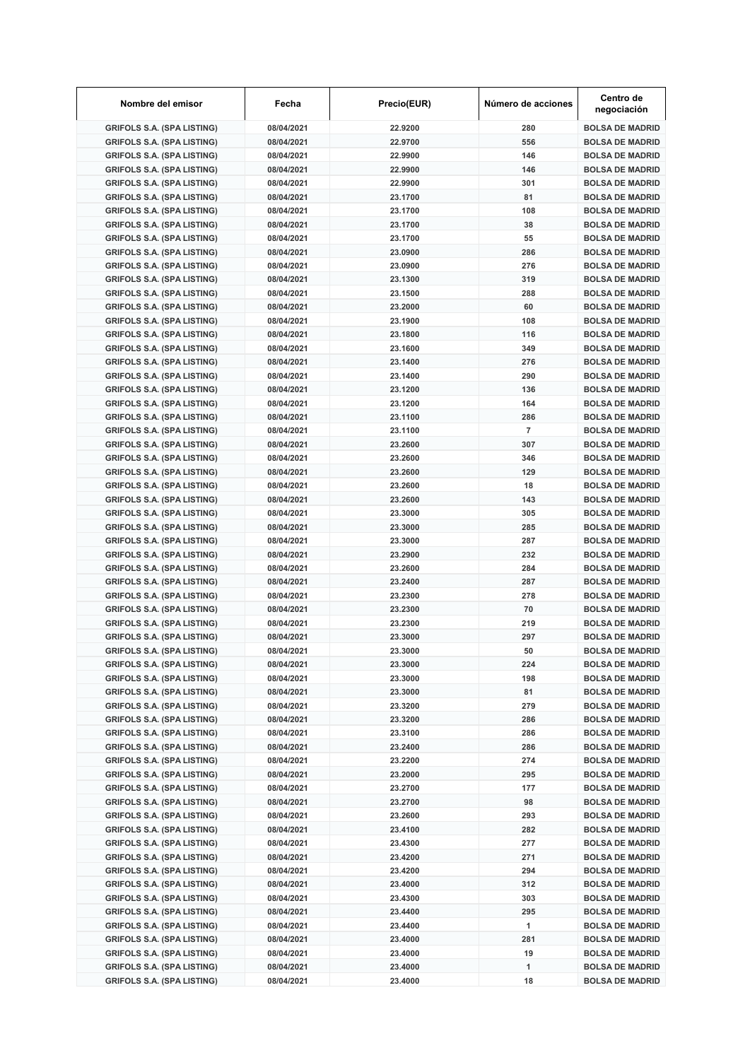| Nombre del emisor                                                      | Fecha                    | Precio(EUR)        | Número de acciones | Centro de<br>negociación                         |
|------------------------------------------------------------------------|--------------------------|--------------------|--------------------|--------------------------------------------------|
| <b>GRIFOLS S.A. (SPA LISTING)</b>                                      | 08/04/2021               | 22.9200            | 280                | <b>BOLSA DE MADRID</b>                           |
| <b>GRIFOLS S.A. (SPA LISTING)</b>                                      | 08/04/2021               | 22.9700            | 556                | <b>BOLSA DE MADRID</b>                           |
| <b>GRIFOLS S.A. (SPA LISTING)</b>                                      | 08/04/2021               | 22.9900            | 146                | <b>BOLSA DE MADRID</b>                           |
| <b>GRIFOLS S.A. (SPA LISTING)</b>                                      | 08/04/2021               | 22.9900            | 146                | <b>BOLSA DE MADRID</b>                           |
| <b>GRIFOLS S.A. (SPA LISTING)</b>                                      | 08/04/2021               | 22.9900            | 301                | <b>BOLSA DE MADRID</b>                           |
| <b>GRIFOLS S.A. (SPA LISTING)</b>                                      | 08/04/2021               | 23.1700            | 81                 | <b>BOLSA DE MADRID</b>                           |
| <b>GRIFOLS S.A. (SPA LISTING)</b>                                      | 08/04/2021               | 23.1700            | 108                | <b>BOLSA DE MADRID</b>                           |
| <b>GRIFOLS S.A. (SPA LISTING)</b>                                      | 08/04/2021               | 23.1700            | 38                 | <b>BOLSA DE MADRID</b>                           |
| <b>GRIFOLS S.A. (SPA LISTING)</b>                                      | 08/04/2021               | 23.1700            | 55                 | <b>BOLSA DE MADRID</b>                           |
| <b>GRIFOLS S.A. (SPA LISTING)</b>                                      | 08/04/2021               | 23.0900            | 286                | <b>BOLSA DE MADRID</b>                           |
| <b>GRIFOLS S.A. (SPA LISTING)</b>                                      | 08/04/2021               | 23.0900            | 276                | <b>BOLSA DE MADRID</b>                           |
| <b>GRIFOLS S.A. (SPA LISTING)</b>                                      | 08/04/2021               | 23.1300            | 319                | <b>BOLSA DE MADRID</b>                           |
| <b>GRIFOLS S.A. (SPA LISTING)</b>                                      | 08/04/2021               | 23.1500            | 288                | <b>BOLSA DE MADRID</b>                           |
| <b>GRIFOLS S.A. (SPA LISTING)</b>                                      | 08/04/2021               | 23.2000            | 60                 | <b>BOLSA DE MADRID</b>                           |
| <b>GRIFOLS S.A. (SPA LISTING)</b>                                      | 08/04/2021               | 23.1900            | 108                | <b>BOLSA DE MADRID</b>                           |
| <b>GRIFOLS S.A. (SPA LISTING)</b>                                      | 08/04/2021               | 23.1800            | 116                | <b>BOLSA DE MADRID</b>                           |
| <b>GRIFOLS S.A. (SPA LISTING)</b>                                      | 08/04/2021               | 23.1600            | 349                | <b>BOLSA DE MADRID</b>                           |
| <b>GRIFOLS S.A. (SPA LISTING)</b>                                      | 08/04/2021               | 23.1400            | 276                | <b>BOLSA DE MADRID</b>                           |
| <b>GRIFOLS S.A. (SPA LISTING)</b>                                      | 08/04/2021               | 23.1400            | 290                | <b>BOLSA DE MADRID</b>                           |
| <b>GRIFOLS S.A. (SPA LISTING)</b>                                      | 08/04/2021               | 23.1200            | 136                | <b>BOLSA DE MADRID</b>                           |
| <b>GRIFOLS S.A. (SPA LISTING)</b>                                      | 08/04/2021               | 23.1200            | 164                | <b>BOLSA DE MADRID</b>                           |
| <b>GRIFOLS S.A. (SPA LISTING)</b>                                      | 08/04/2021               | 23.1100            | 286                | <b>BOLSA DE MADRID</b>                           |
| <b>GRIFOLS S.A. (SPA LISTING)</b>                                      | 08/04/2021               | 23.1100            | $\overline{7}$     | <b>BOLSA DE MADRID</b>                           |
| <b>GRIFOLS S.A. (SPA LISTING)</b>                                      | 08/04/2021               | 23.2600            | 307                | <b>BOLSA DE MADRID</b>                           |
| <b>GRIFOLS S.A. (SPA LISTING)</b>                                      | 08/04/2021               | 23.2600            | 346                | <b>BOLSA DE MADRID</b>                           |
| <b>GRIFOLS S.A. (SPA LISTING)</b>                                      | 08/04/2021<br>08/04/2021 | 23.2600<br>23.2600 | 129<br>18          | <b>BOLSA DE MADRID</b><br><b>BOLSA DE MADRID</b> |
| <b>GRIFOLS S.A. (SPA LISTING)</b>                                      | 08/04/2021               | 23.2600            | 143                | <b>BOLSA DE MADRID</b>                           |
| <b>GRIFOLS S.A. (SPA LISTING)</b><br><b>GRIFOLS S.A. (SPA LISTING)</b> | 08/04/2021               | 23.3000            | 305                | <b>BOLSA DE MADRID</b>                           |
| <b>GRIFOLS S.A. (SPA LISTING)</b>                                      | 08/04/2021               | 23.3000            | 285                | <b>BOLSA DE MADRID</b>                           |
| <b>GRIFOLS S.A. (SPA LISTING)</b>                                      | 08/04/2021               | 23.3000            | 287                | <b>BOLSA DE MADRID</b>                           |
| <b>GRIFOLS S.A. (SPA LISTING)</b>                                      | 08/04/2021               | 23.2900            | 232                | <b>BOLSA DE MADRID</b>                           |
| <b>GRIFOLS S.A. (SPA LISTING)</b>                                      | 08/04/2021               | 23.2600            | 284                | <b>BOLSA DE MADRID</b>                           |
| <b>GRIFOLS S.A. (SPA LISTING)</b>                                      | 08/04/2021               | 23.2400            | 287                | <b>BOLSA DE MADRID</b>                           |
| <b>GRIFOLS S.A. (SPA LISTING)</b>                                      | 08/04/2021               | 23.2300            | 278                | <b>BOLSA DE MADRID</b>                           |
| <b>GRIFOLS S.A. (SPA LISTING)</b>                                      | 08/04/2021               | 23.2300            | 70                 | <b>BOLSA DE MADRID</b>                           |
| <b>GRIFOLS S.A. (SPA LISTING)</b>                                      | 08/04/2021               | 23.2300            | 219                | <b>BOLSA DE MADRID</b>                           |
| <b>GRIFOLS S.A. (SPA LISTING)</b>                                      | 08/04/2021               | 23.3000            | 297                | <b>BOLSA DE MADRID</b>                           |
| <b>GRIFOLS S.A. (SPA LISTING)</b>                                      | 08/04/2021               | 23.3000            | 50                 | <b>BOLSA DE MADRID</b>                           |
| <b>GRIFOLS S.A. (SPA LISTING)</b>                                      | 08/04/2021               | 23.3000            | 224                | <b>BOLSA DE MADRID</b>                           |
| <b>GRIFOLS S.A. (SPA LISTING)</b>                                      | 08/04/2021               | 23.3000            | 198                | <b>BOLSA DE MADRID</b>                           |
| <b>GRIFOLS S.A. (SPA LISTING)</b>                                      | 08/04/2021               | 23.3000            | 81                 | <b>BOLSA DE MADRID</b>                           |
| <b>GRIFOLS S.A. (SPA LISTING)</b>                                      | 08/04/2021               | 23.3200            | 279                | <b>BOLSA DE MADRID</b>                           |
| <b>GRIFOLS S.A. (SPA LISTING)</b>                                      | 08/04/2021               | 23.3200            | 286                | <b>BOLSA DE MADRID</b>                           |
| <b>GRIFOLS S.A. (SPA LISTING)</b>                                      | 08/04/2021               | 23.3100            | 286                | <b>BOLSA DE MADRID</b>                           |
| <b>GRIFOLS S.A. (SPA LISTING)</b>                                      | 08/04/2021               | 23.2400            | 286                | <b>BOLSA DE MADRID</b>                           |
| <b>GRIFOLS S.A. (SPA LISTING)</b>                                      | 08/04/2021               | 23.2200            | 274                | <b>BOLSA DE MADRID</b>                           |
| <b>GRIFOLS S.A. (SPA LISTING)</b>                                      | 08/04/2021               | 23.2000            | 295                | <b>BOLSA DE MADRID</b>                           |
| <b>GRIFOLS S.A. (SPA LISTING)</b>                                      | 08/04/2021               | 23.2700            | 177                | <b>BOLSA DE MADRID</b>                           |
| <b>GRIFOLS S.A. (SPA LISTING)</b>                                      | 08/04/2021               | 23.2700            | 98                 | <b>BOLSA DE MADRID</b>                           |
| <b>GRIFOLS S.A. (SPA LISTING)</b>                                      | 08/04/2021               | 23.2600            | 293                | <b>BOLSA DE MADRID</b>                           |
| <b>GRIFOLS S.A. (SPA LISTING)</b>                                      | 08/04/2021               | 23.4100            | 282                | <b>BOLSA DE MADRID</b>                           |
| <b>GRIFOLS S.A. (SPA LISTING)</b>                                      | 08/04/2021               | 23.4300            | 277                | <b>BOLSA DE MADRID</b>                           |
| <b>GRIFOLS S.A. (SPA LISTING)</b>                                      | 08/04/2021               | 23.4200            | 271                | <b>BOLSA DE MADRID</b>                           |
| <b>GRIFOLS S.A. (SPA LISTING)</b>                                      | 08/04/2021               | 23.4200            | 294                | <b>BOLSA DE MADRID</b>                           |
| <b>GRIFOLS S.A. (SPA LISTING)</b>                                      | 08/04/2021               | 23.4000            | 312                | <b>BOLSA DE MADRID</b>                           |
| <b>GRIFOLS S.A. (SPA LISTING)</b>                                      | 08/04/2021               | 23.4300            | 303                | <b>BOLSA DE MADRID</b>                           |
| <b>GRIFOLS S.A. (SPA LISTING)</b>                                      | 08/04/2021               | 23.4400            | 295                | <b>BOLSA DE MADRID</b>                           |
| <b>GRIFOLS S.A. (SPA LISTING)</b>                                      | 08/04/2021               | 23.4400            | 1                  | <b>BOLSA DE MADRID</b>                           |
| <b>GRIFOLS S.A. (SPA LISTING)</b>                                      | 08/04/2021               | 23.4000            | 281                | <b>BOLSA DE MADRID</b>                           |
| <b>GRIFOLS S.A. (SPA LISTING)</b>                                      | 08/04/2021               | 23.4000            | 19                 | <b>BOLSA DE MADRID</b>                           |
| <b>GRIFOLS S.A. (SPA LISTING)</b>                                      | 08/04/2021               | 23.4000            | 1                  | <b>BOLSA DE MADRID</b>                           |
| <b>GRIFOLS S.A. (SPA LISTING)</b>                                      | 08/04/2021               | 23.4000            | 18                 | <b>BOLSA DE MADRID</b>                           |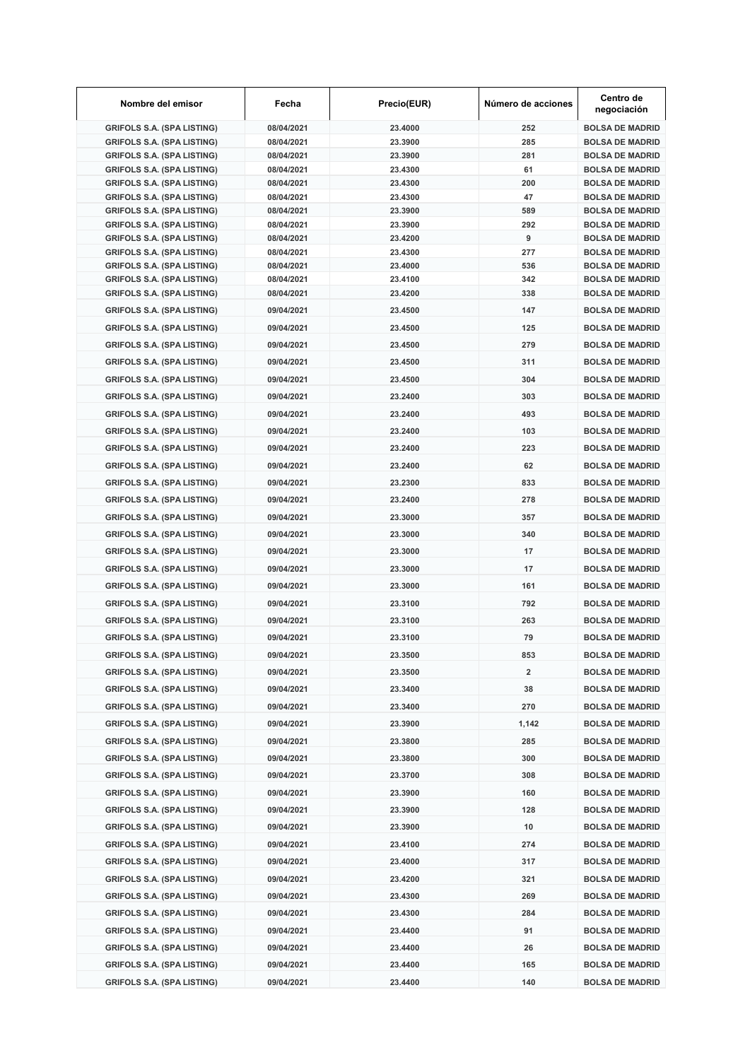| Nombre del emisor                                                      | Fecha                    | Precio(EUR)        | Número de acciones | Centro de<br>negociación                         |
|------------------------------------------------------------------------|--------------------------|--------------------|--------------------|--------------------------------------------------|
| <b>GRIFOLS S.A. (SPA LISTING)</b>                                      | 08/04/2021               | 23.4000            | 252                | <b>BOLSA DE MADRID</b>                           |
| <b>GRIFOLS S.A. (SPA LISTING)</b>                                      | 08/04/2021               | 23.3900            | 285                | <b>BOLSA DE MADRID</b>                           |
| <b>GRIFOLS S.A. (SPA LISTING)</b>                                      | 08/04/2021               | 23.3900            | 281                | <b>BOLSA DE MADRID</b>                           |
| <b>GRIFOLS S.A. (SPA LISTING)</b>                                      | 08/04/2021               | 23.4300            | 61                 | <b>BOLSA DE MADRID</b>                           |
| <b>GRIFOLS S.A. (SPA LISTING)</b>                                      | 08/04/2021               | 23.4300            | 200                | <b>BOLSA DE MADRID</b>                           |
| <b>GRIFOLS S.A. (SPA LISTING)</b><br><b>GRIFOLS S.A. (SPA LISTING)</b> | 08/04/2021<br>08/04/2021 | 23.4300<br>23.3900 | 47<br>589          | <b>BOLSA DE MADRID</b><br><b>BOLSA DE MADRID</b> |
| <b>GRIFOLS S.A. (SPA LISTING)</b>                                      | 08/04/2021               | 23.3900            | 292                | <b>BOLSA DE MADRID</b>                           |
| <b>GRIFOLS S.A. (SPA LISTING)</b>                                      | 08/04/2021               | 23.4200            | 9                  | <b>BOLSA DE MADRID</b>                           |
| <b>GRIFOLS S.A. (SPA LISTING)</b>                                      | 08/04/2021               | 23.4300            | 277                | <b>BOLSA DE MADRID</b>                           |
| <b>GRIFOLS S.A. (SPA LISTING)</b>                                      | 08/04/2021               | 23.4000            | 536                | <b>BOLSA DE MADRID</b>                           |
| <b>GRIFOLS S.A. (SPA LISTING)</b>                                      | 08/04/2021               | 23.4100            | 342                | <b>BOLSA DE MADRID</b>                           |
| <b>GRIFOLS S.A. (SPA LISTING)</b>                                      | 08/04/2021               | 23.4200            | 338                | <b>BOLSA DE MADRID</b>                           |
| <b>GRIFOLS S.A. (SPA LISTING)</b>                                      | 09/04/2021               | 23.4500            | 147                | <b>BOLSA DE MADRID</b>                           |
| <b>GRIFOLS S.A. (SPA LISTING)</b>                                      | 09/04/2021               | 23.4500            | 125                | <b>BOLSA DE MADRID</b>                           |
| <b>GRIFOLS S.A. (SPA LISTING)</b>                                      | 09/04/2021               | 23.4500            | 279                | <b>BOLSA DE MADRID</b>                           |
| <b>GRIFOLS S.A. (SPA LISTING)</b>                                      | 09/04/2021               | 23.4500            | 311                | <b>BOLSA DE MADRID</b>                           |
| <b>GRIFOLS S.A. (SPA LISTING)</b>                                      | 09/04/2021               | 23.4500            | 304                | <b>BOLSA DE MADRID</b>                           |
| <b>GRIFOLS S.A. (SPA LISTING)</b>                                      | 09/04/2021               | 23.2400            | 303                | <b>BOLSA DE MADRID</b>                           |
| <b>GRIFOLS S.A. (SPA LISTING)</b>                                      | 09/04/2021               | 23.2400            | 493                | <b>BOLSA DE MADRID</b>                           |
|                                                                        |                          |                    |                    |                                                  |
| <b>GRIFOLS S.A. (SPA LISTING)</b>                                      | 09/04/2021               | 23.2400            | 103                | <b>BOLSA DE MADRID</b>                           |
| <b>GRIFOLS S.A. (SPA LISTING)</b>                                      | 09/04/2021               | 23.2400            | 223                | <b>BOLSA DE MADRID</b>                           |
| <b>GRIFOLS S.A. (SPA LISTING)</b>                                      | 09/04/2021               | 23.2400            | 62                 | <b>BOLSA DE MADRID</b>                           |
| <b>GRIFOLS S.A. (SPA LISTING)</b>                                      | 09/04/2021               | 23.2300            | 833                | <b>BOLSA DE MADRID</b>                           |
| <b>GRIFOLS S.A. (SPA LISTING)</b>                                      | 09/04/2021               | 23.2400            | 278                | <b>BOLSA DE MADRID</b>                           |
| <b>GRIFOLS S.A. (SPA LISTING)</b>                                      | 09/04/2021               | 23.3000            | 357                | <b>BOLSA DE MADRID</b>                           |
| <b>GRIFOLS S.A. (SPA LISTING)</b>                                      | 09/04/2021               | 23.3000            | 340                | <b>BOLSA DE MADRID</b>                           |
| <b>GRIFOLS S.A. (SPA LISTING)</b>                                      | 09/04/2021               | 23.3000            | 17                 | <b>BOLSA DE MADRID</b>                           |
| <b>GRIFOLS S.A. (SPA LISTING)</b>                                      | 09/04/2021               | 23.3000            | 17                 | <b>BOLSA DE MADRID</b>                           |
|                                                                        |                          |                    | 161                | <b>BOLSA DE MADRID</b>                           |
| <b>GRIFOLS S.A. (SPA LISTING)</b>                                      | 09/04/2021               | 23.3000            |                    |                                                  |
| <b>GRIFOLS S.A. (SPA LISTING)</b>                                      | 09/04/2021               | 23.3100            | 792                | <b>BOLSA DE MADRID</b>                           |
| <b>GRIFOLS S.A. (SPA LISTING)</b>                                      | 09/04/2021               | 23.3100            | 263                | <b>BOLSA DE MADRID</b>                           |
| <b>GRIFOLS S.A. (SPA LISTING)</b>                                      | 09/04/2021               | 23.3100            | 79                 | <b>BOLSA DE MADRID</b>                           |
| <b>GRIFOLS S.A. (SPA LISTING)</b>                                      | 09/04/2021               | 23.3500            | 853                | <b>BOLSA DE MADRID</b>                           |
| <b>GRIFOLS S.A. (SPA LISTING)</b>                                      | 09/04/2021               | 23.3500            | 2                  | <b>BOLSA DE MADRID</b>                           |
| <b>GRIFOLS S.A. (SPA LISTING)</b>                                      | 09/04/2021               | 23.3400            | 38                 | <b>BOLSA DE MADRID</b>                           |
| <b>GRIFOLS S.A. (SPA LISTING)</b>                                      | 09/04/2021               | 23.3400            | 270                | <b>BOLSA DE MADRID</b>                           |
| <b>GRIFOLS S.A. (SPA LISTING)</b>                                      | 09/04/2021               | 23.3900            | 1,142              | <b>BOLSA DE MADRID</b>                           |
| <b>GRIFOLS S.A. (SPA LISTING)</b>                                      | 09/04/2021               | 23.3800            | 285                | <b>BOLSA DE MADRID</b>                           |
| <b>GRIFOLS S.A. (SPA LISTING)</b>                                      | 09/04/2021               | 23.3800            | 300                | <b>BOLSA DE MADRID</b>                           |
| <b>GRIFOLS S.A. (SPA LISTING)</b>                                      | 09/04/2021               | 23.3700            | 308                | <b>BOLSA DE MADRID</b>                           |
|                                                                        |                          |                    |                    |                                                  |
| <b>GRIFOLS S.A. (SPA LISTING)</b>                                      | 09/04/2021               | 23.3900            | 160                | <b>BOLSA DE MADRID</b>                           |
| <b>GRIFOLS S.A. (SPA LISTING)</b>                                      | 09/04/2021               | 23.3900            | 128                | <b>BOLSA DE MADRID</b>                           |
| <b>GRIFOLS S.A. (SPA LISTING)</b>                                      | 09/04/2021               | 23.3900            | 10                 | <b>BOLSA DE MADRID</b>                           |
| <b>GRIFOLS S.A. (SPA LISTING)</b>                                      | 09/04/2021               | 23.4100            | 274                | <b>BOLSA DE MADRID</b>                           |
| <b>GRIFOLS S.A. (SPA LISTING)</b>                                      | 09/04/2021               | 23.4000            | 317                | <b>BOLSA DE MADRID</b>                           |
| <b>GRIFOLS S.A. (SPA LISTING)</b>                                      | 09/04/2021               | 23.4200            | 321                | <b>BOLSA DE MADRID</b>                           |
| <b>GRIFOLS S.A. (SPA LISTING)</b>                                      | 09/04/2021               | 23.4300            | 269                | <b>BOLSA DE MADRID</b>                           |
| <b>GRIFOLS S.A. (SPA LISTING)</b>                                      | 09/04/2021               | 23.4300            | 284                | <b>BOLSA DE MADRID</b>                           |
| <b>GRIFOLS S.A. (SPA LISTING)</b>                                      | 09/04/2021               | 23.4400            | 91                 | <b>BOLSA DE MADRID</b>                           |
| <b>GRIFOLS S.A. (SPA LISTING)</b>                                      | 09/04/2021               | 23.4400            | 26                 | <b>BOLSA DE MADRID</b>                           |
|                                                                        |                          |                    |                    |                                                  |
| <b>GRIFOLS S.A. (SPA LISTING)</b>                                      | 09/04/2021               | 23.4400            | 165                | <b>BOLSA DE MADRID</b>                           |
| <b>GRIFOLS S.A. (SPA LISTING)</b>                                      | 09/04/2021               | 23.4400            | 140                | <b>BOLSA DE MADRID</b>                           |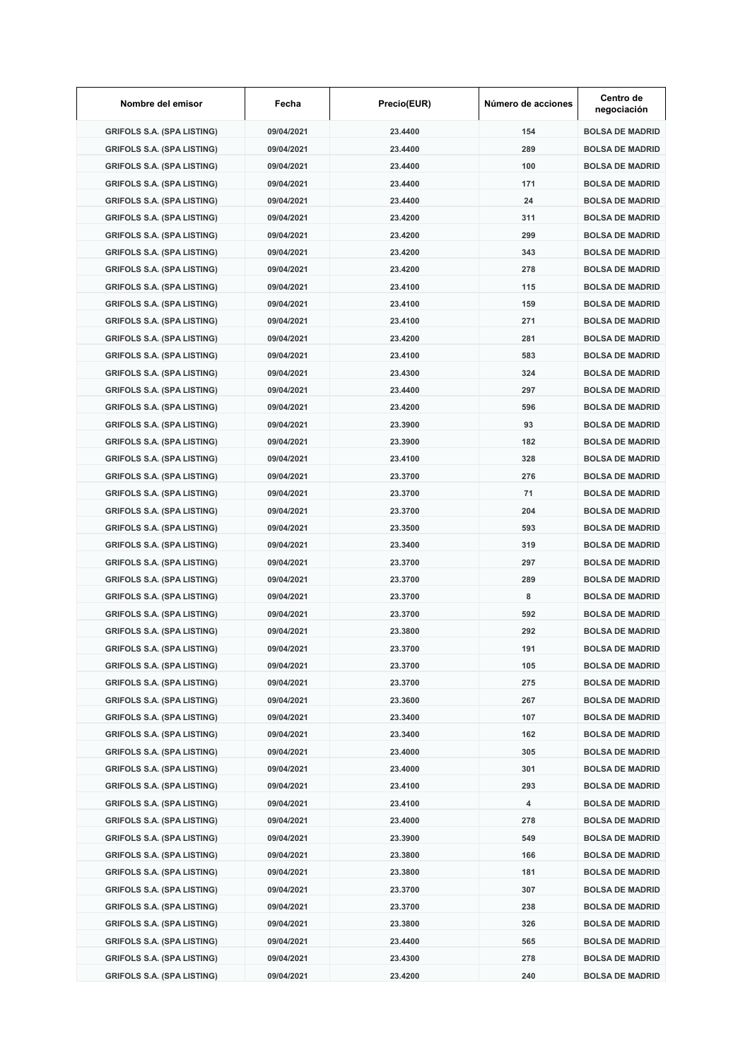| Nombre del emisor                 | Fecha      | Precio(EUR) | Número de acciones | Centro de<br>negociación |
|-----------------------------------|------------|-------------|--------------------|--------------------------|
| <b>GRIFOLS S.A. (SPA LISTING)</b> | 09/04/2021 | 23.4400     | 154                | <b>BOLSA DE MADRID</b>   |
| <b>GRIFOLS S.A. (SPA LISTING)</b> | 09/04/2021 | 23.4400     | 289                | <b>BOLSA DE MADRID</b>   |
| <b>GRIFOLS S.A. (SPA LISTING)</b> | 09/04/2021 | 23.4400     | 100                | <b>BOLSA DE MADRID</b>   |
| <b>GRIFOLS S.A. (SPA LISTING)</b> | 09/04/2021 | 23.4400     | 171                | <b>BOLSA DE MADRID</b>   |
| <b>GRIFOLS S.A. (SPA LISTING)</b> | 09/04/2021 | 23.4400     | 24                 | <b>BOLSA DE MADRID</b>   |
| <b>GRIFOLS S.A. (SPA LISTING)</b> | 09/04/2021 | 23.4200     | 311                | <b>BOLSA DE MADRID</b>   |
| <b>GRIFOLS S.A. (SPA LISTING)</b> | 09/04/2021 | 23.4200     | 299                | <b>BOLSA DE MADRID</b>   |
| <b>GRIFOLS S.A. (SPA LISTING)</b> | 09/04/2021 | 23.4200     | 343                | <b>BOLSA DE MADRID</b>   |
| <b>GRIFOLS S.A. (SPA LISTING)</b> | 09/04/2021 | 23.4200     | 278                | <b>BOLSA DE MADRID</b>   |
| <b>GRIFOLS S.A. (SPA LISTING)</b> | 09/04/2021 | 23.4100     | 115                | <b>BOLSA DE MADRID</b>   |
| <b>GRIFOLS S.A. (SPA LISTING)</b> | 09/04/2021 | 23.4100     | 159                | <b>BOLSA DE MADRID</b>   |
| <b>GRIFOLS S.A. (SPA LISTING)</b> | 09/04/2021 | 23.4100     | 271                | <b>BOLSA DE MADRID</b>   |
| <b>GRIFOLS S.A. (SPA LISTING)</b> | 09/04/2021 | 23.4200     | 281                | <b>BOLSA DE MADRID</b>   |
| <b>GRIFOLS S.A. (SPA LISTING)</b> | 09/04/2021 | 23.4100     | 583                | <b>BOLSA DE MADRID</b>   |
| <b>GRIFOLS S.A. (SPA LISTING)</b> | 09/04/2021 | 23.4300     | 324                | <b>BOLSA DE MADRID</b>   |
| <b>GRIFOLS S.A. (SPA LISTING)</b> | 09/04/2021 | 23.4400     | 297                | <b>BOLSA DE MADRID</b>   |
| <b>GRIFOLS S.A. (SPA LISTING)</b> | 09/04/2021 | 23.4200     | 596                | <b>BOLSA DE MADRID</b>   |
| <b>GRIFOLS S.A. (SPA LISTING)</b> | 09/04/2021 | 23.3900     | 93                 | <b>BOLSA DE MADRID</b>   |
| <b>GRIFOLS S.A. (SPA LISTING)</b> | 09/04/2021 | 23.3900     | 182                | <b>BOLSA DE MADRID</b>   |
| <b>GRIFOLS S.A. (SPA LISTING)</b> | 09/04/2021 | 23.4100     | 328                | <b>BOLSA DE MADRID</b>   |
| <b>GRIFOLS S.A. (SPA LISTING)</b> | 09/04/2021 | 23.3700     | 276                | <b>BOLSA DE MADRID</b>   |
| <b>GRIFOLS S.A. (SPA LISTING)</b> | 09/04/2021 | 23.3700     | 71                 | <b>BOLSA DE MADRID</b>   |
| <b>GRIFOLS S.A. (SPA LISTING)</b> | 09/04/2021 | 23.3700     | 204                | <b>BOLSA DE MADRID</b>   |
| <b>GRIFOLS S.A. (SPA LISTING)</b> | 09/04/2021 | 23.3500     | 593                | <b>BOLSA DE MADRID</b>   |
| <b>GRIFOLS S.A. (SPA LISTING)</b> | 09/04/2021 | 23.3400     | 319                | <b>BOLSA DE MADRID</b>   |
| <b>GRIFOLS S.A. (SPA LISTING)</b> | 09/04/2021 | 23.3700     | 297                | <b>BOLSA DE MADRID</b>   |
| <b>GRIFOLS S.A. (SPA LISTING)</b> | 09/04/2021 | 23.3700     | 289                | <b>BOLSA DE MADRID</b>   |
| <b>GRIFOLS S.A. (SPA LISTING)</b> | 09/04/2021 | 23.3700     | 8                  | <b>BOLSA DE MADRID</b>   |
| <b>GRIFOLS S.A. (SPA LISTING)</b> | 09/04/2021 | 23.3700     | 592                | <b>BOLSA DE MADRID</b>   |
| <b>GRIFOLS S.A. (SPA LISTING)</b> | 09/04/2021 | 23.3800     | 292                | <b>BOLSA DE MADRID</b>   |
|                                   | 09/04/2021 | 23.3700     | 191                |                          |
| <b>GRIFOLS S.A. (SPA LISTING)</b> |            |             |                    | <b>BOLSA DE MADRID</b>   |
| <b>GRIFOLS S.A. (SPA LISTING)</b> | 09/04/2021 | 23.3700     | 105                | <b>BOLSA DE MADRID</b>   |
| <b>GRIFOLS S.A. (SPA LISTING)</b> | 09/04/2021 | 23.3700     | 275                | <b>BOLSA DE MADRID</b>   |
| <b>GRIFOLS S.A. (SPA LISTING)</b> | 09/04/2021 | 23.3600     | 267                | <b>BOLSA DE MADRID</b>   |
| <b>GRIFOLS S.A. (SPA LISTING)</b> | 09/04/2021 | 23.3400     | 107                | <b>BOLSA DE MADRID</b>   |
| <b>GRIFOLS S.A. (SPA LISTING)</b> | 09/04/2021 | 23.3400     | 162                | <b>BOLSA DE MADRID</b>   |
| <b>GRIFOLS S.A. (SPA LISTING)</b> | 09/04/2021 | 23.4000     | 305                | <b>BOLSA DE MADRID</b>   |
| <b>GRIFOLS S.A. (SPA LISTING)</b> | 09/04/2021 | 23.4000     | 301                | <b>BOLSA DE MADRID</b>   |
| <b>GRIFOLS S.A. (SPA LISTING)</b> | 09/04/2021 | 23.4100     | 293                | <b>BOLSA DE MADRID</b>   |
| <b>GRIFOLS S.A. (SPA LISTING)</b> | 09/04/2021 | 23.4100     | 4                  | <b>BOLSA DE MADRID</b>   |
| <b>GRIFOLS S.A. (SPA LISTING)</b> | 09/04/2021 | 23.4000     | 278                | <b>BOLSA DE MADRID</b>   |
| <b>GRIFOLS S.A. (SPA LISTING)</b> | 09/04/2021 | 23.3900     | 549                | <b>BOLSA DE MADRID</b>   |
| <b>GRIFOLS S.A. (SPA LISTING)</b> | 09/04/2021 | 23.3800     | 166                | <b>BOLSA DE MADRID</b>   |
| <b>GRIFOLS S.A. (SPA LISTING)</b> | 09/04/2021 | 23.3800     | 181                | <b>BOLSA DE MADRID</b>   |
| <b>GRIFOLS S.A. (SPA LISTING)</b> | 09/04/2021 | 23.3700     | 307                | <b>BOLSA DE MADRID</b>   |
| <b>GRIFOLS S.A. (SPA LISTING)</b> | 09/04/2021 | 23.3700     | 238                | <b>BOLSA DE MADRID</b>   |
| <b>GRIFOLS S.A. (SPA LISTING)</b> | 09/04/2021 | 23.3800     | 326                | <b>BOLSA DE MADRID</b>   |
| <b>GRIFOLS S.A. (SPA LISTING)</b> | 09/04/2021 | 23.4400     | 565                | <b>BOLSA DE MADRID</b>   |
| <b>GRIFOLS S.A. (SPA LISTING)</b> | 09/04/2021 | 23.4300     | 278                | <b>BOLSA DE MADRID</b>   |
| <b>GRIFOLS S.A. (SPA LISTING)</b> | 09/04/2021 | 23.4200     | 240                | <b>BOLSA DE MADRID</b>   |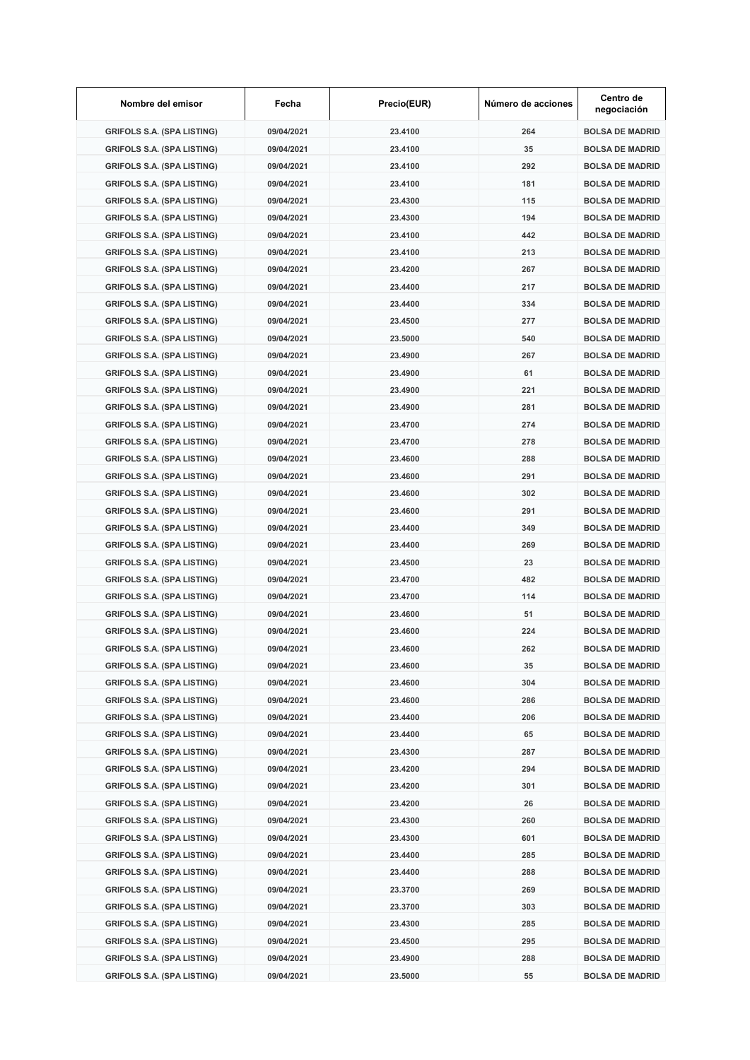| Nombre del emisor                 | Fecha      | Precio(EUR) | Número de acciones | Centro de<br>negociación |
|-----------------------------------|------------|-------------|--------------------|--------------------------|
| <b>GRIFOLS S.A. (SPA LISTING)</b> | 09/04/2021 | 23.4100     | 264                | <b>BOLSA DE MADRID</b>   |
| <b>GRIFOLS S.A. (SPA LISTING)</b> | 09/04/2021 | 23.4100     | 35                 | <b>BOLSA DE MADRID</b>   |
| <b>GRIFOLS S.A. (SPA LISTING)</b> | 09/04/2021 | 23.4100     | 292                | <b>BOLSA DE MADRID</b>   |
| <b>GRIFOLS S.A. (SPA LISTING)</b> | 09/04/2021 | 23.4100     | 181                | <b>BOLSA DE MADRID</b>   |
| <b>GRIFOLS S.A. (SPA LISTING)</b> | 09/04/2021 | 23.4300     | 115                | <b>BOLSA DE MADRID</b>   |
| <b>GRIFOLS S.A. (SPA LISTING)</b> | 09/04/2021 | 23.4300     | 194                | <b>BOLSA DE MADRID</b>   |
| <b>GRIFOLS S.A. (SPA LISTING)</b> | 09/04/2021 | 23.4100     | 442                | <b>BOLSA DE MADRID</b>   |
| <b>GRIFOLS S.A. (SPA LISTING)</b> | 09/04/2021 | 23.4100     | 213                | <b>BOLSA DE MADRID</b>   |
| <b>GRIFOLS S.A. (SPA LISTING)</b> | 09/04/2021 | 23.4200     | 267                | <b>BOLSA DE MADRID</b>   |
| <b>GRIFOLS S.A. (SPA LISTING)</b> | 09/04/2021 | 23.4400     | 217                | <b>BOLSA DE MADRID</b>   |
| <b>GRIFOLS S.A. (SPA LISTING)</b> | 09/04/2021 | 23.4400     | 334                | <b>BOLSA DE MADRID</b>   |
| <b>GRIFOLS S.A. (SPA LISTING)</b> | 09/04/2021 | 23.4500     | 277                | <b>BOLSA DE MADRID</b>   |
| <b>GRIFOLS S.A. (SPA LISTING)</b> | 09/04/2021 | 23,5000     | 540                | <b>BOLSA DE MADRID</b>   |
| <b>GRIFOLS S.A. (SPA LISTING)</b> | 09/04/2021 | 23.4900     | 267                | <b>BOLSA DE MADRID</b>   |
| <b>GRIFOLS S.A. (SPA LISTING)</b> | 09/04/2021 | 23.4900     | 61                 | <b>BOLSA DE MADRID</b>   |
| <b>GRIFOLS S.A. (SPA LISTING)</b> | 09/04/2021 | 23.4900     | 221                | <b>BOLSA DE MADRID</b>   |
| <b>GRIFOLS S.A. (SPA LISTING)</b> | 09/04/2021 | 23.4900     | 281                | <b>BOLSA DE MADRID</b>   |
| <b>GRIFOLS S.A. (SPA LISTING)</b> |            |             |                    |                          |
|                                   | 09/04/2021 | 23.4700     | 274                | <b>BOLSA DE MADRID</b>   |
| <b>GRIFOLS S.A. (SPA LISTING)</b> | 09/04/2021 | 23.4700     | 278                | <b>BOLSA DE MADRID</b>   |
| <b>GRIFOLS S.A. (SPA LISTING)</b> | 09/04/2021 | 23.4600     | 288                | <b>BOLSA DE MADRID</b>   |
| <b>GRIFOLS S.A. (SPA LISTING)</b> | 09/04/2021 | 23.4600     | 291                | <b>BOLSA DE MADRID</b>   |
| <b>GRIFOLS S.A. (SPA LISTING)</b> | 09/04/2021 | 23.4600     | 302                | <b>BOLSA DE MADRID</b>   |
| <b>GRIFOLS S.A. (SPA LISTING)</b> | 09/04/2021 | 23.4600     | 291                | <b>BOLSA DE MADRID</b>   |
| <b>GRIFOLS S.A. (SPA LISTING)</b> | 09/04/2021 | 23.4400     | 349                | <b>BOLSA DE MADRID</b>   |
| <b>GRIFOLS S.A. (SPA LISTING)</b> | 09/04/2021 | 23.4400     | 269                | <b>BOLSA DE MADRID</b>   |
| <b>GRIFOLS S.A. (SPA LISTING)</b> | 09/04/2021 | 23.4500     | 23                 | <b>BOLSA DE MADRID</b>   |
| <b>GRIFOLS S.A. (SPA LISTING)</b> | 09/04/2021 | 23.4700     | 482                | <b>BOLSA DE MADRID</b>   |
| <b>GRIFOLS S.A. (SPA LISTING)</b> | 09/04/2021 | 23.4700     | 114                | <b>BOLSA DE MADRID</b>   |
| <b>GRIFOLS S.A. (SPA LISTING)</b> | 09/04/2021 | 23.4600     | 51                 | <b>BOLSA DE MADRID</b>   |
| <b>GRIFOLS S.A. (SPA LISTING)</b> | 09/04/2021 | 23.4600     | 224                | <b>BOLSA DE MADRID</b>   |
| <b>GRIFOLS S.A. (SPA LISTING)</b> | 09/04/2021 | 23.4600     | 262                | <b>BOLSA DE MADRID</b>   |
| <b>GRIFOLS S.A. (SPA LISTING)</b> | 09/04/2021 | 23.4600     | 35                 | <b>BOLSA DE MADRID</b>   |
| <b>GRIFOLS S.A. (SPA LISTING)</b> | 09/04/2021 | 23.4600     | 304                | <b>BOLSA DE MADRID</b>   |
| <b>GRIFOLS S.A. (SPA LISTING)</b> | 09/04/2021 | 23.4600     | 286                | <b>BOLSA DE MADRID</b>   |
| <b>GRIFOLS S.A. (SPA LISTING)</b> | 09/04/2021 | 23.4400     | 206                | <b>BOLSA DE MADRID</b>   |
| <b>GRIFOLS S.A. (SPA LISTING)</b> | 09/04/2021 | 23.4400     | 65                 | <b>BOLSA DE MADRID</b>   |
| <b>GRIFOLS S.A. (SPA LISTING)</b> | 09/04/2021 | 23.4300     | 287                | <b>BOLSA DE MADRID</b>   |
| <b>GRIFOLS S.A. (SPA LISTING)</b> | 09/04/2021 | 23.4200     | 294                | <b>BOLSA DE MADRID</b>   |
| <b>GRIFOLS S.A. (SPA LISTING)</b> | 09/04/2021 | 23.4200     | 301                | <b>BOLSA DE MADRID</b>   |
| <b>GRIFOLS S.A. (SPA LISTING)</b> | 09/04/2021 | 23.4200     | 26                 | <b>BOLSA DE MADRID</b>   |
| <b>GRIFOLS S.A. (SPA LISTING)</b> | 09/04/2021 | 23.4300     | 260                | <b>BOLSA DE MADRID</b>   |
| <b>GRIFOLS S.A. (SPA LISTING)</b> | 09/04/2021 | 23.4300     | 601                | <b>BOLSA DE MADRID</b>   |
| <b>GRIFOLS S.A. (SPA LISTING)</b> | 09/04/2021 | 23.4400     | 285                | <b>BOLSA DE MADRID</b>   |
|                                   |            |             |                    |                          |
| <b>GRIFOLS S.A. (SPA LISTING)</b> | 09/04/2021 | 23.4400     | 288                | <b>BOLSA DE MADRID</b>   |
| <b>GRIFOLS S.A. (SPA LISTING)</b> | 09/04/2021 | 23.3700     | 269                | <b>BOLSA DE MADRID</b>   |
| <b>GRIFOLS S.A. (SPA LISTING)</b> | 09/04/2021 | 23.3700     | 303                | <b>BOLSA DE MADRID</b>   |
| <b>GRIFOLS S.A. (SPA LISTING)</b> | 09/04/2021 | 23.4300     | 285                | <b>BOLSA DE MADRID</b>   |
| <b>GRIFOLS S.A. (SPA LISTING)</b> | 09/04/2021 | 23.4500     | 295                | <b>BOLSA DE MADRID</b>   |
| <b>GRIFOLS S.A. (SPA LISTING)</b> | 09/04/2021 | 23.4900     | 288                | <b>BOLSA DE MADRID</b>   |
| <b>GRIFOLS S.A. (SPA LISTING)</b> | 09/04/2021 | 23.5000     | 55                 | <b>BOLSA DE MADRID</b>   |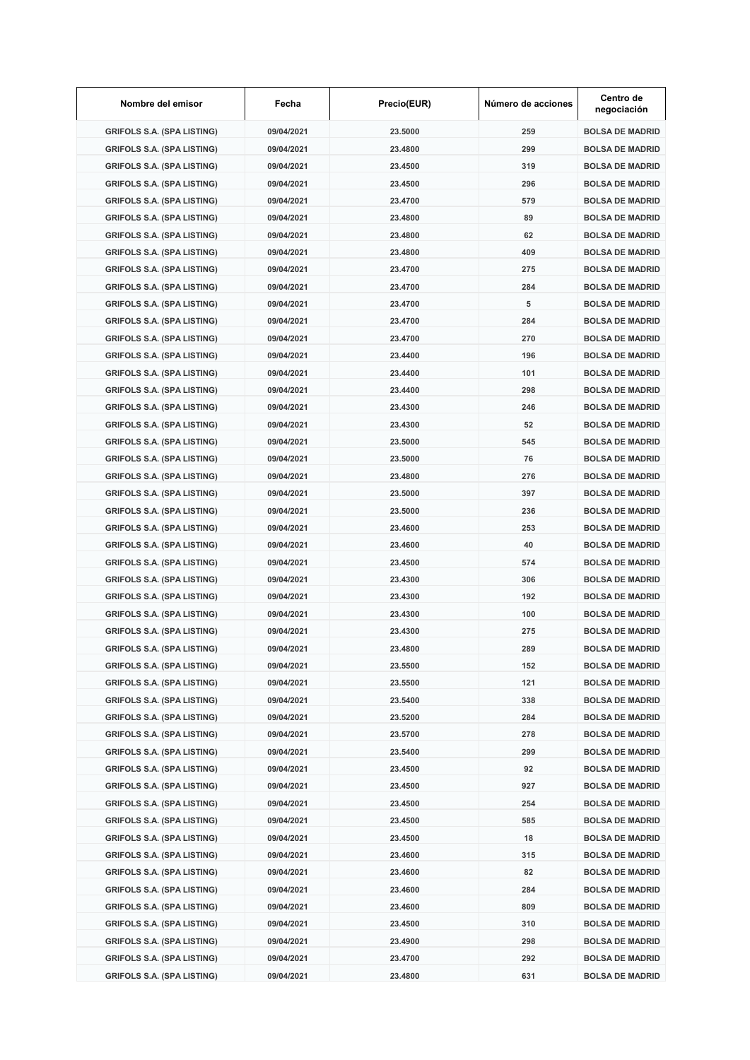| Nombre del emisor                 | Fecha      | Precio(EUR) | Número de acciones | Centro de<br>negociación |
|-----------------------------------|------------|-------------|--------------------|--------------------------|
| <b>GRIFOLS S.A. (SPA LISTING)</b> | 09/04/2021 | 23.5000     | 259                | <b>BOLSA DE MADRID</b>   |
| <b>GRIFOLS S.A. (SPA LISTING)</b> | 09/04/2021 | 23.4800     | 299                | <b>BOLSA DE MADRID</b>   |
| <b>GRIFOLS S.A. (SPA LISTING)</b> | 09/04/2021 | 23.4500     | 319                | <b>BOLSA DE MADRID</b>   |
| <b>GRIFOLS S.A. (SPA LISTING)</b> | 09/04/2021 | 23.4500     | 296                | <b>BOLSA DE MADRID</b>   |
| <b>GRIFOLS S.A. (SPA LISTING)</b> | 09/04/2021 | 23.4700     | 579                | <b>BOLSA DE MADRID</b>   |
| <b>GRIFOLS S.A. (SPA LISTING)</b> | 09/04/2021 | 23.4800     | 89                 | <b>BOLSA DE MADRID</b>   |
| <b>GRIFOLS S.A. (SPA LISTING)</b> | 09/04/2021 | 23.4800     | 62                 | <b>BOLSA DE MADRID</b>   |
| <b>GRIFOLS S.A. (SPA LISTING)</b> | 09/04/2021 | 23.4800     | 409                | <b>BOLSA DE MADRID</b>   |
| <b>GRIFOLS S.A. (SPA LISTING)</b> | 09/04/2021 | 23.4700     | 275                | <b>BOLSA DE MADRID</b>   |
| <b>GRIFOLS S.A. (SPA LISTING)</b> | 09/04/2021 | 23.4700     | 284                | <b>BOLSA DE MADRID</b>   |
| <b>GRIFOLS S.A. (SPA LISTING)</b> | 09/04/2021 | 23.4700     | 5                  | <b>BOLSA DE MADRID</b>   |
| <b>GRIFOLS S.A. (SPA LISTING)</b> | 09/04/2021 | 23.4700     | 284                | <b>BOLSA DE MADRID</b>   |
| <b>GRIFOLS S.A. (SPA LISTING)</b> | 09/04/2021 | 23.4700     | 270                | <b>BOLSA DE MADRID</b>   |
| <b>GRIFOLS S.A. (SPA LISTING)</b> | 09/04/2021 | 23.4400     | 196                | <b>BOLSA DE MADRID</b>   |
| <b>GRIFOLS S.A. (SPA LISTING)</b> | 09/04/2021 | 23.4400     | 101                | <b>BOLSA DE MADRID</b>   |
| <b>GRIFOLS S.A. (SPA LISTING)</b> | 09/04/2021 | 23.4400     | 298                | <b>BOLSA DE MADRID</b>   |
| <b>GRIFOLS S.A. (SPA LISTING)</b> | 09/04/2021 | 23.4300     | 246                | <b>BOLSA DE MADRID</b>   |
| <b>GRIFOLS S.A. (SPA LISTING)</b> | 09/04/2021 | 23.4300     | 52                 | <b>BOLSA DE MADRID</b>   |
| <b>GRIFOLS S.A. (SPA LISTING)</b> | 09/04/2021 | 23.5000     | 545                | <b>BOLSA DE MADRID</b>   |
| <b>GRIFOLS S.A. (SPA LISTING)</b> | 09/04/2021 | 23.5000     | 76                 | <b>BOLSA DE MADRID</b>   |
| <b>GRIFOLS S.A. (SPA LISTING)</b> | 09/04/2021 | 23.4800     | 276                | <b>BOLSA DE MADRID</b>   |
| <b>GRIFOLS S.A. (SPA LISTING)</b> | 09/04/2021 | 23.5000     | 397                | <b>BOLSA DE MADRID</b>   |
| <b>GRIFOLS S.A. (SPA LISTING)</b> | 09/04/2021 | 23.5000     | 236                | <b>BOLSA DE MADRID</b>   |
| <b>GRIFOLS S.A. (SPA LISTING)</b> | 09/04/2021 | 23.4600     | 253                | <b>BOLSA DE MADRID</b>   |
| <b>GRIFOLS S.A. (SPA LISTING)</b> | 09/04/2021 | 23.4600     | 40                 | <b>BOLSA DE MADRID</b>   |
| <b>GRIFOLS S.A. (SPA LISTING)</b> | 09/04/2021 | 23.4500     | 574                | <b>BOLSA DE MADRID</b>   |
| <b>GRIFOLS S.A. (SPA LISTING)</b> | 09/04/2021 | 23.4300     | 306                | <b>BOLSA DE MADRID</b>   |
| <b>GRIFOLS S.A. (SPA LISTING)</b> | 09/04/2021 | 23.4300     | 192                | <b>BOLSA DE MADRID</b>   |
| <b>GRIFOLS S.A. (SPA LISTING)</b> | 09/04/2021 | 23.4300     | 100                | <b>BOLSA DE MADRID</b>   |
| <b>GRIFOLS S.A. (SPA LISTING)</b> | 09/04/2021 | 23.4300     | 275                | <b>BOLSA DE MADRID</b>   |
|                                   | 09/04/2021 | 23.4800     | 289                | <b>BOLSA DE MADRID</b>   |
| <b>GRIFOLS S.A. (SPA LISTING)</b> |            |             |                    | <b>BOLSA DE MADRID</b>   |
| <b>GRIFOLS S.A. (SPA LISTING)</b> | 09/04/2021 | 23.5500     | 152                |                          |
| <b>GRIFOLS S.A. (SPA LISTING)</b> | 09/04/2021 | 23.5500     | 121                | <b>BOLSA DE MADRID</b>   |
| <b>GRIFOLS S.A. (SPA LISTING)</b> | 09/04/2021 | 23.5400     | 338                | <b>BOLSA DE MADRID</b>   |
| <b>GRIFOLS S.A. (SPA LISTING)</b> | 09/04/2021 | 23.5200     | 284                | <b>BOLSA DE MADRID</b>   |
| <b>GRIFOLS S.A. (SPA LISTING)</b> | 09/04/2021 | 23.5700     | 278                | <b>BOLSA DE MADRID</b>   |
| <b>GRIFOLS S.A. (SPA LISTING)</b> | 09/04/2021 | 23.5400     | 299                | <b>BOLSA DE MADRID</b>   |
| <b>GRIFOLS S.A. (SPA LISTING)</b> | 09/04/2021 | 23.4500     | 92                 | <b>BOLSA DE MADRID</b>   |
| <b>GRIFOLS S.A. (SPA LISTING)</b> | 09/04/2021 | 23.4500     | 927                | <b>BOLSA DE MADRID</b>   |
| <b>GRIFOLS S.A. (SPA LISTING)</b> | 09/04/2021 | 23.4500     | 254                | <b>BOLSA DE MADRID</b>   |
| <b>GRIFOLS S.A. (SPA LISTING)</b> | 09/04/2021 | 23.4500     | 585                | <b>BOLSA DE MADRID</b>   |
| <b>GRIFOLS S.A. (SPA LISTING)</b> | 09/04/2021 | 23.4500     | 18                 | <b>BOLSA DE MADRID</b>   |
| <b>GRIFOLS S.A. (SPA LISTING)</b> | 09/04/2021 | 23.4600     | 315                | <b>BOLSA DE MADRID</b>   |
| <b>GRIFOLS S.A. (SPA LISTING)</b> | 09/04/2021 | 23.4600     | 82                 | <b>BOLSA DE MADRID</b>   |
| <b>GRIFOLS S.A. (SPA LISTING)</b> | 09/04/2021 | 23.4600     | 284                | <b>BOLSA DE MADRID</b>   |
| <b>GRIFOLS S.A. (SPA LISTING)</b> | 09/04/2021 | 23.4600     | 809                | <b>BOLSA DE MADRID</b>   |
| <b>GRIFOLS S.A. (SPA LISTING)</b> | 09/04/2021 | 23.4500     | 310                | <b>BOLSA DE MADRID</b>   |
| <b>GRIFOLS S.A. (SPA LISTING)</b> | 09/04/2021 | 23.4900     | 298                | <b>BOLSA DE MADRID</b>   |
| <b>GRIFOLS S.A. (SPA LISTING)</b> | 09/04/2021 | 23.4700     | 292                | <b>BOLSA DE MADRID</b>   |
| <b>GRIFOLS S.A. (SPA LISTING)</b> | 09/04/2021 | 23.4800     | 631                | <b>BOLSA DE MADRID</b>   |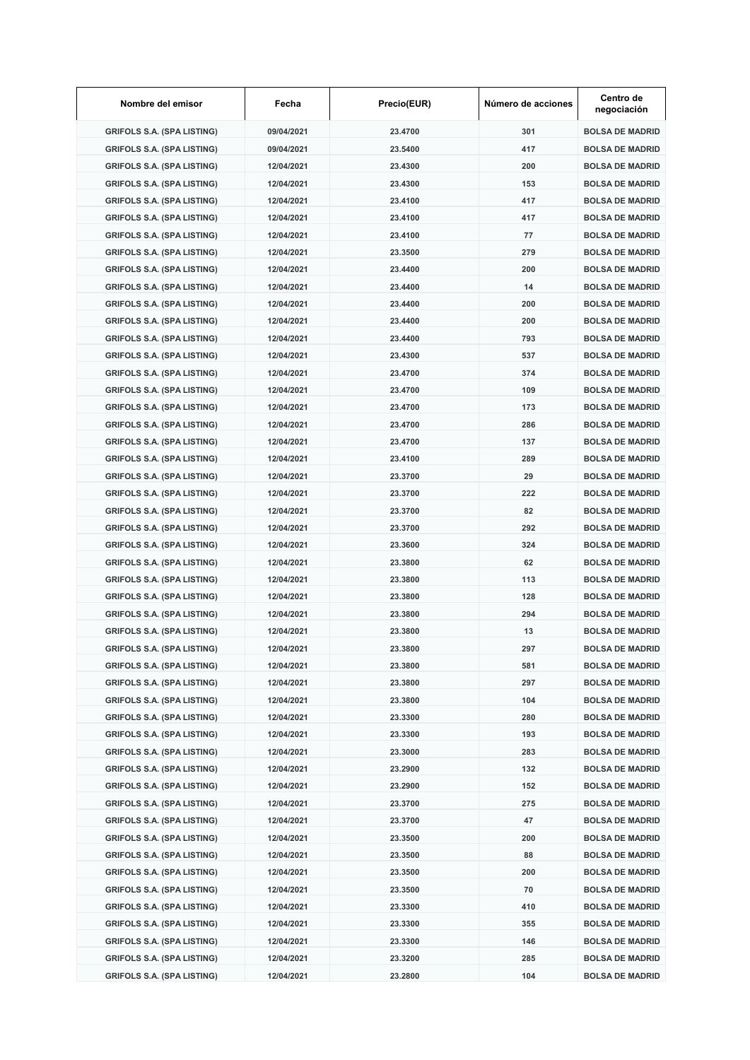| Nombre del emisor                 | Fecha      | Precio(EUR) | Número de acciones | Centro de<br>negociación |
|-----------------------------------|------------|-------------|--------------------|--------------------------|
| <b>GRIFOLS S.A. (SPA LISTING)</b> | 09/04/2021 | 23.4700     | 301                | <b>BOLSA DE MADRID</b>   |
| <b>GRIFOLS S.A. (SPA LISTING)</b> | 09/04/2021 | 23.5400     | 417                | <b>BOLSA DE MADRID</b>   |
| <b>GRIFOLS S.A. (SPA LISTING)</b> | 12/04/2021 | 23.4300     | 200                | <b>BOLSA DE MADRID</b>   |
| <b>GRIFOLS S.A. (SPA LISTING)</b> | 12/04/2021 | 23.4300     | 153                | <b>BOLSA DE MADRID</b>   |
| <b>GRIFOLS S.A. (SPA LISTING)</b> | 12/04/2021 | 23.4100     | 417                | <b>BOLSA DE MADRID</b>   |
| <b>GRIFOLS S.A. (SPA LISTING)</b> | 12/04/2021 | 23.4100     | 417                | <b>BOLSA DE MADRID</b>   |
| <b>GRIFOLS S.A. (SPA LISTING)</b> | 12/04/2021 | 23.4100     | 77                 | <b>BOLSA DE MADRID</b>   |
| <b>GRIFOLS S.A. (SPA LISTING)</b> | 12/04/2021 | 23.3500     | 279                | <b>BOLSA DE MADRID</b>   |
| <b>GRIFOLS S.A. (SPA LISTING)</b> | 12/04/2021 | 23.4400     | 200                | <b>BOLSA DE MADRID</b>   |
| <b>GRIFOLS S.A. (SPA LISTING)</b> | 12/04/2021 | 23.4400     | 14                 | <b>BOLSA DE MADRID</b>   |
| <b>GRIFOLS S.A. (SPA LISTING)</b> | 12/04/2021 | 23.4400     | 200                | <b>BOLSA DE MADRID</b>   |
| <b>GRIFOLS S.A. (SPA LISTING)</b> | 12/04/2021 | 23.4400     | 200                | <b>BOLSA DE MADRID</b>   |
| <b>GRIFOLS S.A. (SPA LISTING)</b> | 12/04/2021 | 23.4400     | 793                | <b>BOLSA DE MADRID</b>   |
| <b>GRIFOLS S.A. (SPA LISTING)</b> | 12/04/2021 | 23.4300     | 537                | <b>BOLSA DE MADRID</b>   |
| <b>GRIFOLS S.A. (SPA LISTING)</b> | 12/04/2021 | 23.4700     | 374                | <b>BOLSA DE MADRID</b>   |
| <b>GRIFOLS S.A. (SPA LISTING)</b> | 12/04/2021 | 23.4700     | 109                | <b>BOLSA DE MADRID</b>   |
| <b>GRIFOLS S.A. (SPA LISTING)</b> | 12/04/2021 | 23.4700     | 173                | <b>BOLSA DE MADRID</b>   |
|                                   |            |             |                    | <b>BOLSA DE MADRID</b>   |
| <b>GRIFOLS S.A. (SPA LISTING)</b> | 12/04/2021 | 23.4700     | 286                |                          |
| <b>GRIFOLS S.A. (SPA LISTING)</b> | 12/04/2021 | 23.4700     | 137                | <b>BOLSA DE MADRID</b>   |
| <b>GRIFOLS S.A. (SPA LISTING)</b> | 12/04/2021 | 23.4100     | 289                | <b>BOLSA DE MADRID</b>   |
| <b>GRIFOLS S.A. (SPA LISTING)</b> | 12/04/2021 | 23.3700     | 29                 | <b>BOLSA DE MADRID</b>   |
| <b>GRIFOLS S.A. (SPA LISTING)</b> | 12/04/2021 | 23.3700     | 222                | <b>BOLSA DE MADRID</b>   |
| <b>GRIFOLS S.A. (SPA LISTING)</b> | 12/04/2021 | 23.3700     | 82                 | <b>BOLSA DE MADRID</b>   |
| <b>GRIFOLS S.A. (SPA LISTING)</b> | 12/04/2021 | 23.3700     | 292                | <b>BOLSA DE MADRID</b>   |
| <b>GRIFOLS S.A. (SPA LISTING)</b> | 12/04/2021 | 23.3600     | 324                | <b>BOLSA DE MADRID</b>   |
| <b>GRIFOLS S.A. (SPA LISTING)</b> | 12/04/2021 | 23.3800     | 62                 | <b>BOLSA DE MADRID</b>   |
| <b>GRIFOLS S.A. (SPA LISTING)</b> | 12/04/2021 | 23.3800     | 113                | <b>BOLSA DE MADRID</b>   |
| <b>GRIFOLS S.A. (SPA LISTING)</b> | 12/04/2021 | 23.3800     | 128                | <b>BOLSA DE MADRID</b>   |
| <b>GRIFOLS S.A. (SPA LISTING)</b> | 12/04/2021 | 23.3800     | 294                | <b>BOLSA DE MADRID</b>   |
| <b>GRIFOLS S.A. (SPA LISTING)</b> | 12/04/2021 | 23.3800     | 13                 | <b>BOLSA DE MADRID</b>   |
| <b>GRIFOLS S.A. (SPA LISTING)</b> | 12/04/2021 | 23.3800     | 297                | <b>BOLSA DE MADRID</b>   |
| <b>GRIFOLS S.A. (SPA LISTING)</b> | 12/04/2021 | 23.3800     | 581                | <b>BOLSA DE MADRID</b>   |
| <b>GRIFOLS S.A. (SPA LISTING)</b> | 12/04/2021 | 23.3800     | 297                | <b>BOLSA DE MADRID</b>   |
| <b>GRIFOLS S.A. (SPA LISTING)</b> | 12/04/2021 | 23.3800     | 104                | <b>BOLSA DE MADRID</b>   |
| <b>GRIFOLS S.A. (SPA LISTING)</b> | 12/04/2021 | 23.3300     | 280                | <b>BOLSA DE MADRID</b>   |
| <b>GRIFOLS S.A. (SPA LISTING)</b> | 12/04/2021 | 23.3300     | 193                | <b>BOLSA DE MADRID</b>   |
| <b>GRIFOLS S.A. (SPA LISTING)</b> | 12/04/2021 | 23.3000     | 283                | <b>BOLSA DE MADRID</b>   |
| <b>GRIFOLS S.A. (SPA LISTING)</b> | 12/04/2021 | 23.2900     | 132                | <b>BOLSA DE MADRID</b>   |
| <b>GRIFOLS S.A. (SPA LISTING)</b> | 12/04/2021 | 23.2900     | 152                | <b>BOLSA DE MADRID</b>   |
| <b>GRIFOLS S.A. (SPA LISTING)</b> | 12/04/2021 | 23.3700     | 275                | <b>BOLSA DE MADRID</b>   |
| <b>GRIFOLS S.A. (SPA LISTING)</b> | 12/04/2021 | 23.3700     | 47                 | <b>BOLSA DE MADRID</b>   |
| <b>GRIFOLS S.A. (SPA LISTING)</b> | 12/04/2021 | 23.3500     | 200                | <b>BOLSA DE MADRID</b>   |
| <b>GRIFOLS S.A. (SPA LISTING)</b> | 12/04/2021 | 23.3500     | 88                 | <b>BOLSA DE MADRID</b>   |
|                                   |            |             |                    |                          |
| <b>GRIFOLS S.A. (SPA LISTING)</b> | 12/04/2021 | 23.3500     | 200                | <b>BOLSA DE MADRID</b>   |
| <b>GRIFOLS S.A. (SPA LISTING)</b> | 12/04/2021 | 23.3500     | 70                 | <b>BOLSA DE MADRID</b>   |
| <b>GRIFOLS S.A. (SPA LISTING)</b> | 12/04/2021 | 23.3300     | 410                | <b>BOLSA DE MADRID</b>   |
| <b>GRIFOLS S.A. (SPA LISTING)</b> | 12/04/2021 | 23.3300     | 355                | <b>BOLSA DE MADRID</b>   |
| <b>GRIFOLS S.A. (SPA LISTING)</b> | 12/04/2021 | 23.3300     | 146                | <b>BOLSA DE MADRID</b>   |
| <b>GRIFOLS S.A. (SPA LISTING)</b> | 12/04/2021 | 23.3200     | 285                | <b>BOLSA DE MADRID</b>   |
| <b>GRIFOLS S.A. (SPA LISTING)</b> | 12/04/2021 | 23.2800     | 104                | <b>BOLSA DE MADRID</b>   |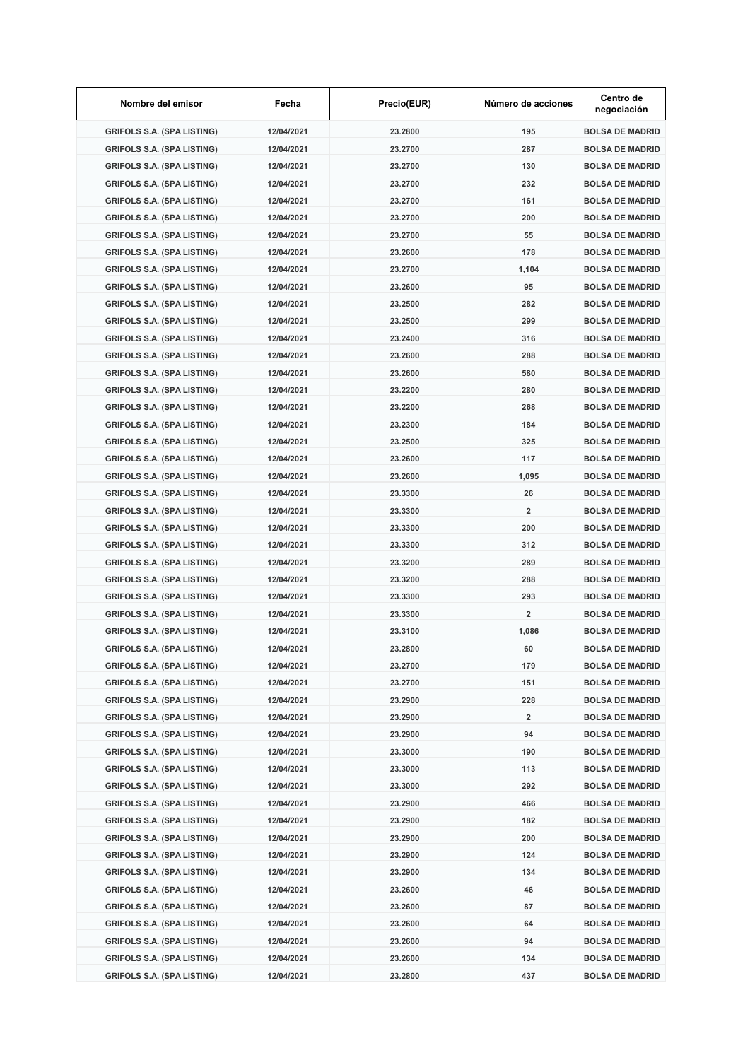| Nombre del emisor                 | Fecha      | Precio(EUR) | Número de acciones      | Centro de<br>negociación |
|-----------------------------------|------------|-------------|-------------------------|--------------------------|
| <b>GRIFOLS S.A. (SPA LISTING)</b> | 12/04/2021 | 23.2800     | 195                     | <b>BOLSA DE MADRID</b>   |
| <b>GRIFOLS S.A. (SPA LISTING)</b> | 12/04/2021 | 23.2700     | 287                     | <b>BOLSA DE MADRID</b>   |
| <b>GRIFOLS S.A. (SPA LISTING)</b> | 12/04/2021 | 23.2700     | 130                     | <b>BOLSA DE MADRID</b>   |
| <b>GRIFOLS S.A. (SPA LISTING)</b> | 12/04/2021 | 23.2700     | 232                     | <b>BOLSA DE MADRID</b>   |
| <b>GRIFOLS S.A. (SPA LISTING)</b> | 12/04/2021 | 23.2700     | 161                     | <b>BOLSA DE MADRID</b>   |
| <b>GRIFOLS S.A. (SPA LISTING)</b> | 12/04/2021 | 23.2700     | 200                     | <b>BOLSA DE MADRID</b>   |
| <b>GRIFOLS S.A. (SPA LISTING)</b> | 12/04/2021 | 23.2700     | 55                      | <b>BOLSA DE MADRID</b>   |
| <b>GRIFOLS S.A. (SPA LISTING)</b> | 12/04/2021 | 23.2600     | 178                     | <b>BOLSA DE MADRID</b>   |
| <b>GRIFOLS S.A. (SPA LISTING)</b> | 12/04/2021 | 23.2700     | 1,104                   | <b>BOLSA DE MADRID</b>   |
| <b>GRIFOLS S.A. (SPA LISTING)</b> | 12/04/2021 | 23.2600     | 95                      | <b>BOLSA DE MADRID</b>   |
| <b>GRIFOLS S.A. (SPA LISTING)</b> | 12/04/2021 | 23.2500     | 282                     | <b>BOLSA DE MADRID</b>   |
| <b>GRIFOLS S.A. (SPA LISTING)</b> | 12/04/2021 | 23.2500     | 299                     | <b>BOLSA DE MADRID</b>   |
| <b>GRIFOLS S.A. (SPA LISTING)</b> | 12/04/2021 | 23.2400     | 316                     | <b>BOLSA DE MADRID</b>   |
| <b>GRIFOLS S.A. (SPA LISTING)</b> | 12/04/2021 | 23.2600     | 288                     | <b>BOLSA DE MADRID</b>   |
| <b>GRIFOLS S.A. (SPA LISTING)</b> | 12/04/2021 | 23.2600     | 580                     | <b>BOLSA DE MADRID</b>   |
| <b>GRIFOLS S.A. (SPA LISTING)</b> | 12/04/2021 | 23.2200     | 280                     | <b>BOLSA DE MADRID</b>   |
| <b>GRIFOLS S.A. (SPA LISTING)</b> | 12/04/2021 | 23.2200     | 268                     | <b>BOLSA DE MADRID</b>   |
| <b>GRIFOLS S.A. (SPA LISTING)</b> |            |             |                         | <b>BOLSA DE MADRID</b>   |
|                                   | 12/04/2021 | 23.2300     | 184                     |                          |
| <b>GRIFOLS S.A. (SPA LISTING)</b> | 12/04/2021 | 23.2500     | 325                     | <b>BOLSA DE MADRID</b>   |
| <b>GRIFOLS S.A. (SPA LISTING)</b> | 12/04/2021 | 23.2600     | 117                     | <b>BOLSA DE MADRID</b>   |
| <b>GRIFOLS S.A. (SPA LISTING)</b> | 12/04/2021 | 23.2600     | 1,095                   | <b>BOLSA DE MADRID</b>   |
| <b>GRIFOLS S.A. (SPA LISTING)</b> | 12/04/2021 | 23.3300     | 26                      | <b>BOLSA DE MADRID</b>   |
| <b>GRIFOLS S.A. (SPA LISTING)</b> | 12/04/2021 | 23.3300     | $\overline{2}$          | <b>BOLSA DE MADRID</b>   |
| <b>GRIFOLS S.A. (SPA LISTING)</b> | 12/04/2021 | 23.3300     | 200                     | <b>BOLSA DE MADRID</b>   |
| <b>GRIFOLS S.A. (SPA LISTING)</b> | 12/04/2021 | 23.3300     | 312                     | <b>BOLSA DE MADRID</b>   |
| <b>GRIFOLS S.A. (SPA LISTING)</b> | 12/04/2021 | 23.3200     | 289                     | <b>BOLSA DE MADRID</b>   |
| <b>GRIFOLS S.A. (SPA LISTING)</b> | 12/04/2021 | 23.3200     | 288                     | <b>BOLSA DE MADRID</b>   |
| <b>GRIFOLS S.A. (SPA LISTING)</b> | 12/04/2021 | 23.3300     | 293                     | <b>BOLSA DE MADRID</b>   |
| <b>GRIFOLS S.A. (SPA LISTING)</b> | 12/04/2021 | 23.3300     | $\overline{\mathbf{2}}$ | <b>BOLSA DE MADRID</b>   |
| <b>GRIFOLS S.A. (SPA LISTING)</b> | 12/04/2021 | 23.3100     | 1,086                   | <b>BOLSA DE MADRID</b>   |
| <b>GRIFOLS S.A. (SPA LISTING)</b> | 12/04/2021 | 23.2800     | 60                      | <b>BOLSA DE MADRID</b>   |
| <b>GRIFOLS S.A. (SPA LISTING)</b> | 12/04/2021 | 23.2700     | 179                     | <b>BOLSA DE MADRID</b>   |
| <b>GRIFOLS S.A. (SPA LISTING)</b> | 12/04/2021 | 23.2700     | 151                     | <b>BOLSA DE MADRID</b>   |
| <b>GRIFOLS S.A. (SPA LISTING)</b> | 12/04/2021 | 23.2900     | 228                     | <b>BOLSA DE MADRID</b>   |
| <b>GRIFOLS S.A. (SPA LISTING)</b> | 12/04/2021 | 23.2900     | $\overline{2}$          | <b>BOLSA DE MADRID</b>   |
| <b>GRIFOLS S.A. (SPA LISTING)</b> | 12/04/2021 | 23.2900     | 94                      | <b>BOLSA DE MADRID</b>   |
| <b>GRIFOLS S.A. (SPA LISTING)</b> | 12/04/2021 | 23.3000     | 190                     | <b>BOLSA DE MADRID</b>   |
| <b>GRIFOLS S.A. (SPA LISTING)</b> | 12/04/2021 | 23.3000     | 113                     | <b>BOLSA DE MADRID</b>   |
| <b>GRIFOLS S.A. (SPA LISTING)</b> | 12/04/2021 | 23.3000     | 292                     | <b>BOLSA DE MADRID</b>   |
| <b>GRIFOLS S.A. (SPA LISTING)</b> | 12/04/2021 | 23.2900     | 466                     | <b>BOLSA DE MADRID</b>   |
| <b>GRIFOLS S.A. (SPA LISTING)</b> | 12/04/2021 | 23.2900     | 182                     | <b>BOLSA DE MADRID</b>   |
| <b>GRIFOLS S.A. (SPA LISTING)</b> | 12/04/2021 | 23.2900     | 200                     | <b>BOLSA DE MADRID</b>   |
| <b>GRIFOLS S.A. (SPA LISTING)</b> | 12/04/2021 | 23.2900     | 124                     | <b>BOLSA DE MADRID</b>   |
| <b>GRIFOLS S.A. (SPA LISTING)</b> | 12/04/2021 | 23.2900     | 134                     | <b>BOLSA DE MADRID</b>   |
| <b>GRIFOLS S.A. (SPA LISTING)</b> | 12/04/2021 | 23.2600     | 46                      | <b>BOLSA DE MADRID</b>   |
| <b>GRIFOLS S.A. (SPA LISTING)</b> | 12/04/2021 | 23.2600     | 87                      | <b>BOLSA DE MADRID</b>   |
| <b>GRIFOLS S.A. (SPA LISTING)</b> | 12/04/2021 | 23.2600     | 64                      | <b>BOLSA DE MADRID</b>   |
|                                   |            |             |                         |                          |
| <b>GRIFOLS S.A. (SPA LISTING)</b> | 12/04/2021 | 23.2600     | 94                      | <b>BOLSA DE MADRID</b>   |
| <b>GRIFOLS S.A. (SPA LISTING)</b> | 12/04/2021 | 23.2600     | 134                     | <b>BOLSA DE MADRID</b>   |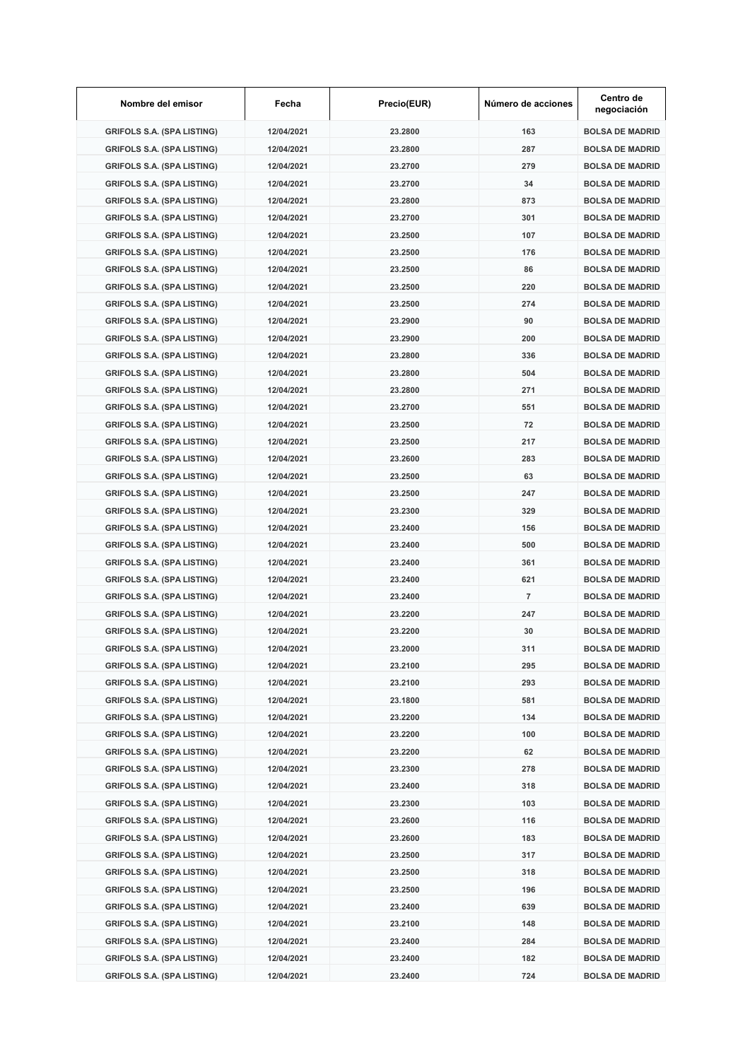| Nombre del emisor                 | Fecha      | Precio(EUR) | Número de acciones | Centro de<br>negociación |
|-----------------------------------|------------|-------------|--------------------|--------------------------|
| <b>GRIFOLS S.A. (SPA LISTING)</b> | 12/04/2021 | 23.2800     | 163                | <b>BOLSA DE MADRID</b>   |
| <b>GRIFOLS S.A. (SPA LISTING)</b> | 12/04/2021 | 23.2800     | 287                | <b>BOLSA DE MADRID</b>   |
| <b>GRIFOLS S.A. (SPA LISTING)</b> | 12/04/2021 | 23.2700     | 279                | <b>BOLSA DE MADRID</b>   |
| <b>GRIFOLS S.A. (SPA LISTING)</b> | 12/04/2021 | 23.2700     | 34                 | <b>BOLSA DE MADRID</b>   |
| <b>GRIFOLS S.A. (SPA LISTING)</b> | 12/04/2021 | 23.2800     | 873                | <b>BOLSA DE MADRID</b>   |
| <b>GRIFOLS S.A. (SPA LISTING)</b> | 12/04/2021 | 23.2700     | 301                | <b>BOLSA DE MADRID</b>   |
| <b>GRIFOLS S.A. (SPA LISTING)</b> | 12/04/2021 | 23.2500     | 107                | <b>BOLSA DE MADRID</b>   |
| <b>GRIFOLS S.A. (SPA LISTING)</b> | 12/04/2021 | 23.2500     | 176                | <b>BOLSA DE MADRID</b>   |
| <b>GRIFOLS S.A. (SPA LISTING)</b> | 12/04/2021 | 23.2500     | 86                 | <b>BOLSA DE MADRID</b>   |
| <b>GRIFOLS S.A. (SPA LISTING)</b> | 12/04/2021 | 23.2500     | 220                | <b>BOLSA DE MADRID</b>   |
| <b>GRIFOLS S.A. (SPA LISTING)</b> | 12/04/2021 | 23.2500     | 274                | <b>BOLSA DE MADRID</b>   |
| <b>GRIFOLS S.A. (SPA LISTING)</b> | 12/04/2021 | 23.2900     | 90                 | <b>BOLSA DE MADRID</b>   |
| <b>GRIFOLS S.A. (SPA LISTING)</b> | 12/04/2021 | 23.2900     | 200                | <b>BOLSA DE MADRID</b>   |
| <b>GRIFOLS S.A. (SPA LISTING)</b> | 12/04/2021 | 23.2800     | 336                | <b>BOLSA DE MADRID</b>   |
| <b>GRIFOLS S.A. (SPA LISTING)</b> | 12/04/2021 | 23.2800     | 504                | <b>BOLSA DE MADRID</b>   |
| <b>GRIFOLS S.A. (SPA LISTING)</b> | 12/04/2021 | 23.2800     | 271                | <b>BOLSA DE MADRID</b>   |
| <b>GRIFOLS S.A. (SPA LISTING)</b> | 12/04/2021 | 23.2700     | 551                | <b>BOLSA DE MADRID</b>   |
| <b>GRIFOLS S.A. (SPA LISTING)</b> | 12/04/2021 | 23.2500     | 72                 | <b>BOLSA DE MADRID</b>   |
|                                   |            |             |                    |                          |
| <b>GRIFOLS S.A. (SPA LISTING)</b> | 12/04/2021 | 23.2500     | 217                | <b>BOLSA DE MADRID</b>   |
| <b>GRIFOLS S.A. (SPA LISTING)</b> | 12/04/2021 | 23.2600     | 283                | <b>BOLSA DE MADRID</b>   |
| <b>GRIFOLS S.A. (SPA LISTING)</b> | 12/04/2021 | 23.2500     | 63                 | <b>BOLSA DE MADRID</b>   |
| <b>GRIFOLS S.A. (SPA LISTING)</b> | 12/04/2021 | 23.2500     | 247                | <b>BOLSA DE MADRID</b>   |
| <b>GRIFOLS S.A. (SPA LISTING)</b> | 12/04/2021 | 23.2300     | 329                | <b>BOLSA DE MADRID</b>   |
| <b>GRIFOLS S.A. (SPA LISTING)</b> | 12/04/2021 | 23.2400     | 156                | <b>BOLSA DE MADRID</b>   |
| <b>GRIFOLS S.A. (SPA LISTING)</b> | 12/04/2021 | 23.2400     | 500                | <b>BOLSA DE MADRID</b>   |
| <b>GRIFOLS S.A. (SPA LISTING)</b> | 12/04/2021 | 23.2400     | 361                | <b>BOLSA DE MADRID</b>   |
| <b>GRIFOLS S.A. (SPA LISTING)</b> | 12/04/2021 | 23.2400     | 621                | <b>BOLSA DE MADRID</b>   |
| <b>GRIFOLS S.A. (SPA LISTING)</b> | 12/04/2021 | 23.2400     | $\overline{7}$     | <b>BOLSA DE MADRID</b>   |
| <b>GRIFOLS S.A. (SPA LISTING)</b> | 12/04/2021 | 23.2200     | 247                | <b>BOLSA DE MADRID</b>   |
| <b>GRIFOLS S.A. (SPA LISTING)</b> | 12/04/2021 | 23.2200     | 30                 | <b>BOLSA DE MADRID</b>   |
| <b>GRIFOLS S.A. (SPA LISTING)</b> | 12/04/2021 | 23.2000     | 311                | <b>BOLSA DE MADRID</b>   |
| <b>GRIFOLS S.A. (SPA LISTING)</b> | 12/04/2021 | 23.2100     | 295                | <b>BOLSA DE MADRID</b>   |
| <b>GRIFOLS S.A. (SPA LISTING)</b> | 12/04/2021 | 23.2100     | 293                | <b>BOLSA DE MADRID</b>   |
| <b>GRIFOLS S.A. (SPA LISTING)</b> | 12/04/2021 | 23.1800     | 581                | <b>BOLSA DE MADRID</b>   |
| <b>GRIFOLS S.A. (SPA LISTING)</b> | 12/04/2021 | 23.2200     | 134                | <b>BOLSA DE MADRID</b>   |
| <b>GRIFOLS S.A. (SPA LISTING)</b> | 12/04/2021 | 23.2200     | 100                | <b>BOLSA DE MADRID</b>   |
| <b>GRIFOLS S.A. (SPA LISTING)</b> | 12/04/2021 | 23.2200     | 62                 | <b>BOLSA DE MADRID</b>   |
| <b>GRIFOLS S.A. (SPA LISTING)</b> | 12/04/2021 | 23.2300     | 278                | <b>BOLSA DE MADRID</b>   |
| <b>GRIFOLS S.A. (SPA LISTING)</b> | 12/04/2021 | 23.2400     | 318                | <b>BOLSA DE MADRID</b>   |
| <b>GRIFOLS S.A. (SPA LISTING)</b> | 12/04/2021 | 23.2300     | 103                | <b>BOLSA DE MADRID</b>   |
| <b>GRIFOLS S.A. (SPA LISTING)</b> | 12/04/2021 | 23.2600     | 116                | <b>BOLSA DE MADRID</b>   |
| <b>GRIFOLS S.A. (SPA LISTING)</b> | 12/04/2021 | 23.2600     | 183                | <b>BOLSA DE MADRID</b>   |
| <b>GRIFOLS S.A. (SPA LISTING)</b> | 12/04/2021 | 23.2500     | 317                | <b>BOLSA DE MADRID</b>   |
|                                   |            |             |                    | <b>BOLSA DE MADRID</b>   |
| <b>GRIFOLS S.A. (SPA LISTING)</b> | 12/04/2021 | 23.2500     | 318                |                          |
| <b>GRIFOLS S.A. (SPA LISTING)</b> | 12/04/2021 | 23.2500     | 196                | <b>BOLSA DE MADRID</b>   |
| <b>GRIFOLS S.A. (SPA LISTING)</b> | 12/04/2021 | 23.2400     | 639                | <b>BOLSA DE MADRID</b>   |
| <b>GRIFOLS S.A. (SPA LISTING)</b> | 12/04/2021 | 23.2100     | 148                | <b>BOLSA DE MADRID</b>   |
| <b>GRIFOLS S.A. (SPA LISTING)</b> | 12/04/2021 | 23.2400     | 284                | <b>BOLSA DE MADRID</b>   |
| <b>GRIFOLS S.A. (SPA LISTING)</b> | 12/04/2021 | 23.2400     | 182                | <b>BOLSA DE MADRID</b>   |
| <b>GRIFOLS S.A. (SPA LISTING)</b> | 12/04/2021 | 23.2400     | 724                | <b>BOLSA DE MADRID</b>   |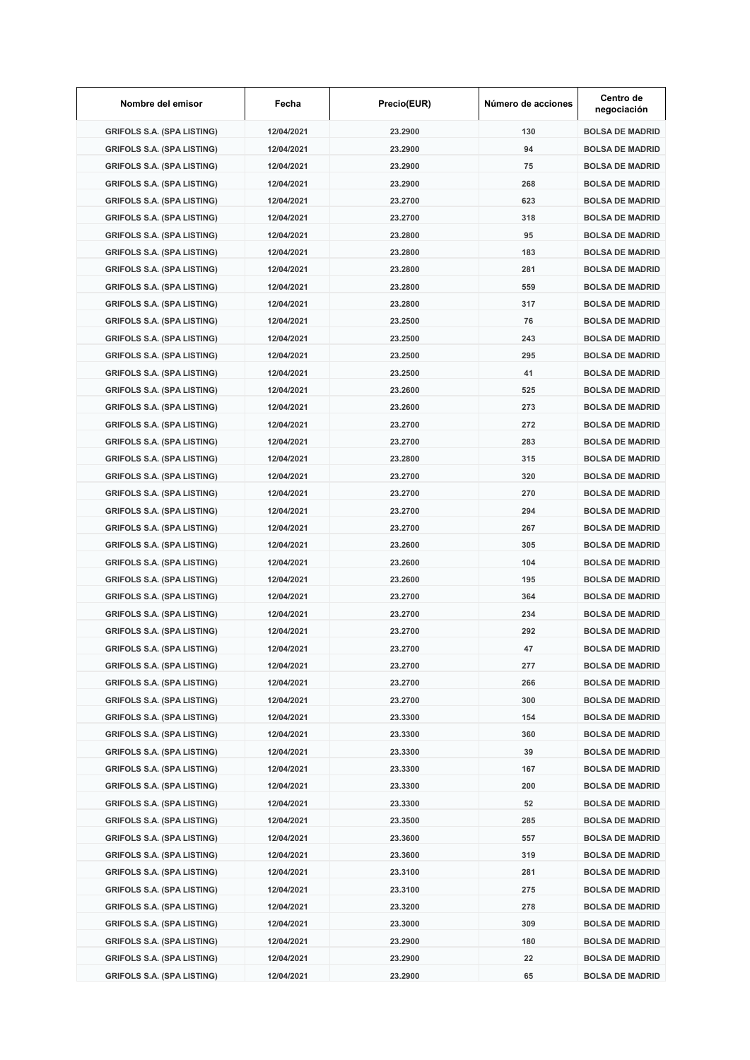| Nombre del emisor                 | Fecha      | Precio(EUR) | Número de acciones | Centro de<br>negociación |
|-----------------------------------|------------|-------------|--------------------|--------------------------|
| <b>GRIFOLS S.A. (SPA LISTING)</b> | 12/04/2021 | 23.2900     | 130                | <b>BOLSA DE MADRID</b>   |
| <b>GRIFOLS S.A. (SPA LISTING)</b> | 12/04/2021 | 23.2900     | 94                 | <b>BOLSA DE MADRID</b>   |
| <b>GRIFOLS S.A. (SPA LISTING)</b> | 12/04/2021 | 23.2900     | 75                 | <b>BOLSA DE MADRID</b>   |
| <b>GRIFOLS S.A. (SPA LISTING)</b> | 12/04/2021 | 23.2900     | 268                | <b>BOLSA DE MADRID</b>   |
| <b>GRIFOLS S.A. (SPA LISTING)</b> | 12/04/2021 | 23.2700     | 623                | <b>BOLSA DE MADRID</b>   |
| <b>GRIFOLS S.A. (SPA LISTING)</b> | 12/04/2021 | 23.2700     | 318                | <b>BOLSA DE MADRID</b>   |
| <b>GRIFOLS S.A. (SPA LISTING)</b> | 12/04/2021 | 23.2800     | 95                 | <b>BOLSA DE MADRID</b>   |
| <b>GRIFOLS S.A. (SPA LISTING)</b> | 12/04/2021 | 23.2800     | 183                | <b>BOLSA DE MADRID</b>   |
| <b>GRIFOLS S.A. (SPA LISTING)</b> | 12/04/2021 | 23.2800     | 281                | <b>BOLSA DE MADRID</b>   |
| <b>GRIFOLS S.A. (SPA LISTING)</b> | 12/04/2021 | 23.2800     | 559                | <b>BOLSA DE MADRID</b>   |
| <b>GRIFOLS S.A. (SPA LISTING)</b> | 12/04/2021 | 23.2800     | 317                | <b>BOLSA DE MADRID</b>   |
| <b>GRIFOLS S.A. (SPA LISTING)</b> | 12/04/2021 | 23.2500     | 76                 | <b>BOLSA DE MADRID</b>   |
| <b>GRIFOLS S.A. (SPA LISTING)</b> | 12/04/2021 | 23.2500     | 243                | <b>BOLSA DE MADRID</b>   |
| <b>GRIFOLS S.A. (SPA LISTING)</b> | 12/04/2021 | 23.2500     | 295                | <b>BOLSA DE MADRID</b>   |
| <b>GRIFOLS S.A. (SPA LISTING)</b> | 12/04/2021 | 23.2500     | 41                 | <b>BOLSA DE MADRID</b>   |
| <b>GRIFOLS S.A. (SPA LISTING)</b> | 12/04/2021 | 23.2600     | 525                | <b>BOLSA DE MADRID</b>   |
| <b>GRIFOLS S.A. (SPA LISTING)</b> | 12/04/2021 | 23.2600     | 273                | <b>BOLSA DE MADRID</b>   |
| <b>GRIFOLS S.A. (SPA LISTING)</b> | 12/04/2021 | 23.2700     | 272                | <b>BOLSA DE MADRID</b>   |
|                                   |            |             |                    |                          |
| <b>GRIFOLS S.A. (SPA LISTING)</b> | 12/04/2021 | 23.2700     | 283                | <b>BOLSA DE MADRID</b>   |
| <b>GRIFOLS S.A. (SPA LISTING)</b> | 12/04/2021 | 23.2800     | 315                | <b>BOLSA DE MADRID</b>   |
| <b>GRIFOLS S.A. (SPA LISTING)</b> | 12/04/2021 | 23.2700     | 320                | <b>BOLSA DE MADRID</b>   |
| <b>GRIFOLS S.A. (SPA LISTING)</b> | 12/04/2021 | 23.2700     | 270                | <b>BOLSA DE MADRID</b>   |
| <b>GRIFOLS S.A. (SPA LISTING)</b> | 12/04/2021 | 23.2700     | 294                | <b>BOLSA DE MADRID</b>   |
| <b>GRIFOLS S.A. (SPA LISTING)</b> | 12/04/2021 | 23.2700     | 267                | <b>BOLSA DE MADRID</b>   |
| <b>GRIFOLS S.A. (SPA LISTING)</b> | 12/04/2021 | 23.2600     | 305                | <b>BOLSA DE MADRID</b>   |
| <b>GRIFOLS S.A. (SPA LISTING)</b> | 12/04/2021 | 23.2600     | 104                | <b>BOLSA DE MADRID</b>   |
| <b>GRIFOLS S.A. (SPA LISTING)</b> | 12/04/2021 | 23.2600     | 195                | <b>BOLSA DE MADRID</b>   |
| <b>GRIFOLS S.A. (SPA LISTING)</b> | 12/04/2021 | 23.2700     | 364                | <b>BOLSA DE MADRID</b>   |
| <b>GRIFOLS S.A. (SPA LISTING)</b> | 12/04/2021 | 23.2700     | 234                | <b>BOLSA DE MADRID</b>   |
| <b>GRIFOLS S.A. (SPA LISTING)</b> | 12/04/2021 | 23.2700     | 292                | <b>BOLSA DE MADRID</b>   |
| <b>GRIFOLS S.A. (SPA LISTING)</b> | 12/04/2021 | 23.2700     | 47                 | <b>BOLSA DE MADRID</b>   |
| <b>GRIFOLS S.A. (SPA LISTING)</b> | 12/04/2021 | 23.2700     | 277                | <b>BOLSA DE MADRID</b>   |
| <b>GRIFOLS S.A. (SPA LISTING)</b> | 12/04/2021 | 23.2700     | 266                | <b>BOLSA DE MADRID</b>   |
| <b>GRIFOLS S.A. (SPA LISTING)</b> | 12/04/2021 | 23.2700     | 300                | <b>BOLSA DE MADRID</b>   |
| <b>GRIFOLS S.A. (SPA LISTING)</b> | 12/04/2021 | 23.3300     | 154                | <b>BOLSA DE MADRID</b>   |
| <b>GRIFOLS S.A. (SPA LISTING)</b> | 12/04/2021 | 23.3300     | 360                | <b>BOLSA DE MADRID</b>   |
| <b>GRIFOLS S.A. (SPA LISTING)</b> | 12/04/2021 | 23.3300     | 39                 | <b>BOLSA DE MADRID</b>   |
| <b>GRIFOLS S.A. (SPA LISTING)</b> | 12/04/2021 | 23.3300     | 167                | <b>BOLSA DE MADRID</b>   |
| <b>GRIFOLS S.A. (SPA LISTING)</b> | 12/04/2021 | 23.3300     | 200                | <b>BOLSA DE MADRID</b>   |
| <b>GRIFOLS S.A. (SPA LISTING)</b> | 12/04/2021 | 23.3300     | 52                 | <b>BOLSA DE MADRID</b>   |
| <b>GRIFOLS S.A. (SPA LISTING)</b> | 12/04/2021 | 23.3500     | 285                | <b>BOLSA DE MADRID</b>   |
| <b>GRIFOLS S.A. (SPA LISTING)</b> | 12/04/2021 | 23.3600     | 557                | <b>BOLSA DE MADRID</b>   |
| <b>GRIFOLS S.A. (SPA LISTING)</b> | 12/04/2021 | 23.3600     | 319                | <b>BOLSA DE MADRID</b>   |
|                                   |            |             |                    |                          |
| <b>GRIFOLS S.A. (SPA LISTING)</b> | 12/04/2021 | 23.3100     | 281                | <b>BOLSA DE MADRID</b>   |
| <b>GRIFOLS S.A. (SPA LISTING)</b> | 12/04/2021 | 23.3100     | 275                | <b>BOLSA DE MADRID</b>   |
| <b>GRIFOLS S.A. (SPA LISTING)</b> | 12/04/2021 | 23.3200     | 278                | <b>BOLSA DE MADRID</b>   |
| <b>GRIFOLS S.A. (SPA LISTING)</b> | 12/04/2021 | 23.3000     | 309                | <b>BOLSA DE MADRID</b>   |
| <b>GRIFOLS S.A. (SPA LISTING)</b> | 12/04/2021 | 23.2900     | 180                | <b>BOLSA DE MADRID</b>   |
| <b>GRIFOLS S.A. (SPA LISTING)</b> | 12/04/2021 | 23.2900     | 22                 | <b>BOLSA DE MADRID</b>   |
| <b>GRIFOLS S.A. (SPA LISTING)</b> | 12/04/2021 | 23.2900     | 65                 | <b>BOLSA DE MADRID</b>   |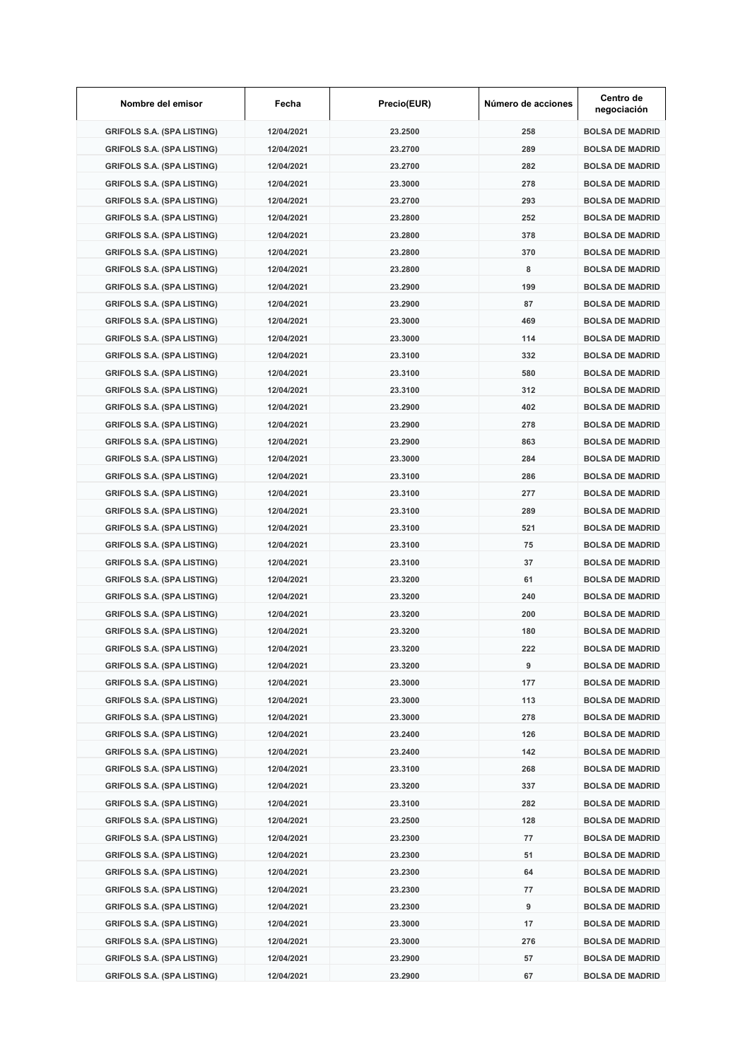| Nombre del emisor                 | Fecha      | Precio(EUR) | Número de acciones | Centro de<br>negociación |
|-----------------------------------|------------|-------------|--------------------|--------------------------|
| <b>GRIFOLS S.A. (SPA LISTING)</b> | 12/04/2021 | 23.2500     | 258                | <b>BOLSA DE MADRID</b>   |
| <b>GRIFOLS S.A. (SPA LISTING)</b> | 12/04/2021 | 23.2700     | 289                | <b>BOLSA DE MADRID</b>   |
| <b>GRIFOLS S.A. (SPA LISTING)</b> | 12/04/2021 | 23.2700     | 282                | <b>BOLSA DE MADRID</b>   |
| <b>GRIFOLS S.A. (SPA LISTING)</b> | 12/04/2021 | 23.3000     | 278                | <b>BOLSA DE MADRID</b>   |
| <b>GRIFOLS S.A. (SPA LISTING)</b> | 12/04/2021 | 23.2700     | 293                | <b>BOLSA DE MADRID</b>   |
| <b>GRIFOLS S.A. (SPA LISTING)</b> | 12/04/2021 | 23.2800     | 252                | <b>BOLSA DE MADRID</b>   |
| <b>GRIFOLS S.A. (SPA LISTING)</b> | 12/04/2021 | 23.2800     | 378                | <b>BOLSA DE MADRID</b>   |
| <b>GRIFOLS S.A. (SPA LISTING)</b> | 12/04/2021 | 23.2800     | 370                | <b>BOLSA DE MADRID</b>   |
| <b>GRIFOLS S.A. (SPA LISTING)</b> | 12/04/2021 | 23.2800     | 8                  | <b>BOLSA DE MADRID</b>   |
| <b>GRIFOLS S.A. (SPA LISTING)</b> | 12/04/2021 | 23.2900     | 199                | <b>BOLSA DE MADRID</b>   |
| <b>GRIFOLS S.A. (SPA LISTING)</b> | 12/04/2021 | 23.2900     | 87                 | <b>BOLSA DE MADRID</b>   |
| <b>GRIFOLS S.A. (SPA LISTING)</b> | 12/04/2021 | 23.3000     | 469                | <b>BOLSA DE MADRID</b>   |
| <b>GRIFOLS S.A. (SPA LISTING)</b> | 12/04/2021 | 23.3000     | 114                | <b>BOLSA DE MADRID</b>   |
| <b>GRIFOLS S.A. (SPA LISTING)</b> | 12/04/2021 | 23.3100     | 332                | <b>BOLSA DE MADRID</b>   |
| <b>GRIFOLS S.A. (SPA LISTING)</b> | 12/04/2021 | 23.3100     | 580                | <b>BOLSA DE MADRID</b>   |
| <b>GRIFOLS S.A. (SPA LISTING)</b> | 12/04/2021 | 23.3100     | 312                | <b>BOLSA DE MADRID</b>   |
| <b>GRIFOLS S.A. (SPA LISTING)</b> | 12/04/2021 | 23.2900     | 402                | <b>BOLSA DE MADRID</b>   |
| <b>GRIFOLS S.A. (SPA LISTING)</b> | 12/04/2021 | 23.2900     | 278                | <b>BOLSA DE MADRID</b>   |
| <b>GRIFOLS S.A. (SPA LISTING)</b> | 12/04/2021 | 23.2900     | 863                | <b>BOLSA DE MADRID</b>   |
| <b>GRIFOLS S.A. (SPA LISTING)</b> | 12/04/2021 | 23.3000     | 284                | <b>BOLSA DE MADRID</b>   |
| <b>GRIFOLS S.A. (SPA LISTING)</b> | 12/04/2021 | 23.3100     | 286                | <b>BOLSA DE MADRID</b>   |
| <b>GRIFOLS S.A. (SPA LISTING)</b> | 12/04/2021 | 23.3100     | 277                | <b>BOLSA DE MADRID</b>   |
| <b>GRIFOLS S.A. (SPA LISTING)</b> | 12/04/2021 | 23.3100     | 289                | <b>BOLSA DE MADRID</b>   |
| <b>GRIFOLS S.A. (SPA LISTING)</b> | 12/04/2021 | 23.3100     | 521                | <b>BOLSA DE MADRID</b>   |
| <b>GRIFOLS S.A. (SPA LISTING)</b> | 12/04/2021 | 23.3100     | 75                 | <b>BOLSA DE MADRID</b>   |
| <b>GRIFOLS S.A. (SPA LISTING)</b> | 12/04/2021 | 23.3100     | 37                 | <b>BOLSA DE MADRID</b>   |
| <b>GRIFOLS S.A. (SPA LISTING)</b> | 12/04/2021 | 23.3200     | 61                 | <b>BOLSA DE MADRID</b>   |
| <b>GRIFOLS S.A. (SPA LISTING)</b> | 12/04/2021 | 23.3200     | 240                | <b>BOLSA DE MADRID</b>   |
| <b>GRIFOLS S.A. (SPA LISTING)</b> | 12/04/2021 | 23.3200     | 200                | <b>BOLSA DE MADRID</b>   |
| <b>GRIFOLS S.A. (SPA LISTING)</b> | 12/04/2021 | 23.3200     | 180                | <b>BOLSA DE MADRID</b>   |
| <b>GRIFOLS S.A. (SPA LISTING)</b> | 12/04/2021 | 23.3200     | 222                | <b>BOLSA DE MADRID</b>   |
| <b>GRIFOLS S.A. (SPA LISTING)</b> | 12/04/2021 | 23.3200     | 9                  | <b>BOLSA DE MADRID</b>   |
| <b>GRIFOLS S.A. (SPA LISTING)</b> | 12/04/2021 | 23.3000     | 177                | <b>BOLSA DE MADRID</b>   |
| <b>GRIFOLS S.A. (SPA LISTING)</b> | 12/04/2021 | 23.3000     | 113                | <b>BOLSA DE MADRID</b>   |
| <b>GRIFOLS S.A. (SPA LISTING)</b> | 12/04/2021 | 23.3000     | 278                | <b>BOLSA DE MADRID</b>   |
| <b>GRIFOLS S.A. (SPA LISTING)</b> | 12/04/2021 | 23.2400     | 126                | <b>BOLSA DE MADRID</b>   |
| <b>GRIFOLS S.A. (SPA LISTING)</b> | 12/04/2021 | 23.2400     | 142                | <b>BOLSA DE MADRID</b>   |
| <b>GRIFOLS S.A. (SPA LISTING)</b> | 12/04/2021 | 23.3100     | 268                | <b>BOLSA DE MADRID</b>   |
| <b>GRIFOLS S.A. (SPA LISTING)</b> | 12/04/2021 | 23.3200     | 337                | <b>BOLSA DE MADRID</b>   |
| <b>GRIFOLS S.A. (SPA LISTING)</b> | 12/04/2021 | 23.3100     | 282                | <b>BOLSA DE MADRID</b>   |
|                                   |            |             | 128                |                          |
| <b>GRIFOLS S.A. (SPA LISTING)</b> | 12/04/2021 | 23.2500     |                    | <b>BOLSA DE MADRID</b>   |
| <b>GRIFOLS S.A. (SPA LISTING)</b> | 12/04/2021 | 23.2300     | 77                 | <b>BOLSA DE MADRID</b>   |
| <b>GRIFOLS S.A. (SPA LISTING)</b> | 12/04/2021 | 23.2300     | 51                 | <b>BOLSA DE MADRID</b>   |
| <b>GRIFOLS S.A. (SPA LISTING)</b> | 12/04/2021 | 23.2300     | 64                 | <b>BOLSA DE MADRID</b>   |
| <b>GRIFOLS S.A. (SPA LISTING)</b> | 12/04/2021 | 23.2300     | 77                 | <b>BOLSA DE MADRID</b>   |
| <b>GRIFOLS S.A. (SPA LISTING)</b> | 12/04/2021 | 23.2300     | 9                  | <b>BOLSA DE MADRID</b>   |
| <b>GRIFOLS S.A. (SPA LISTING)</b> | 12/04/2021 | 23.3000     | 17                 | <b>BOLSA DE MADRID</b>   |
| <b>GRIFOLS S.A. (SPA LISTING)</b> | 12/04/2021 | 23.3000     | 276                | <b>BOLSA DE MADRID</b>   |
| <b>GRIFOLS S.A. (SPA LISTING)</b> | 12/04/2021 | 23.2900     | 57                 | <b>BOLSA DE MADRID</b>   |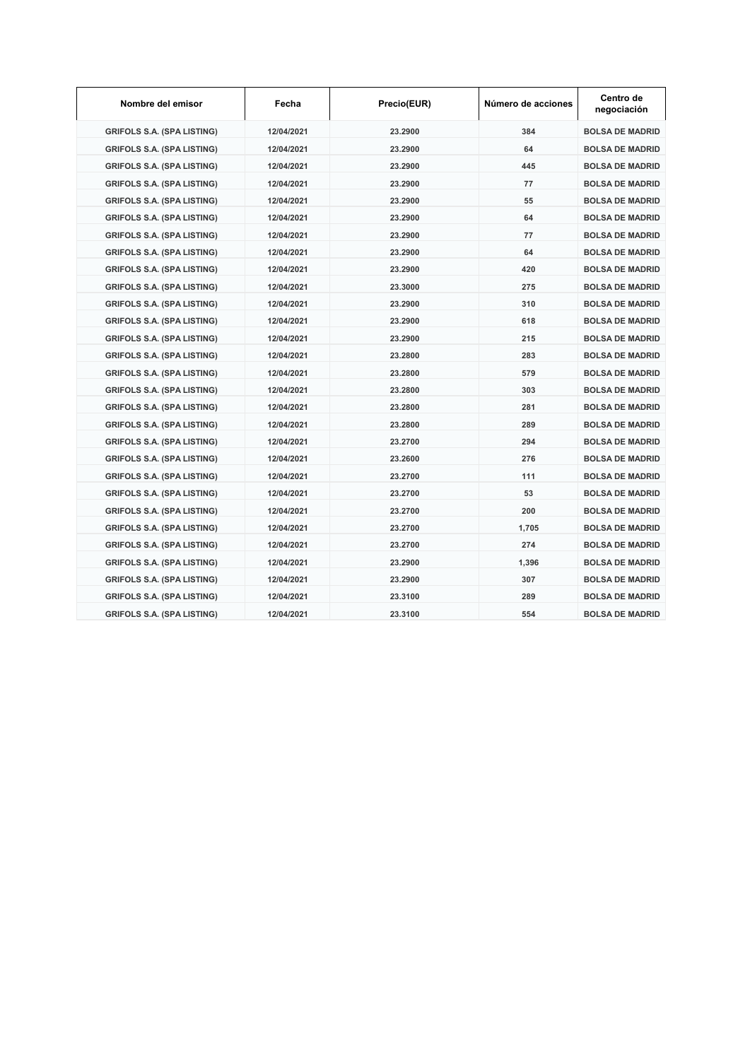| Nombre del emisor                 | Fecha      | Precio(EUR) | Número de acciones | Centro de<br>negociación |
|-----------------------------------|------------|-------------|--------------------|--------------------------|
| <b>GRIFOLS S.A. (SPA LISTING)</b> | 12/04/2021 | 23.2900     | 384                | <b>BOLSA DE MADRID</b>   |
| <b>GRIFOLS S.A. (SPA LISTING)</b> | 12/04/2021 | 23.2900     | 64                 | <b>BOLSA DE MADRID</b>   |
| <b>GRIFOLS S.A. (SPA LISTING)</b> | 12/04/2021 | 23.2900     | 445                | <b>BOLSA DE MADRID</b>   |
| <b>GRIFOLS S.A. (SPA LISTING)</b> | 12/04/2021 | 23.2900     | 77                 | <b>BOLSA DE MADRID</b>   |
| <b>GRIFOLS S.A. (SPA LISTING)</b> | 12/04/2021 | 23.2900     | 55                 | <b>BOLSA DE MADRID</b>   |
| <b>GRIFOLS S.A. (SPA LISTING)</b> | 12/04/2021 | 23.2900     | 64                 | <b>BOLSA DE MADRID</b>   |
| <b>GRIFOLS S.A. (SPA LISTING)</b> | 12/04/2021 | 23.2900     | 77                 | <b>BOLSA DE MADRID</b>   |
| <b>GRIFOLS S.A. (SPA LISTING)</b> | 12/04/2021 | 23.2900     | 64                 | <b>BOLSA DE MADRID</b>   |
| <b>GRIFOLS S.A. (SPA LISTING)</b> | 12/04/2021 | 23.2900     | 420                | <b>BOLSA DE MADRID</b>   |
| <b>GRIFOLS S.A. (SPA LISTING)</b> | 12/04/2021 | 23.3000     | 275                | <b>BOLSA DE MADRID</b>   |
| <b>GRIFOLS S.A. (SPA LISTING)</b> | 12/04/2021 | 23.2900     | 310                | <b>BOLSA DE MADRID</b>   |
| <b>GRIFOLS S.A. (SPA LISTING)</b> | 12/04/2021 | 23.2900     | 618                | <b>BOLSA DE MADRID</b>   |
| <b>GRIFOLS S.A. (SPA LISTING)</b> | 12/04/2021 | 23.2900     | 215                | <b>BOLSA DE MADRID</b>   |
| <b>GRIFOLS S.A. (SPA LISTING)</b> | 12/04/2021 | 23.2800     | 283                | <b>BOLSA DE MADRID</b>   |
| <b>GRIFOLS S.A. (SPA LISTING)</b> | 12/04/2021 | 23.2800     | 579                | <b>BOLSA DE MADRID</b>   |
| <b>GRIFOLS S.A. (SPA LISTING)</b> | 12/04/2021 | 23.2800     | 303                | <b>BOLSA DE MADRID</b>   |
| <b>GRIFOLS S.A. (SPA LISTING)</b> | 12/04/2021 | 23.2800     | 281                | <b>BOLSA DE MADRID</b>   |
| <b>GRIFOLS S.A. (SPA LISTING)</b> | 12/04/2021 | 23.2800     | 289                | <b>BOLSA DE MADRID</b>   |
| <b>GRIFOLS S.A. (SPA LISTING)</b> | 12/04/2021 | 23.2700     | 294                | <b>BOLSA DE MADRID</b>   |
| <b>GRIFOLS S.A. (SPA LISTING)</b> | 12/04/2021 | 23.2600     | 276                | <b>BOLSA DE MADRID</b>   |
| <b>GRIFOLS S.A. (SPA LISTING)</b> | 12/04/2021 | 23.2700     | 111                | <b>BOLSA DE MADRID</b>   |
| <b>GRIFOLS S.A. (SPA LISTING)</b> | 12/04/2021 | 23.2700     | 53                 | <b>BOLSA DE MADRID</b>   |
| <b>GRIFOLS S.A. (SPA LISTING)</b> | 12/04/2021 | 23.2700     | 200                | <b>BOLSA DE MADRID</b>   |
| <b>GRIFOLS S.A. (SPA LISTING)</b> | 12/04/2021 | 23.2700     | 1,705              | <b>BOLSA DE MADRID</b>   |
| <b>GRIFOLS S.A. (SPA LISTING)</b> | 12/04/2021 | 23.2700     | 274                | <b>BOLSA DE MADRID</b>   |
| <b>GRIFOLS S.A. (SPA LISTING)</b> | 12/04/2021 | 23.2900     | 1,396              | <b>BOLSA DE MADRID</b>   |
| <b>GRIFOLS S.A. (SPA LISTING)</b> | 12/04/2021 | 23.2900     | 307                | <b>BOLSA DE MADRID</b>   |
| <b>GRIFOLS S.A. (SPA LISTING)</b> | 12/04/2021 | 23.3100     | 289                | <b>BOLSA DE MADRID</b>   |
| <b>GRIFOLS S.A. (SPA LISTING)</b> | 12/04/2021 | 23.3100     | 554                | <b>BOLSA DE MADRID</b>   |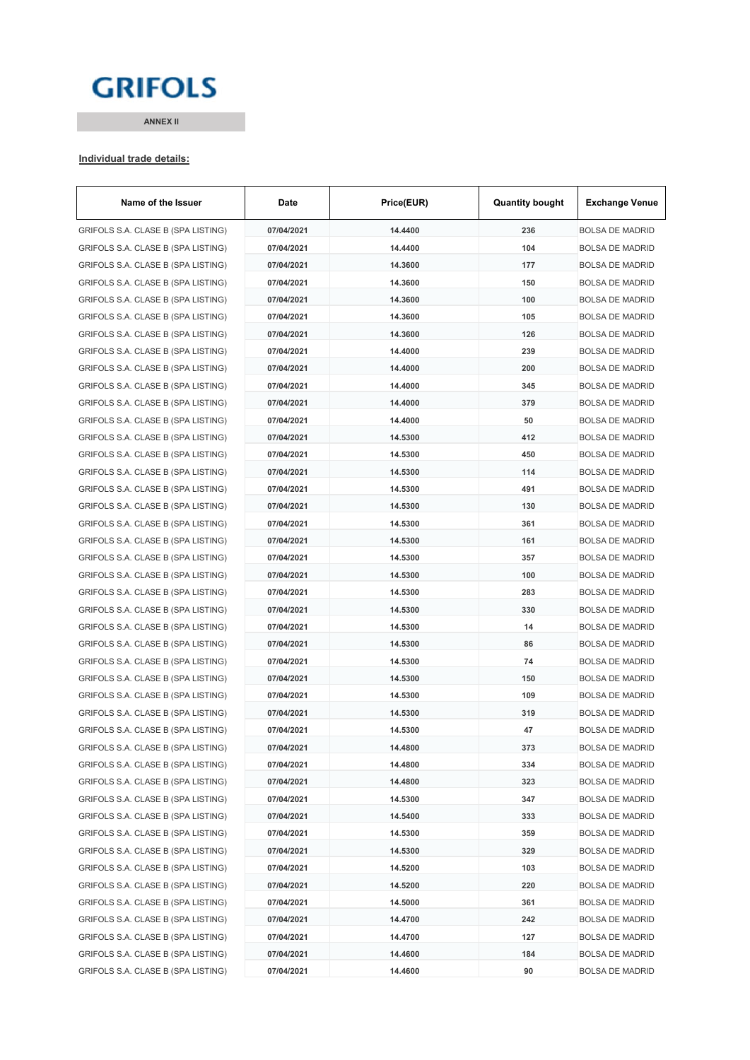# **GRIFOLS**

**ANNEX II**

#### **Individual trade details:**

| GRIFOLS S.A. CLASE B (SPA LISTING)<br>07/04/2021<br>14.4400<br>236<br><b>BOLSA DE MADRID</b><br>104<br>GRIFOLS S.A. CLASE B (SPA LISTING)<br>07/04/2021<br>14.4400<br><b>BOLSA DE MADRID</b><br>GRIFOLS S.A. CLASE B (SPA LISTING)<br>07/04/2021<br>14.3600<br>177<br><b>BOLSA DE MADRID</b><br>GRIFOLS S.A. CLASE B (SPA LISTING)<br>07/04/2021<br>14.3600<br>150<br><b>BOLSA DE MADRID</b><br>GRIFOLS S.A. CLASE B (SPA LISTING)<br>14.3600<br>100<br><b>BOLSA DE MADRID</b><br>07/04/2021<br>14.3600<br>105<br>GRIFOLS S.A. CLASE B (SPA LISTING)<br>07/04/2021<br><b>BOLSA DE MADRID</b><br>GRIFOLS S.A. CLASE B (SPA LISTING)<br>07/04/2021<br>14.3600<br>126<br><b>BOLSA DE MADRID</b><br>GRIFOLS S.A. CLASE B (SPA LISTING)<br>07/04/2021<br>14.4000<br>239<br><b>BOLSA DE MADRID</b><br>GRIFOLS S.A. CLASE B (SPA LISTING)<br>07/04/2021<br>14.4000<br>200<br><b>BOLSA DE MADRID</b><br>14.4000<br>345<br>GRIFOLS S.A. CLASE B (SPA LISTING)<br>07/04/2021<br><b>BOLSA DE MADRID</b><br>14.4000<br>GRIFOLS S.A. CLASE B (SPA LISTING)<br>07/04/2021<br>379<br><b>BOLSA DE MADRID</b><br>14.4000<br>GRIFOLS S.A. CLASE B (SPA LISTING)<br>07/04/2021<br>50<br><b>BOLSA DE MADRID</b><br>412<br>GRIFOLS S.A. CLASE B (SPA LISTING)<br>07/04/2021<br>14.5300<br><b>BOLSA DE MADRID</b><br>450<br>GRIFOLS S.A. CLASE B (SPA LISTING)<br>07/04/2021<br>14.5300<br><b>BOLSA DE MADRID</b><br>GRIFOLS S.A. CLASE B (SPA LISTING)<br>14.5300<br>114<br>07/04/2021<br><b>BOLSA DE MADRID</b><br>GRIFOLS S.A. CLASE B (SPA LISTING)<br>07/04/2021<br>14.5300<br>491<br><b>BOLSA DE MADRID</b><br>GRIFOLS S.A. CLASE B (SPA LISTING)<br>07/04/2021<br>14.5300<br>130<br><b>BOLSA DE MADRID</b><br>14.5300<br>361<br>GRIFOLS S.A. CLASE B (SPA LISTING)<br>07/04/2021<br><b>BOLSA DE MADRID</b><br>161<br>GRIFOLS S.A. CLASE B (SPA LISTING)<br>07/04/2021<br>14.5300<br><b>BOLSA DE MADRID</b><br>14.5300<br>357<br>GRIFOLS S.A. CLASE B (SPA LISTING)<br>07/04/2021<br><b>BOLSA DE MADRID</b><br>100<br>GRIFOLS S.A. CLASE B (SPA LISTING)<br>07/04/2021<br>14.5300<br><b>BOLSA DE MADRID</b><br>283<br>GRIFOLS S.A. CLASE B (SPA LISTING)<br>07/04/2021<br>14.5300<br><b>BOLSA DE MADRID</b><br>330<br>GRIFOLS S.A. CLASE B (SPA LISTING)<br>07/04/2021<br>14.5300<br><b>BOLSA DE MADRID</b><br>GRIFOLS S.A. CLASE B (SPA LISTING)<br>07/04/2021<br>14.5300<br>14<br><b>BOLSA DE MADRID</b><br>GRIFOLS S.A. CLASE B (SPA LISTING)<br>07/04/2021<br>14.5300<br>86<br><b>BOLSA DE MADRID</b><br>GRIFOLS S.A. CLASE B (SPA LISTING)<br>07/04/2021<br>14.5300<br>74<br><b>BOLSA DE MADRID</b><br>GRIFOLS S.A. CLASE B (SPA LISTING)<br>07/04/2021<br>14.5300<br>150<br><b>BOLSA DE MADRID</b><br>14.5300<br>109<br>07/04/2021<br>GRIFOLS S.A. CLASE B (SPA LISTING)<br><b>BOLSA DE MADRID</b><br>14.5300<br>319<br>GRIFOLS S.A. CLASE B (SPA LISTING)<br>07/04/2021<br><b>BOLSA DE MADRID</b><br>GRIFOLS S.A. CLASE B (SPA LISTING)<br>14.5300<br>47<br>07/04/2021<br><b>BOLSA DE MADRID</b><br>GRIFOLS S.A. CLASE B (SPA LISTING)<br>14.4800<br>373<br>07/04/2021<br>BOLSA DE MADRID<br>GRIFOLS S.A. CLASE B (SPA LISTING)<br>07/04/2021<br>14.4800<br>334<br><b>BOLSA DE MADRID</b><br>GRIFOLS S.A. CLASE B (SPA LISTING)<br>07/04/2021<br>14.4800<br>323<br><b>BOLSA DE MADRID</b><br>GRIFOLS S.A. CLASE B (SPA LISTING)<br>07/04/2021<br>14.5300<br>347<br><b>BOLSA DE MADRID</b><br>GRIFOLS S.A. CLASE B (SPA LISTING)<br>07/04/2021<br>14.5400<br>333<br><b>BOLSA DE MADRID</b><br>GRIFOLS S.A. CLASE B (SPA LISTING)<br>07/04/2021<br>14.5300<br>359<br><b>BOLSA DE MADRID</b><br>GRIFOLS S.A. CLASE B (SPA LISTING)<br>329<br>07/04/2021<br>14.5300<br><b>BOLSA DE MADRID</b><br>GRIFOLS S.A. CLASE B (SPA LISTING)<br>07/04/2021<br>14.5200<br>103<br><b>BOLSA DE MADRID</b><br>GRIFOLS S.A. CLASE B (SPA LISTING)<br>14.5200<br>220<br>07/04/2021<br><b>BOLSA DE MADRID</b><br>GRIFOLS S.A. CLASE B (SPA LISTING)<br>07/04/2021<br>14.5000<br>361<br><b>BOLSA DE MADRID</b><br>GRIFOLS S.A. CLASE B (SPA LISTING)<br>07/04/2021<br>14.4700<br>242<br><b>BOLSA DE MADRID</b><br>GRIFOLS S.A. CLASE B (SPA LISTING)<br>14.4700<br>07/04/2021<br>127<br><b>BOLSA DE MADRID</b><br>GRIFOLS S.A. CLASE B (SPA LISTING)<br>07/04/2021<br>14.4600<br>184<br><b>BOLSA DE MADRID</b> | Name of the Issuer                 | Date       | Price(EUR) | <b>Quantity bought</b> | <b>Exchange Venue</b>  |
|----------------------------------------------------------------------------------------------------------------------------------------------------------------------------------------------------------------------------------------------------------------------------------------------------------------------------------------------------------------------------------------------------------------------------------------------------------------------------------------------------------------------------------------------------------------------------------------------------------------------------------------------------------------------------------------------------------------------------------------------------------------------------------------------------------------------------------------------------------------------------------------------------------------------------------------------------------------------------------------------------------------------------------------------------------------------------------------------------------------------------------------------------------------------------------------------------------------------------------------------------------------------------------------------------------------------------------------------------------------------------------------------------------------------------------------------------------------------------------------------------------------------------------------------------------------------------------------------------------------------------------------------------------------------------------------------------------------------------------------------------------------------------------------------------------------------------------------------------------------------------------------------------------------------------------------------------------------------------------------------------------------------------------------------------------------------------------------------------------------------------------------------------------------------------------------------------------------------------------------------------------------------------------------------------------------------------------------------------------------------------------------------------------------------------------------------------------------------------------------------------------------------------------------------------------------------------------------------------------------------------------------------------------------------------------------------------------------------------------------------------------------------------------------------------------------------------------------------------------------------------------------------------------------------------------------------------------------------------------------------------------------------------------------------------------------------------------------------------------------------------------------------------------------------------------------------------------------------------------------------------------------------------------------------------------------------------------------------------------------------------------------------------------------------------------------------------------------------------------------------------------------------------------------------------------------------------------------------------------------------------------------------------------------------------------------------------------------------------------------------------------------------------------------------------------------------------------------------------------------------------------------------------------------------------------------------------------------------------------------------------------------------------------------------------------------------------------------------------------------------------------------------------------------------------------------------------------------------------------------------------------------------------------|------------------------------------|------------|------------|------------------------|------------------------|
|                                                                                                                                                                                                                                                                                                                                                                                                                                                                                                                                                                                                                                                                                                                                                                                                                                                                                                                                                                                                                                                                                                                                                                                                                                                                                                                                                                                                                                                                                                                                                                                                                                                                                                                                                                                                                                                                                                                                                                                                                                                                                                                                                                                                                                                                                                                                                                                                                                                                                                                                                                                                                                                                                                                                                                                                                                                                                                                                                                                                                                                                                                                                                                                                                                                                                                                                                                                                                                                                                                                                                                                                                                                                                                                                                                                                                                                                                                                                                                                                                                                                                                                                                                                                                                                                                  |                                    |            |            |                        |                        |
|                                                                                                                                                                                                                                                                                                                                                                                                                                                                                                                                                                                                                                                                                                                                                                                                                                                                                                                                                                                                                                                                                                                                                                                                                                                                                                                                                                                                                                                                                                                                                                                                                                                                                                                                                                                                                                                                                                                                                                                                                                                                                                                                                                                                                                                                                                                                                                                                                                                                                                                                                                                                                                                                                                                                                                                                                                                                                                                                                                                                                                                                                                                                                                                                                                                                                                                                                                                                                                                                                                                                                                                                                                                                                                                                                                                                                                                                                                                                                                                                                                                                                                                                                                                                                                                                                  |                                    |            |            |                        |                        |
|                                                                                                                                                                                                                                                                                                                                                                                                                                                                                                                                                                                                                                                                                                                                                                                                                                                                                                                                                                                                                                                                                                                                                                                                                                                                                                                                                                                                                                                                                                                                                                                                                                                                                                                                                                                                                                                                                                                                                                                                                                                                                                                                                                                                                                                                                                                                                                                                                                                                                                                                                                                                                                                                                                                                                                                                                                                                                                                                                                                                                                                                                                                                                                                                                                                                                                                                                                                                                                                                                                                                                                                                                                                                                                                                                                                                                                                                                                                                                                                                                                                                                                                                                                                                                                                                                  |                                    |            |            |                        |                        |
|                                                                                                                                                                                                                                                                                                                                                                                                                                                                                                                                                                                                                                                                                                                                                                                                                                                                                                                                                                                                                                                                                                                                                                                                                                                                                                                                                                                                                                                                                                                                                                                                                                                                                                                                                                                                                                                                                                                                                                                                                                                                                                                                                                                                                                                                                                                                                                                                                                                                                                                                                                                                                                                                                                                                                                                                                                                                                                                                                                                                                                                                                                                                                                                                                                                                                                                                                                                                                                                                                                                                                                                                                                                                                                                                                                                                                                                                                                                                                                                                                                                                                                                                                                                                                                                                                  |                                    |            |            |                        |                        |
|                                                                                                                                                                                                                                                                                                                                                                                                                                                                                                                                                                                                                                                                                                                                                                                                                                                                                                                                                                                                                                                                                                                                                                                                                                                                                                                                                                                                                                                                                                                                                                                                                                                                                                                                                                                                                                                                                                                                                                                                                                                                                                                                                                                                                                                                                                                                                                                                                                                                                                                                                                                                                                                                                                                                                                                                                                                                                                                                                                                                                                                                                                                                                                                                                                                                                                                                                                                                                                                                                                                                                                                                                                                                                                                                                                                                                                                                                                                                                                                                                                                                                                                                                                                                                                                                                  |                                    |            |            |                        |                        |
|                                                                                                                                                                                                                                                                                                                                                                                                                                                                                                                                                                                                                                                                                                                                                                                                                                                                                                                                                                                                                                                                                                                                                                                                                                                                                                                                                                                                                                                                                                                                                                                                                                                                                                                                                                                                                                                                                                                                                                                                                                                                                                                                                                                                                                                                                                                                                                                                                                                                                                                                                                                                                                                                                                                                                                                                                                                                                                                                                                                                                                                                                                                                                                                                                                                                                                                                                                                                                                                                                                                                                                                                                                                                                                                                                                                                                                                                                                                                                                                                                                                                                                                                                                                                                                                                                  |                                    |            |            |                        |                        |
|                                                                                                                                                                                                                                                                                                                                                                                                                                                                                                                                                                                                                                                                                                                                                                                                                                                                                                                                                                                                                                                                                                                                                                                                                                                                                                                                                                                                                                                                                                                                                                                                                                                                                                                                                                                                                                                                                                                                                                                                                                                                                                                                                                                                                                                                                                                                                                                                                                                                                                                                                                                                                                                                                                                                                                                                                                                                                                                                                                                                                                                                                                                                                                                                                                                                                                                                                                                                                                                                                                                                                                                                                                                                                                                                                                                                                                                                                                                                                                                                                                                                                                                                                                                                                                                                                  |                                    |            |            |                        |                        |
|                                                                                                                                                                                                                                                                                                                                                                                                                                                                                                                                                                                                                                                                                                                                                                                                                                                                                                                                                                                                                                                                                                                                                                                                                                                                                                                                                                                                                                                                                                                                                                                                                                                                                                                                                                                                                                                                                                                                                                                                                                                                                                                                                                                                                                                                                                                                                                                                                                                                                                                                                                                                                                                                                                                                                                                                                                                                                                                                                                                                                                                                                                                                                                                                                                                                                                                                                                                                                                                                                                                                                                                                                                                                                                                                                                                                                                                                                                                                                                                                                                                                                                                                                                                                                                                                                  |                                    |            |            |                        |                        |
|                                                                                                                                                                                                                                                                                                                                                                                                                                                                                                                                                                                                                                                                                                                                                                                                                                                                                                                                                                                                                                                                                                                                                                                                                                                                                                                                                                                                                                                                                                                                                                                                                                                                                                                                                                                                                                                                                                                                                                                                                                                                                                                                                                                                                                                                                                                                                                                                                                                                                                                                                                                                                                                                                                                                                                                                                                                                                                                                                                                                                                                                                                                                                                                                                                                                                                                                                                                                                                                                                                                                                                                                                                                                                                                                                                                                                                                                                                                                                                                                                                                                                                                                                                                                                                                                                  |                                    |            |            |                        |                        |
|                                                                                                                                                                                                                                                                                                                                                                                                                                                                                                                                                                                                                                                                                                                                                                                                                                                                                                                                                                                                                                                                                                                                                                                                                                                                                                                                                                                                                                                                                                                                                                                                                                                                                                                                                                                                                                                                                                                                                                                                                                                                                                                                                                                                                                                                                                                                                                                                                                                                                                                                                                                                                                                                                                                                                                                                                                                                                                                                                                                                                                                                                                                                                                                                                                                                                                                                                                                                                                                                                                                                                                                                                                                                                                                                                                                                                                                                                                                                                                                                                                                                                                                                                                                                                                                                                  |                                    |            |            |                        |                        |
|                                                                                                                                                                                                                                                                                                                                                                                                                                                                                                                                                                                                                                                                                                                                                                                                                                                                                                                                                                                                                                                                                                                                                                                                                                                                                                                                                                                                                                                                                                                                                                                                                                                                                                                                                                                                                                                                                                                                                                                                                                                                                                                                                                                                                                                                                                                                                                                                                                                                                                                                                                                                                                                                                                                                                                                                                                                                                                                                                                                                                                                                                                                                                                                                                                                                                                                                                                                                                                                                                                                                                                                                                                                                                                                                                                                                                                                                                                                                                                                                                                                                                                                                                                                                                                                                                  |                                    |            |            |                        |                        |
|                                                                                                                                                                                                                                                                                                                                                                                                                                                                                                                                                                                                                                                                                                                                                                                                                                                                                                                                                                                                                                                                                                                                                                                                                                                                                                                                                                                                                                                                                                                                                                                                                                                                                                                                                                                                                                                                                                                                                                                                                                                                                                                                                                                                                                                                                                                                                                                                                                                                                                                                                                                                                                                                                                                                                                                                                                                                                                                                                                                                                                                                                                                                                                                                                                                                                                                                                                                                                                                                                                                                                                                                                                                                                                                                                                                                                                                                                                                                                                                                                                                                                                                                                                                                                                                                                  |                                    |            |            |                        |                        |
|                                                                                                                                                                                                                                                                                                                                                                                                                                                                                                                                                                                                                                                                                                                                                                                                                                                                                                                                                                                                                                                                                                                                                                                                                                                                                                                                                                                                                                                                                                                                                                                                                                                                                                                                                                                                                                                                                                                                                                                                                                                                                                                                                                                                                                                                                                                                                                                                                                                                                                                                                                                                                                                                                                                                                                                                                                                                                                                                                                                                                                                                                                                                                                                                                                                                                                                                                                                                                                                                                                                                                                                                                                                                                                                                                                                                                                                                                                                                                                                                                                                                                                                                                                                                                                                                                  |                                    |            |            |                        |                        |
|                                                                                                                                                                                                                                                                                                                                                                                                                                                                                                                                                                                                                                                                                                                                                                                                                                                                                                                                                                                                                                                                                                                                                                                                                                                                                                                                                                                                                                                                                                                                                                                                                                                                                                                                                                                                                                                                                                                                                                                                                                                                                                                                                                                                                                                                                                                                                                                                                                                                                                                                                                                                                                                                                                                                                                                                                                                                                                                                                                                                                                                                                                                                                                                                                                                                                                                                                                                                                                                                                                                                                                                                                                                                                                                                                                                                                                                                                                                                                                                                                                                                                                                                                                                                                                                                                  |                                    |            |            |                        |                        |
|                                                                                                                                                                                                                                                                                                                                                                                                                                                                                                                                                                                                                                                                                                                                                                                                                                                                                                                                                                                                                                                                                                                                                                                                                                                                                                                                                                                                                                                                                                                                                                                                                                                                                                                                                                                                                                                                                                                                                                                                                                                                                                                                                                                                                                                                                                                                                                                                                                                                                                                                                                                                                                                                                                                                                                                                                                                                                                                                                                                                                                                                                                                                                                                                                                                                                                                                                                                                                                                                                                                                                                                                                                                                                                                                                                                                                                                                                                                                                                                                                                                                                                                                                                                                                                                                                  |                                    |            |            |                        |                        |
|                                                                                                                                                                                                                                                                                                                                                                                                                                                                                                                                                                                                                                                                                                                                                                                                                                                                                                                                                                                                                                                                                                                                                                                                                                                                                                                                                                                                                                                                                                                                                                                                                                                                                                                                                                                                                                                                                                                                                                                                                                                                                                                                                                                                                                                                                                                                                                                                                                                                                                                                                                                                                                                                                                                                                                                                                                                                                                                                                                                                                                                                                                                                                                                                                                                                                                                                                                                                                                                                                                                                                                                                                                                                                                                                                                                                                                                                                                                                                                                                                                                                                                                                                                                                                                                                                  |                                    |            |            |                        |                        |
|                                                                                                                                                                                                                                                                                                                                                                                                                                                                                                                                                                                                                                                                                                                                                                                                                                                                                                                                                                                                                                                                                                                                                                                                                                                                                                                                                                                                                                                                                                                                                                                                                                                                                                                                                                                                                                                                                                                                                                                                                                                                                                                                                                                                                                                                                                                                                                                                                                                                                                                                                                                                                                                                                                                                                                                                                                                                                                                                                                                                                                                                                                                                                                                                                                                                                                                                                                                                                                                                                                                                                                                                                                                                                                                                                                                                                                                                                                                                                                                                                                                                                                                                                                                                                                                                                  |                                    |            |            |                        |                        |
|                                                                                                                                                                                                                                                                                                                                                                                                                                                                                                                                                                                                                                                                                                                                                                                                                                                                                                                                                                                                                                                                                                                                                                                                                                                                                                                                                                                                                                                                                                                                                                                                                                                                                                                                                                                                                                                                                                                                                                                                                                                                                                                                                                                                                                                                                                                                                                                                                                                                                                                                                                                                                                                                                                                                                                                                                                                                                                                                                                                                                                                                                                                                                                                                                                                                                                                                                                                                                                                                                                                                                                                                                                                                                                                                                                                                                                                                                                                                                                                                                                                                                                                                                                                                                                                                                  |                                    |            |            |                        |                        |
|                                                                                                                                                                                                                                                                                                                                                                                                                                                                                                                                                                                                                                                                                                                                                                                                                                                                                                                                                                                                                                                                                                                                                                                                                                                                                                                                                                                                                                                                                                                                                                                                                                                                                                                                                                                                                                                                                                                                                                                                                                                                                                                                                                                                                                                                                                                                                                                                                                                                                                                                                                                                                                                                                                                                                                                                                                                                                                                                                                                                                                                                                                                                                                                                                                                                                                                                                                                                                                                                                                                                                                                                                                                                                                                                                                                                                                                                                                                                                                                                                                                                                                                                                                                                                                                                                  |                                    |            |            |                        |                        |
|                                                                                                                                                                                                                                                                                                                                                                                                                                                                                                                                                                                                                                                                                                                                                                                                                                                                                                                                                                                                                                                                                                                                                                                                                                                                                                                                                                                                                                                                                                                                                                                                                                                                                                                                                                                                                                                                                                                                                                                                                                                                                                                                                                                                                                                                                                                                                                                                                                                                                                                                                                                                                                                                                                                                                                                                                                                                                                                                                                                                                                                                                                                                                                                                                                                                                                                                                                                                                                                                                                                                                                                                                                                                                                                                                                                                                                                                                                                                                                                                                                                                                                                                                                                                                                                                                  |                                    |            |            |                        |                        |
|                                                                                                                                                                                                                                                                                                                                                                                                                                                                                                                                                                                                                                                                                                                                                                                                                                                                                                                                                                                                                                                                                                                                                                                                                                                                                                                                                                                                                                                                                                                                                                                                                                                                                                                                                                                                                                                                                                                                                                                                                                                                                                                                                                                                                                                                                                                                                                                                                                                                                                                                                                                                                                                                                                                                                                                                                                                                                                                                                                                                                                                                                                                                                                                                                                                                                                                                                                                                                                                                                                                                                                                                                                                                                                                                                                                                                                                                                                                                                                                                                                                                                                                                                                                                                                                                                  |                                    |            |            |                        |                        |
|                                                                                                                                                                                                                                                                                                                                                                                                                                                                                                                                                                                                                                                                                                                                                                                                                                                                                                                                                                                                                                                                                                                                                                                                                                                                                                                                                                                                                                                                                                                                                                                                                                                                                                                                                                                                                                                                                                                                                                                                                                                                                                                                                                                                                                                                                                                                                                                                                                                                                                                                                                                                                                                                                                                                                                                                                                                                                                                                                                                                                                                                                                                                                                                                                                                                                                                                                                                                                                                                                                                                                                                                                                                                                                                                                                                                                                                                                                                                                                                                                                                                                                                                                                                                                                                                                  |                                    |            |            |                        |                        |
|                                                                                                                                                                                                                                                                                                                                                                                                                                                                                                                                                                                                                                                                                                                                                                                                                                                                                                                                                                                                                                                                                                                                                                                                                                                                                                                                                                                                                                                                                                                                                                                                                                                                                                                                                                                                                                                                                                                                                                                                                                                                                                                                                                                                                                                                                                                                                                                                                                                                                                                                                                                                                                                                                                                                                                                                                                                                                                                                                                                                                                                                                                                                                                                                                                                                                                                                                                                                                                                                                                                                                                                                                                                                                                                                                                                                                                                                                                                                                                                                                                                                                                                                                                                                                                                                                  |                                    |            |            |                        |                        |
|                                                                                                                                                                                                                                                                                                                                                                                                                                                                                                                                                                                                                                                                                                                                                                                                                                                                                                                                                                                                                                                                                                                                                                                                                                                                                                                                                                                                                                                                                                                                                                                                                                                                                                                                                                                                                                                                                                                                                                                                                                                                                                                                                                                                                                                                                                                                                                                                                                                                                                                                                                                                                                                                                                                                                                                                                                                                                                                                                                                                                                                                                                                                                                                                                                                                                                                                                                                                                                                                                                                                                                                                                                                                                                                                                                                                                                                                                                                                                                                                                                                                                                                                                                                                                                                                                  |                                    |            |            |                        |                        |
|                                                                                                                                                                                                                                                                                                                                                                                                                                                                                                                                                                                                                                                                                                                                                                                                                                                                                                                                                                                                                                                                                                                                                                                                                                                                                                                                                                                                                                                                                                                                                                                                                                                                                                                                                                                                                                                                                                                                                                                                                                                                                                                                                                                                                                                                                                                                                                                                                                                                                                                                                                                                                                                                                                                                                                                                                                                                                                                                                                                                                                                                                                                                                                                                                                                                                                                                                                                                                                                                                                                                                                                                                                                                                                                                                                                                                                                                                                                                                                                                                                                                                                                                                                                                                                                                                  |                                    |            |            |                        |                        |
|                                                                                                                                                                                                                                                                                                                                                                                                                                                                                                                                                                                                                                                                                                                                                                                                                                                                                                                                                                                                                                                                                                                                                                                                                                                                                                                                                                                                                                                                                                                                                                                                                                                                                                                                                                                                                                                                                                                                                                                                                                                                                                                                                                                                                                                                                                                                                                                                                                                                                                                                                                                                                                                                                                                                                                                                                                                                                                                                                                                                                                                                                                                                                                                                                                                                                                                                                                                                                                                                                                                                                                                                                                                                                                                                                                                                                                                                                                                                                                                                                                                                                                                                                                                                                                                                                  |                                    |            |            |                        |                        |
|                                                                                                                                                                                                                                                                                                                                                                                                                                                                                                                                                                                                                                                                                                                                                                                                                                                                                                                                                                                                                                                                                                                                                                                                                                                                                                                                                                                                                                                                                                                                                                                                                                                                                                                                                                                                                                                                                                                                                                                                                                                                                                                                                                                                                                                                                                                                                                                                                                                                                                                                                                                                                                                                                                                                                                                                                                                                                                                                                                                                                                                                                                                                                                                                                                                                                                                                                                                                                                                                                                                                                                                                                                                                                                                                                                                                                                                                                                                                                                                                                                                                                                                                                                                                                                                                                  |                                    |            |            |                        |                        |
|                                                                                                                                                                                                                                                                                                                                                                                                                                                                                                                                                                                                                                                                                                                                                                                                                                                                                                                                                                                                                                                                                                                                                                                                                                                                                                                                                                                                                                                                                                                                                                                                                                                                                                                                                                                                                                                                                                                                                                                                                                                                                                                                                                                                                                                                                                                                                                                                                                                                                                                                                                                                                                                                                                                                                                                                                                                                                                                                                                                                                                                                                                                                                                                                                                                                                                                                                                                                                                                                                                                                                                                                                                                                                                                                                                                                                                                                                                                                                                                                                                                                                                                                                                                                                                                                                  |                                    |            |            |                        |                        |
|                                                                                                                                                                                                                                                                                                                                                                                                                                                                                                                                                                                                                                                                                                                                                                                                                                                                                                                                                                                                                                                                                                                                                                                                                                                                                                                                                                                                                                                                                                                                                                                                                                                                                                                                                                                                                                                                                                                                                                                                                                                                                                                                                                                                                                                                                                                                                                                                                                                                                                                                                                                                                                                                                                                                                                                                                                                                                                                                                                                                                                                                                                                                                                                                                                                                                                                                                                                                                                                                                                                                                                                                                                                                                                                                                                                                                                                                                                                                                                                                                                                                                                                                                                                                                                                                                  |                                    |            |            |                        |                        |
|                                                                                                                                                                                                                                                                                                                                                                                                                                                                                                                                                                                                                                                                                                                                                                                                                                                                                                                                                                                                                                                                                                                                                                                                                                                                                                                                                                                                                                                                                                                                                                                                                                                                                                                                                                                                                                                                                                                                                                                                                                                                                                                                                                                                                                                                                                                                                                                                                                                                                                                                                                                                                                                                                                                                                                                                                                                                                                                                                                                                                                                                                                                                                                                                                                                                                                                                                                                                                                                                                                                                                                                                                                                                                                                                                                                                                                                                                                                                                                                                                                                                                                                                                                                                                                                                                  |                                    |            |            |                        |                        |
|                                                                                                                                                                                                                                                                                                                                                                                                                                                                                                                                                                                                                                                                                                                                                                                                                                                                                                                                                                                                                                                                                                                                                                                                                                                                                                                                                                                                                                                                                                                                                                                                                                                                                                                                                                                                                                                                                                                                                                                                                                                                                                                                                                                                                                                                                                                                                                                                                                                                                                                                                                                                                                                                                                                                                                                                                                                                                                                                                                                                                                                                                                                                                                                                                                                                                                                                                                                                                                                                                                                                                                                                                                                                                                                                                                                                                                                                                                                                                                                                                                                                                                                                                                                                                                                                                  |                                    |            |            |                        |                        |
|                                                                                                                                                                                                                                                                                                                                                                                                                                                                                                                                                                                                                                                                                                                                                                                                                                                                                                                                                                                                                                                                                                                                                                                                                                                                                                                                                                                                                                                                                                                                                                                                                                                                                                                                                                                                                                                                                                                                                                                                                                                                                                                                                                                                                                                                                                                                                                                                                                                                                                                                                                                                                                                                                                                                                                                                                                                                                                                                                                                                                                                                                                                                                                                                                                                                                                                                                                                                                                                                                                                                                                                                                                                                                                                                                                                                                                                                                                                                                                                                                                                                                                                                                                                                                                                                                  |                                    |            |            |                        |                        |
|                                                                                                                                                                                                                                                                                                                                                                                                                                                                                                                                                                                                                                                                                                                                                                                                                                                                                                                                                                                                                                                                                                                                                                                                                                                                                                                                                                                                                                                                                                                                                                                                                                                                                                                                                                                                                                                                                                                                                                                                                                                                                                                                                                                                                                                                                                                                                                                                                                                                                                                                                                                                                                                                                                                                                                                                                                                                                                                                                                                                                                                                                                                                                                                                                                                                                                                                                                                                                                                                                                                                                                                                                                                                                                                                                                                                                                                                                                                                                                                                                                                                                                                                                                                                                                                                                  |                                    |            |            |                        |                        |
|                                                                                                                                                                                                                                                                                                                                                                                                                                                                                                                                                                                                                                                                                                                                                                                                                                                                                                                                                                                                                                                                                                                                                                                                                                                                                                                                                                                                                                                                                                                                                                                                                                                                                                                                                                                                                                                                                                                                                                                                                                                                                                                                                                                                                                                                                                                                                                                                                                                                                                                                                                                                                                                                                                                                                                                                                                                                                                                                                                                                                                                                                                                                                                                                                                                                                                                                                                                                                                                                                                                                                                                                                                                                                                                                                                                                                                                                                                                                                                                                                                                                                                                                                                                                                                                                                  |                                    |            |            |                        |                        |
|                                                                                                                                                                                                                                                                                                                                                                                                                                                                                                                                                                                                                                                                                                                                                                                                                                                                                                                                                                                                                                                                                                                                                                                                                                                                                                                                                                                                                                                                                                                                                                                                                                                                                                                                                                                                                                                                                                                                                                                                                                                                                                                                                                                                                                                                                                                                                                                                                                                                                                                                                                                                                                                                                                                                                                                                                                                                                                                                                                                                                                                                                                                                                                                                                                                                                                                                                                                                                                                                                                                                                                                                                                                                                                                                                                                                                                                                                                                                                                                                                                                                                                                                                                                                                                                                                  |                                    |            |            |                        |                        |
|                                                                                                                                                                                                                                                                                                                                                                                                                                                                                                                                                                                                                                                                                                                                                                                                                                                                                                                                                                                                                                                                                                                                                                                                                                                                                                                                                                                                                                                                                                                                                                                                                                                                                                                                                                                                                                                                                                                                                                                                                                                                                                                                                                                                                                                                                                                                                                                                                                                                                                                                                                                                                                                                                                                                                                                                                                                                                                                                                                                                                                                                                                                                                                                                                                                                                                                                                                                                                                                                                                                                                                                                                                                                                                                                                                                                                                                                                                                                                                                                                                                                                                                                                                                                                                                                                  |                                    |            |            |                        |                        |
|                                                                                                                                                                                                                                                                                                                                                                                                                                                                                                                                                                                                                                                                                                                                                                                                                                                                                                                                                                                                                                                                                                                                                                                                                                                                                                                                                                                                                                                                                                                                                                                                                                                                                                                                                                                                                                                                                                                                                                                                                                                                                                                                                                                                                                                                                                                                                                                                                                                                                                                                                                                                                                                                                                                                                                                                                                                                                                                                                                                                                                                                                                                                                                                                                                                                                                                                                                                                                                                                                                                                                                                                                                                                                                                                                                                                                                                                                                                                                                                                                                                                                                                                                                                                                                                                                  |                                    |            |            |                        |                        |
|                                                                                                                                                                                                                                                                                                                                                                                                                                                                                                                                                                                                                                                                                                                                                                                                                                                                                                                                                                                                                                                                                                                                                                                                                                                                                                                                                                                                                                                                                                                                                                                                                                                                                                                                                                                                                                                                                                                                                                                                                                                                                                                                                                                                                                                                                                                                                                                                                                                                                                                                                                                                                                                                                                                                                                                                                                                                                                                                                                                                                                                                                                                                                                                                                                                                                                                                                                                                                                                                                                                                                                                                                                                                                                                                                                                                                                                                                                                                                                                                                                                                                                                                                                                                                                                                                  |                                    |            |            |                        |                        |
|                                                                                                                                                                                                                                                                                                                                                                                                                                                                                                                                                                                                                                                                                                                                                                                                                                                                                                                                                                                                                                                                                                                                                                                                                                                                                                                                                                                                                                                                                                                                                                                                                                                                                                                                                                                                                                                                                                                                                                                                                                                                                                                                                                                                                                                                                                                                                                                                                                                                                                                                                                                                                                                                                                                                                                                                                                                                                                                                                                                                                                                                                                                                                                                                                                                                                                                                                                                                                                                                                                                                                                                                                                                                                                                                                                                                                                                                                                                                                                                                                                                                                                                                                                                                                                                                                  |                                    |            |            |                        |                        |
|                                                                                                                                                                                                                                                                                                                                                                                                                                                                                                                                                                                                                                                                                                                                                                                                                                                                                                                                                                                                                                                                                                                                                                                                                                                                                                                                                                                                                                                                                                                                                                                                                                                                                                                                                                                                                                                                                                                                                                                                                                                                                                                                                                                                                                                                                                                                                                                                                                                                                                                                                                                                                                                                                                                                                                                                                                                                                                                                                                                                                                                                                                                                                                                                                                                                                                                                                                                                                                                                                                                                                                                                                                                                                                                                                                                                                                                                                                                                                                                                                                                                                                                                                                                                                                                                                  |                                    |            |            |                        |                        |
|                                                                                                                                                                                                                                                                                                                                                                                                                                                                                                                                                                                                                                                                                                                                                                                                                                                                                                                                                                                                                                                                                                                                                                                                                                                                                                                                                                                                                                                                                                                                                                                                                                                                                                                                                                                                                                                                                                                                                                                                                                                                                                                                                                                                                                                                                                                                                                                                                                                                                                                                                                                                                                                                                                                                                                                                                                                                                                                                                                                                                                                                                                                                                                                                                                                                                                                                                                                                                                                                                                                                                                                                                                                                                                                                                                                                                                                                                                                                                                                                                                                                                                                                                                                                                                                                                  |                                    |            |            |                        |                        |
|                                                                                                                                                                                                                                                                                                                                                                                                                                                                                                                                                                                                                                                                                                                                                                                                                                                                                                                                                                                                                                                                                                                                                                                                                                                                                                                                                                                                                                                                                                                                                                                                                                                                                                                                                                                                                                                                                                                                                                                                                                                                                                                                                                                                                                                                                                                                                                                                                                                                                                                                                                                                                                                                                                                                                                                                                                                                                                                                                                                                                                                                                                                                                                                                                                                                                                                                                                                                                                                                                                                                                                                                                                                                                                                                                                                                                                                                                                                                                                                                                                                                                                                                                                                                                                                                                  |                                    |            |            |                        |                        |
|                                                                                                                                                                                                                                                                                                                                                                                                                                                                                                                                                                                                                                                                                                                                                                                                                                                                                                                                                                                                                                                                                                                                                                                                                                                                                                                                                                                                                                                                                                                                                                                                                                                                                                                                                                                                                                                                                                                                                                                                                                                                                                                                                                                                                                                                                                                                                                                                                                                                                                                                                                                                                                                                                                                                                                                                                                                                                                                                                                                                                                                                                                                                                                                                                                                                                                                                                                                                                                                                                                                                                                                                                                                                                                                                                                                                                                                                                                                                                                                                                                                                                                                                                                                                                                                                                  |                                    |            |            |                        |                        |
|                                                                                                                                                                                                                                                                                                                                                                                                                                                                                                                                                                                                                                                                                                                                                                                                                                                                                                                                                                                                                                                                                                                                                                                                                                                                                                                                                                                                                                                                                                                                                                                                                                                                                                                                                                                                                                                                                                                                                                                                                                                                                                                                                                                                                                                                                                                                                                                                                                                                                                                                                                                                                                                                                                                                                                                                                                                                                                                                                                                                                                                                                                                                                                                                                                                                                                                                                                                                                                                                                                                                                                                                                                                                                                                                                                                                                                                                                                                                                                                                                                                                                                                                                                                                                                                                                  | GRIFOLS S.A. CLASE B (SPA LISTING) | 07/04/2021 | 14.4600    | 90                     | <b>BOLSA DE MADRID</b> |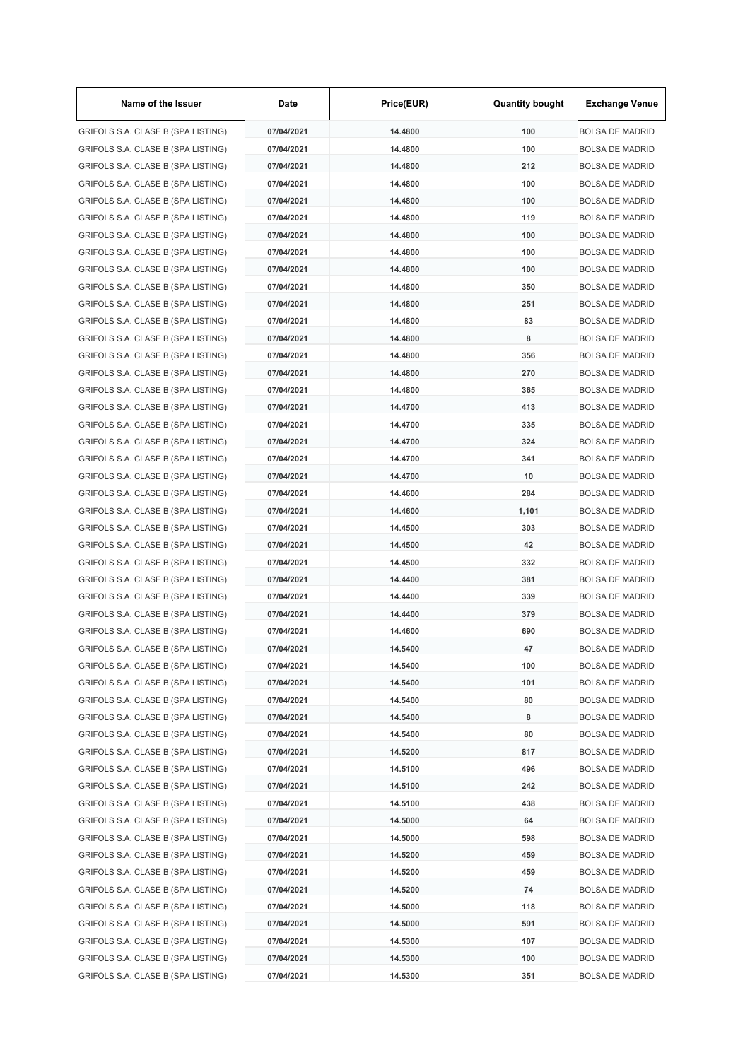| Name of the Issuer                 | Date       | Price(EUR) | <b>Quantity bought</b> | <b>Exchange Venue</b>  |
|------------------------------------|------------|------------|------------------------|------------------------|
| GRIFOLS S.A. CLASE B (SPA LISTING) | 07/04/2021 | 14.4800    | 100                    | <b>BOLSA DE MADRID</b> |
| GRIFOLS S.A. CLASE B (SPA LISTING) | 07/04/2021 | 14.4800    | 100                    | <b>BOLSA DE MADRID</b> |
| GRIFOLS S.A. CLASE B (SPA LISTING) | 07/04/2021 | 14.4800    | 212                    | <b>BOLSA DE MADRID</b> |
| GRIFOLS S.A. CLASE B (SPA LISTING) | 07/04/2021 | 14.4800    | 100                    | <b>BOLSA DE MADRID</b> |
| GRIFOLS S.A. CLASE B (SPA LISTING) | 07/04/2021 | 14.4800    | 100                    | <b>BOLSA DE MADRID</b> |
| GRIFOLS S.A. CLASE B (SPA LISTING) | 07/04/2021 | 14.4800    | 119                    | <b>BOLSA DE MADRID</b> |
| GRIFOLS S.A. CLASE B (SPA LISTING) | 07/04/2021 | 14.4800    | 100                    | <b>BOLSA DE MADRID</b> |
| GRIFOLS S.A. CLASE B (SPA LISTING) | 07/04/2021 | 14.4800    | 100                    | <b>BOLSA DE MADRID</b> |
| GRIFOLS S.A. CLASE B (SPA LISTING) | 07/04/2021 | 14.4800    | 100                    | <b>BOLSA DE MADRID</b> |
| GRIFOLS S.A. CLASE B (SPA LISTING) | 07/04/2021 | 14.4800    | 350                    | <b>BOLSA DE MADRID</b> |
| GRIFOLS S.A. CLASE B (SPA LISTING) | 07/04/2021 | 14.4800    | 251                    | <b>BOLSA DE MADRID</b> |
| GRIFOLS S.A. CLASE B (SPA LISTING) | 07/04/2021 | 14.4800    | 83                     | <b>BOLSA DE MADRID</b> |
| GRIFOLS S.A. CLASE B (SPA LISTING) | 07/04/2021 | 14.4800    | 8                      | <b>BOLSA DE MADRID</b> |
| GRIFOLS S.A. CLASE B (SPA LISTING) | 07/04/2021 | 14.4800    | 356                    | <b>BOLSA DE MADRID</b> |
| GRIFOLS S.A. CLASE B (SPA LISTING) | 07/04/2021 | 14.4800    | 270                    | <b>BOLSA DE MADRID</b> |
| GRIFOLS S.A. CLASE B (SPA LISTING) | 07/04/2021 | 14.4800    | 365                    | <b>BOLSA DE MADRID</b> |
| GRIFOLS S.A. CLASE B (SPA LISTING) | 07/04/2021 | 14.4700    | 413                    | <b>BOLSA DE MADRID</b> |
| GRIFOLS S.A. CLASE B (SPA LISTING) | 07/04/2021 | 14.4700    | 335                    | <b>BOLSA DE MADRID</b> |
| GRIFOLS S.A. CLASE B (SPA LISTING) | 07/04/2021 | 14.4700    | 324                    | <b>BOLSA DE MADRID</b> |
| GRIFOLS S.A. CLASE B (SPA LISTING) | 07/04/2021 | 14.4700    | 341                    | <b>BOLSA DE MADRID</b> |
|                                    | 07/04/2021 | 14.4700    | 10                     | <b>BOLSA DE MADRID</b> |
| GRIFOLS S.A. CLASE B (SPA LISTING) |            |            | 284                    | <b>BOLSA DE MADRID</b> |
| GRIFOLS S.A. CLASE B (SPA LISTING) | 07/04/2021 | 14.4600    |                        |                        |
| GRIFOLS S.A. CLASE B (SPA LISTING) | 07/04/2021 | 14.4600    | 1,101                  | <b>BOLSA DE MADRID</b> |
| GRIFOLS S.A. CLASE B (SPA LISTING) | 07/04/2021 | 14.4500    | 303                    | <b>BOLSA DE MADRID</b> |
| GRIFOLS S.A. CLASE B (SPA LISTING) | 07/04/2021 | 14.4500    | 42                     | <b>BOLSA DE MADRID</b> |
| GRIFOLS S.A. CLASE B (SPA LISTING) | 07/04/2021 | 14.4500    | 332                    | <b>BOLSA DE MADRID</b> |
| GRIFOLS S.A. CLASE B (SPA LISTING) | 07/04/2021 | 14.4400    | 381                    | <b>BOLSA DE MADRID</b> |
| GRIFOLS S.A. CLASE B (SPA LISTING) | 07/04/2021 | 14.4400    | 339                    | <b>BOLSA DE MADRID</b> |
| GRIFOLS S.A. CLASE B (SPA LISTING) | 07/04/2021 | 14.4400    | 379                    | <b>BOLSA DE MADRID</b> |
| GRIFOLS S.A. CLASE B (SPA LISTING) | 07/04/2021 | 14.4600    | 690                    | <b>BOLSA DE MADRID</b> |
| GRIFOLS S.A. CLASE B (SPA LISTING) | 07/04/2021 | 14.5400    | 47                     | <b>BOLSA DE MADRID</b> |
| GRIFOLS S.A. CLASE B (SPA LISTING) | 07/04/2021 | 14.5400    | 100                    | <b>BOLSA DE MADRID</b> |
| GRIFOLS S.A. CLASE B (SPA LISTING) | 07/04/2021 | 14.5400    | 101                    | <b>BOLSA DE MADRID</b> |
| GRIFOLS S.A. CLASE B (SPA LISTING) | 07/04/2021 | 14.5400    | 80                     | <b>BOLSA DE MADRID</b> |
| GRIFOLS S.A. CLASE B (SPA LISTING) | 07/04/2021 | 14.5400    | 8                      | <b>BOLSA DE MADRID</b> |
| GRIFOLS S.A. CLASE B (SPA LISTING) | 07/04/2021 | 14.5400    | 80                     | <b>BOLSA DE MADRID</b> |
| GRIFOLS S.A. CLASE B (SPA LISTING) | 07/04/2021 | 14.5200    | 817                    | <b>BOLSA DE MADRID</b> |
| GRIFOLS S.A. CLASE B (SPA LISTING) | 07/04/2021 | 14.5100    | 496                    | <b>BOLSA DE MADRID</b> |
| GRIFOLS S.A. CLASE B (SPA LISTING) | 07/04/2021 | 14.5100    | 242                    | <b>BOLSA DE MADRID</b> |
| GRIFOLS S.A. CLASE B (SPA LISTING) | 07/04/2021 | 14.5100    | 438                    | <b>BOLSA DE MADRID</b> |
| GRIFOLS S.A. CLASE B (SPA LISTING) | 07/04/2021 | 14.5000    | 64                     | <b>BOLSA DE MADRID</b> |
| GRIFOLS S.A. CLASE B (SPA LISTING) | 07/04/2021 | 14.5000    | 598                    | <b>BOLSA DE MADRID</b> |
| GRIFOLS S.A. CLASE B (SPA LISTING) | 07/04/2021 | 14.5200    | 459                    | BOLSA DE MADRID        |
| GRIFOLS S.A. CLASE B (SPA LISTING) | 07/04/2021 | 14.5200    | 459                    | <b>BOLSA DE MADRID</b> |
| GRIFOLS S.A. CLASE B (SPA LISTING) | 07/04/2021 | 14.5200    | 74                     | <b>BOLSA DE MADRID</b> |
| GRIFOLS S.A. CLASE B (SPA LISTING) | 07/04/2021 | 14.5000    | 118                    | <b>BOLSA DE MADRID</b> |
| GRIFOLS S.A. CLASE B (SPA LISTING) | 07/04/2021 | 14.5000    | 591                    | <b>BOLSA DE MADRID</b> |
| GRIFOLS S.A. CLASE B (SPA LISTING) | 07/04/2021 | 14.5300    | 107                    | <b>BOLSA DE MADRID</b> |
| GRIFOLS S.A. CLASE B (SPA LISTING) | 07/04/2021 | 14.5300    | 100                    | <b>BOLSA DE MADRID</b> |
| GRIFOLS S.A. CLASE B (SPA LISTING) | 07/04/2021 | 14.5300    | 351                    | <b>BOLSA DE MADRID</b> |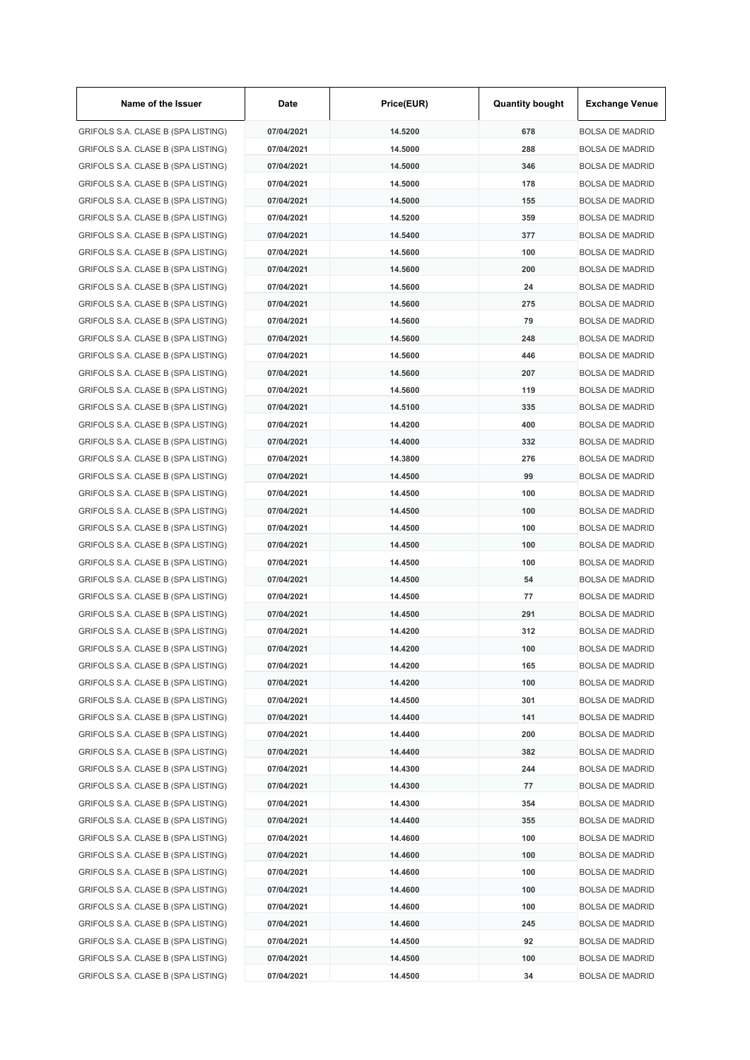| Name of the Issuer                 | Date       | Price(EUR) | <b>Quantity bought</b> | <b>Exchange Venue</b>  |
|------------------------------------|------------|------------|------------------------|------------------------|
| GRIFOLS S.A. CLASE B (SPA LISTING) | 07/04/2021 | 14.5200    | 678                    | <b>BOLSA DE MADRID</b> |
| GRIFOLS S.A. CLASE B (SPA LISTING) | 07/04/2021 | 14.5000    | 288                    | <b>BOLSA DE MADRID</b> |
| GRIFOLS S.A. CLASE B (SPA LISTING) | 07/04/2021 | 14.5000    | 346                    | <b>BOLSA DE MADRID</b> |
| GRIFOLS S.A. CLASE B (SPA LISTING) | 07/04/2021 | 14.5000    | 178                    | <b>BOLSA DE MADRID</b> |
| GRIFOLS S.A. CLASE B (SPA LISTING) | 07/04/2021 | 14.5000    | 155                    | <b>BOLSA DE MADRID</b> |
| GRIFOLS S.A. CLASE B (SPA LISTING) | 07/04/2021 | 14.5200    | 359                    | <b>BOLSA DE MADRID</b> |
| GRIFOLS S.A. CLASE B (SPA LISTING) | 07/04/2021 | 14.5400    | 377                    | <b>BOLSA DE MADRID</b> |
| GRIFOLS S.A. CLASE B (SPA LISTING) | 07/04/2021 | 14.5600    | 100                    | <b>BOLSA DE MADRID</b> |
| GRIFOLS S.A. CLASE B (SPA LISTING) | 07/04/2021 | 14.5600    | 200                    | <b>BOLSA DE MADRID</b> |
| GRIFOLS S.A. CLASE B (SPA LISTING) | 07/04/2021 | 14.5600    | 24                     | <b>BOLSA DE MADRID</b> |
| GRIFOLS S.A. CLASE B (SPA LISTING) | 07/04/2021 | 14.5600    | 275                    | <b>BOLSA DE MADRID</b> |
| GRIFOLS S.A. CLASE B (SPA LISTING) | 07/04/2021 | 14.5600    | 79                     | <b>BOLSA DE MADRID</b> |
| GRIFOLS S.A. CLASE B (SPA LISTING) | 07/04/2021 | 14.5600    | 248                    | <b>BOLSA DE MADRID</b> |
| GRIFOLS S.A. CLASE B (SPA LISTING) | 07/04/2021 | 14.5600    | 446                    | <b>BOLSA DE MADRID</b> |
| GRIFOLS S.A. CLASE B (SPA LISTING) | 07/04/2021 | 14.5600    | 207                    | <b>BOLSA DE MADRID</b> |
| GRIFOLS S.A. CLASE B (SPA LISTING) | 07/04/2021 | 14.5600    | 119                    | <b>BOLSA DE MADRID</b> |
| GRIFOLS S.A. CLASE B (SPA LISTING) | 07/04/2021 | 14.5100    | 335                    | <b>BOLSA DE MADRID</b> |
| GRIFOLS S.A. CLASE B (SPA LISTING) | 07/04/2021 | 14.4200    | 400                    | <b>BOLSA DE MADRID</b> |
| GRIFOLS S.A. CLASE B (SPA LISTING) | 07/04/2021 | 14.4000    | 332                    | <b>BOLSA DE MADRID</b> |
| GRIFOLS S.A. CLASE B (SPA LISTING) | 07/04/2021 | 14.3800    | 276                    | <b>BOLSA DE MADRID</b> |
|                                    | 07/04/2021 | 14.4500    | 99                     | <b>BOLSA DE MADRID</b> |
| GRIFOLS S.A. CLASE B (SPA LISTING) | 07/04/2021 | 14.4500    | 100                    |                        |
| GRIFOLS S.A. CLASE B (SPA LISTING) |            |            |                        | <b>BOLSA DE MADRID</b> |
| GRIFOLS S.A. CLASE B (SPA LISTING) | 07/04/2021 | 14.4500    | 100                    | <b>BOLSA DE MADRID</b> |
| GRIFOLS S.A. CLASE B (SPA LISTING) | 07/04/2021 | 14.4500    | 100                    | <b>BOLSA DE MADRID</b> |
| GRIFOLS S.A. CLASE B (SPA LISTING) | 07/04/2021 | 14.4500    | 100                    | <b>BOLSA DE MADRID</b> |
| GRIFOLS S.A. CLASE B (SPA LISTING) | 07/04/2021 | 14.4500    | 100                    | <b>BOLSA DE MADRID</b> |
| GRIFOLS S.A. CLASE B (SPA LISTING) | 07/04/2021 | 14.4500    | 54                     | <b>BOLSA DE MADRID</b> |
| GRIFOLS S.A. CLASE B (SPA LISTING) | 07/04/2021 | 14.4500    | 77                     | <b>BOLSA DE MADRID</b> |
| GRIFOLS S.A. CLASE B (SPA LISTING) | 07/04/2021 | 14.4500    | 291                    | <b>BOLSA DE MADRID</b> |
| GRIFOLS S.A. CLASE B (SPA LISTING) | 07/04/2021 | 14.4200    | 312                    | <b>BOLSA DE MADRID</b> |
| GRIFOLS S.A. CLASE B (SPA LISTING) | 07/04/2021 | 14.4200    | 100                    | <b>BOLSA DE MADRID</b> |
| GRIFOLS S.A. CLASE B (SPA LISTING) | 07/04/2021 | 14.4200    | 165                    | <b>BOLSA DE MADRID</b> |
| GRIFOLS S.A. CLASE B (SPA LISTING) | 07/04/2021 | 14.4200    | 100                    | <b>BOLSA DE MADRID</b> |
| GRIFOLS S.A. CLASE B (SPA LISTING) | 07/04/2021 | 14.4500    | 301                    | <b>BOLSA DE MADRID</b> |
| GRIFOLS S.A. CLASE B (SPA LISTING) | 07/04/2021 | 14.4400    | 141                    | <b>BOLSA DE MADRID</b> |
| GRIFOLS S.A. CLASE B (SPA LISTING) | 07/04/2021 | 14.4400    | 200                    | <b>BOLSA DE MADRID</b> |
| GRIFOLS S.A. CLASE B (SPA LISTING) | 07/04/2021 | 14.4400    | 382                    | <b>BOLSA DE MADRID</b> |
| GRIFOLS S.A. CLASE B (SPA LISTING) | 07/04/2021 | 14.4300    | 244                    | <b>BOLSA DE MADRID</b> |
| GRIFOLS S.A. CLASE B (SPA LISTING) | 07/04/2021 | 14.4300    | 77                     | <b>BOLSA DE MADRID</b> |
| GRIFOLS S.A. CLASE B (SPA LISTING) | 07/04/2021 | 14.4300    | 354                    | <b>BOLSA DE MADRID</b> |
| GRIFOLS S.A. CLASE B (SPA LISTING) | 07/04/2021 | 14.4400    | 355                    | <b>BOLSA DE MADRID</b> |
| GRIFOLS S.A. CLASE B (SPA LISTING) | 07/04/2021 | 14.4600    | 100                    | <b>BOLSA DE MADRID</b> |
| GRIFOLS S.A. CLASE B (SPA LISTING) | 07/04/2021 | 14.4600    | 100                    | <b>BOLSA DE MADRID</b> |
| GRIFOLS S.A. CLASE B (SPA LISTING) | 07/04/2021 | 14.4600    | 100                    | <b>BOLSA DE MADRID</b> |
| GRIFOLS S.A. CLASE B (SPA LISTING) | 07/04/2021 | 14.4600    | 100                    | <b>BOLSA DE MADRID</b> |
| GRIFOLS S.A. CLASE B (SPA LISTING) | 07/04/2021 | 14.4600    | 100                    | <b>BOLSA DE MADRID</b> |
| GRIFOLS S.A. CLASE B (SPA LISTING) | 07/04/2021 | 14.4600    | 245                    | <b>BOLSA DE MADRID</b> |
| GRIFOLS S.A. CLASE B (SPA LISTING) | 07/04/2021 | 14.4500    | 92                     | <b>BOLSA DE MADRID</b> |
| GRIFOLS S.A. CLASE B (SPA LISTING) | 07/04/2021 | 14.4500    | 100                    | <b>BOLSA DE MADRID</b> |
| GRIFOLS S.A. CLASE B (SPA LISTING) | 07/04/2021 | 14.4500    | 34                     | <b>BOLSA DE MADRID</b> |

 $\mathbf{r}$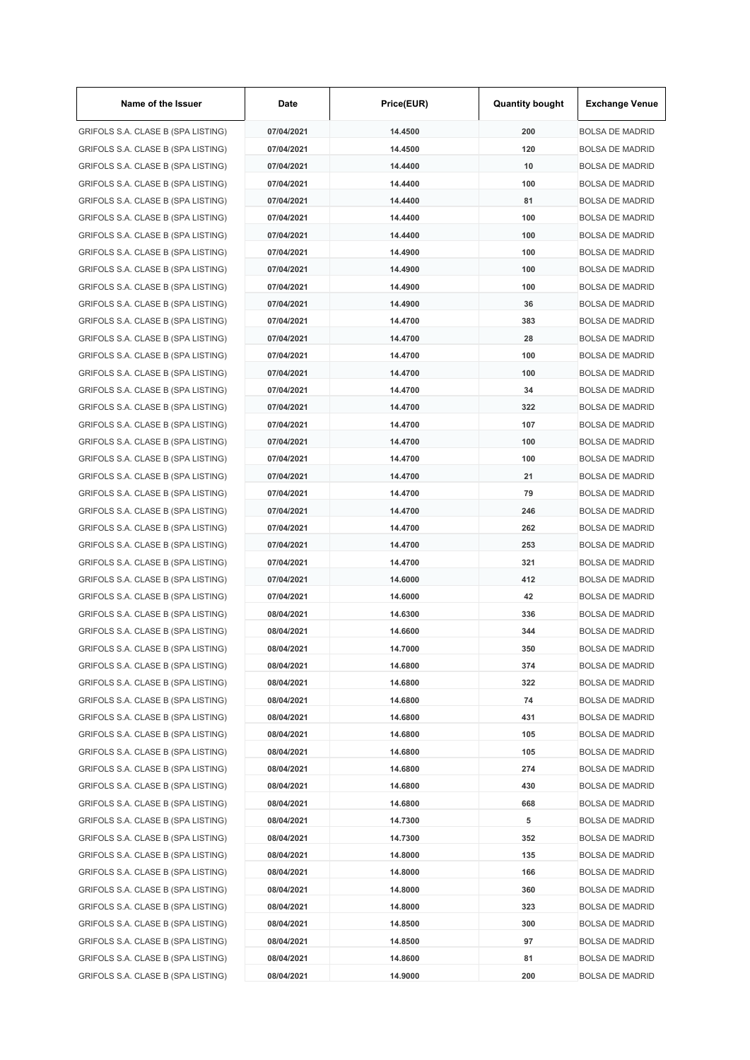| Name of the Issuer                 | Date       | Price(EUR) | <b>Quantity bought</b> | <b>Exchange Venue</b>  |
|------------------------------------|------------|------------|------------------------|------------------------|
| GRIFOLS S.A. CLASE B (SPA LISTING) | 07/04/2021 | 14.4500    | 200                    | <b>BOLSA DE MADRID</b> |
| GRIFOLS S.A. CLASE B (SPA LISTING) | 07/04/2021 | 14.4500    | 120                    | <b>BOLSA DE MADRID</b> |
| GRIFOLS S.A. CLASE B (SPA LISTING) | 07/04/2021 | 14.4400    | 10                     | <b>BOLSA DE MADRID</b> |
| GRIFOLS S.A. CLASE B (SPA LISTING) | 07/04/2021 | 14.4400    | 100                    | <b>BOLSA DE MADRID</b> |
| GRIFOLS S.A. CLASE B (SPA LISTING) | 07/04/2021 | 14.4400    | 81                     | <b>BOLSA DE MADRID</b> |
| GRIFOLS S.A. CLASE B (SPA LISTING) | 07/04/2021 | 14.4400    | 100                    | <b>BOLSA DE MADRID</b> |
| GRIFOLS S.A. CLASE B (SPA LISTING) | 07/04/2021 | 14.4400    | 100                    | <b>BOLSA DE MADRID</b> |
| GRIFOLS S.A. CLASE B (SPA LISTING) | 07/04/2021 | 14.4900    | 100                    | <b>BOLSA DE MADRID</b> |
| GRIFOLS S.A. CLASE B (SPA LISTING) | 07/04/2021 | 14.4900    | 100                    | <b>BOLSA DE MADRID</b> |
| GRIFOLS S.A. CLASE B (SPA LISTING) | 07/04/2021 | 14.4900    | 100                    | <b>BOLSA DE MADRID</b> |
| GRIFOLS S.A. CLASE B (SPA LISTING) | 07/04/2021 | 14.4900    | 36                     | <b>BOLSA DE MADRID</b> |
| GRIFOLS S.A. CLASE B (SPA LISTING) | 07/04/2021 | 14.4700    | 383                    | <b>BOLSA DE MADRID</b> |
| GRIFOLS S.A. CLASE B (SPA LISTING) | 07/04/2021 | 14.4700    | 28                     | <b>BOLSA DE MADRID</b> |
| GRIFOLS S.A. CLASE B (SPA LISTING) | 07/04/2021 | 14.4700    | 100                    | <b>BOLSA DE MADRID</b> |
| GRIFOLS S.A. CLASE B (SPA LISTING) | 07/04/2021 | 14.4700    | 100                    | <b>BOLSA DE MADRID</b> |
| GRIFOLS S.A. CLASE B (SPA LISTING) | 07/04/2021 | 14.4700    | 34                     | <b>BOLSA DE MADRID</b> |
| GRIFOLS S.A. CLASE B (SPA LISTING) | 07/04/2021 | 14.4700    | 322                    | <b>BOLSA DE MADRID</b> |
| GRIFOLS S.A. CLASE B (SPA LISTING) | 07/04/2021 | 14.4700    | 107                    | <b>BOLSA DE MADRID</b> |
| GRIFOLS S.A. CLASE B (SPA LISTING) | 07/04/2021 | 14.4700    | 100                    | <b>BOLSA DE MADRID</b> |
| GRIFOLS S.A. CLASE B (SPA LISTING) | 07/04/2021 | 14.4700    | 100                    | <b>BOLSA DE MADRID</b> |
| GRIFOLS S.A. CLASE B (SPA LISTING) | 07/04/2021 | 14.4700    | 21                     | <b>BOLSA DE MADRID</b> |
| GRIFOLS S.A. CLASE B (SPA LISTING) | 07/04/2021 | 14.4700    | 79                     | <b>BOLSA DE MADRID</b> |
| GRIFOLS S.A. CLASE B (SPA LISTING) | 07/04/2021 | 14.4700    | 246                    | <b>BOLSA DE MADRID</b> |
| GRIFOLS S.A. CLASE B (SPA LISTING) | 07/04/2021 | 14.4700    | 262                    | <b>BOLSA DE MADRID</b> |
| GRIFOLS S.A. CLASE B (SPA LISTING) | 07/04/2021 | 14.4700    | 253                    | <b>BOLSA DE MADRID</b> |
|                                    | 07/04/2021 | 14.4700    | 321                    | <b>BOLSA DE MADRID</b> |
| GRIFOLS S.A. CLASE B (SPA LISTING) |            |            | 412                    | <b>BOLSA DE MADRID</b> |
| GRIFOLS S.A. CLASE B (SPA LISTING) | 07/04/2021 | 14.6000    | 42                     |                        |
| GRIFOLS S.A. CLASE B (SPA LISTING) | 07/04/2021 | 14.6000    |                        | <b>BOLSA DE MADRID</b> |
| GRIFOLS S.A. CLASE B (SPA LISTING) | 08/04/2021 | 14.6300    | 336                    | <b>BOLSA DE MADRID</b> |
| GRIFOLS S.A. CLASE B (SPA LISTING) | 08/04/2021 | 14.6600    | 344                    | <b>BOLSA DE MADRID</b> |
| GRIFOLS S.A. CLASE B (SPA LISTING) | 08/04/2021 | 14.7000    | 350                    | <b>BOLSA DE MADRID</b> |
| GRIFOLS S.A. CLASE B (SPA LISTING) | 08/04/2021 | 14.6800    | 374                    | <b>BOLSA DE MADRID</b> |
| GRIFOLS S.A. CLASE B (SPA LISTING) | 08/04/2021 | 14.6800    | 322                    | <b>BOLSA DE MADRID</b> |
| GRIFOLS S.A. CLASE B (SPA LISTING) | 08/04/2021 | 14.6800    | 74                     | <b>BOLSA DE MADRID</b> |
| GRIFOLS S.A. CLASE B (SPA LISTING) | 08/04/2021 | 14.6800    | 431                    | <b>BOLSA DE MADRID</b> |
| GRIFOLS S.A. CLASE B (SPA LISTING) | 08/04/2021 | 14.6800    | 105                    | <b>BOLSA DE MADRID</b> |
| GRIFOLS S.A. CLASE B (SPA LISTING) | 08/04/2021 | 14.6800    | 105                    | <b>BOLSA DE MADRID</b> |
| GRIFOLS S.A. CLASE B (SPA LISTING) | 08/04/2021 | 14.6800    | 274                    | <b>BOLSA DE MADRID</b> |
| GRIFOLS S.A. CLASE B (SPA LISTING) | 08/04/2021 | 14.6800    | 430                    | <b>BOLSA DE MADRID</b> |
| GRIFOLS S.A. CLASE B (SPA LISTING) | 08/04/2021 | 14.6800    | 668                    | <b>BOLSA DE MADRID</b> |
| GRIFOLS S.A. CLASE B (SPA LISTING) | 08/04/2021 | 14.7300    | 5                      | <b>BOLSA DE MADRID</b> |
| GRIFOLS S.A. CLASE B (SPA LISTING) | 08/04/2021 | 14.7300    | 352                    | <b>BOLSA DE MADRID</b> |
| GRIFOLS S.A. CLASE B (SPA LISTING) | 08/04/2021 | 14.8000    | 135                    | <b>BOLSA DE MADRID</b> |
| GRIFOLS S.A. CLASE B (SPA LISTING) | 08/04/2021 | 14.8000    | 166                    | <b>BOLSA DE MADRID</b> |
| GRIFOLS S.A. CLASE B (SPA LISTING) | 08/04/2021 | 14.8000    | 360                    | <b>BOLSA DE MADRID</b> |
| GRIFOLS S.A. CLASE B (SPA LISTING) | 08/04/2021 | 14.8000    | 323                    | <b>BOLSA DE MADRID</b> |
| GRIFOLS S.A. CLASE B (SPA LISTING) | 08/04/2021 | 14.8500    | 300                    | <b>BOLSA DE MADRID</b> |
| GRIFOLS S.A. CLASE B (SPA LISTING) | 08/04/2021 | 14.8500    | 97                     | <b>BOLSA DE MADRID</b> |
| GRIFOLS S.A. CLASE B (SPA LISTING) | 08/04/2021 | 14.8600    | 81                     | <b>BOLSA DE MADRID</b> |
| GRIFOLS S.A. CLASE B (SPA LISTING) | 08/04/2021 | 14.9000    | 200                    | <b>BOLSA DE MADRID</b> |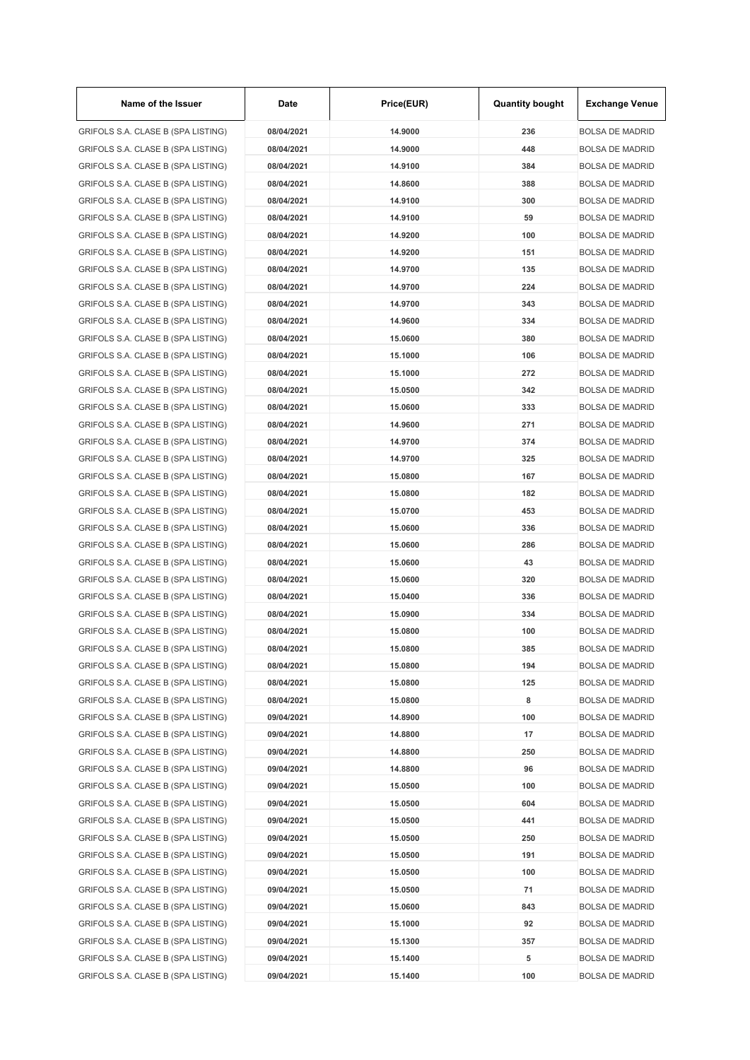| Name of the Issuer                                                       | Date       | Price(EUR) | <b>Quantity bought</b> | <b>Exchange Venue</b>                            |
|--------------------------------------------------------------------------|------------|------------|------------------------|--------------------------------------------------|
| GRIFOLS S.A. CLASE B (SPA LISTING)                                       | 08/04/2021 | 14.9000    | 236                    | <b>BOLSA DE MADRID</b>                           |
| GRIFOLS S.A. CLASE B (SPA LISTING)                                       | 08/04/2021 | 14.9000    | 448                    | <b>BOLSA DE MADRID</b>                           |
| GRIFOLS S.A. CLASE B (SPA LISTING)                                       | 08/04/2021 | 14.9100    | 384                    | <b>BOLSA DE MADRID</b>                           |
| GRIFOLS S.A. CLASE B (SPA LISTING)                                       | 08/04/2021 | 14.8600    | 388                    | <b>BOLSA DE MADRID</b>                           |
| GRIFOLS S.A. CLASE B (SPA LISTING)                                       | 08/04/2021 | 14.9100    | 300                    | <b>BOLSA DE MADRID</b>                           |
| GRIFOLS S.A. CLASE B (SPA LISTING)                                       | 08/04/2021 | 14.9100    | 59                     | <b>BOLSA DE MADRID</b>                           |
| GRIFOLS S.A. CLASE B (SPA LISTING)                                       | 08/04/2021 | 14.9200    | 100                    | <b>BOLSA DE MADRID</b>                           |
| GRIFOLS S.A. CLASE B (SPA LISTING)                                       | 08/04/2021 | 14.9200    | 151                    | <b>BOLSA DE MADRID</b>                           |
| GRIFOLS S.A. CLASE B (SPA LISTING)                                       | 08/04/2021 | 14.9700    | 135                    | <b>BOLSA DE MADRID</b>                           |
| GRIFOLS S.A. CLASE B (SPA LISTING)                                       | 08/04/2021 | 14.9700    | 224                    | <b>BOLSA DE MADRID</b>                           |
| GRIFOLS S.A. CLASE B (SPA LISTING)                                       | 08/04/2021 | 14.9700    | 343                    | <b>BOLSA DE MADRID</b>                           |
| GRIFOLS S.A. CLASE B (SPA LISTING)                                       | 08/04/2021 | 14.9600    | 334                    | <b>BOLSA DE MADRID</b>                           |
| GRIFOLS S.A. CLASE B (SPA LISTING)                                       | 08/04/2021 | 15.0600    | 380                    | <b>BOLSA DE MADRID</b>                           |
| GRIFOLS S.A. CLASE B (SPA LISTING)                                       | 08/04/2021 | 15.1000    | 106                    | <b>BOLSA DE MADRID</b>                           |
| GRIFOLS S.A. CLASE B (SPA LISTING)                                       | 08/04/2021 | 15.1000    | 272                    | <b>BOLSA DE MADRID</b>                           |
| GRIFOLS S.A. CLASE B (SPA LISTING)                                       | 08/04/2021 | 15.0500    | 342                    | <b>BOLSA DE MADRID</b>                           |
| GRIFOLS S.A. CLASE B (SPA LISTING)                                       | 08/04/2021 | 15.0600    | 333                    | <b>BOLSA DE MADRID</b>                           |
| GRIFOLS S.A. CLASE B (SPA LISTING)                                       | 08/04/2021 | 14.9600    | 271                    | <b>BOLSA DE MADRID</b>                           |
| GRIFOLS S.A. CLASE B (SPA LISTING)                                       | 08/04/2021 | 14.9700    | 374                    | <b>BOLSA DE MADRID</b>                           |
| GRIFOLS S.A. CLASE B (SPA LISTING)                                       | 08/04/2021 | 14.9700    | 325                    | <b>BOLSA DE MADRID</b>                           |
| GRIFOLS S.A. CLASE B (SPA LISTING)                                       | 08/04/2021 | 15.0800    | 167                    | <b>BOLSA DE MADRID</b>                           |
| GRIFOLS S.A. CLASE B (SPA LISTING)                                       | 08/04/2021 | 15.0800    | 182                    | <b>BOLSA DE MADRID</b>                           |
| GRIFOLS S.A. CLASE B (SPA LISTING)                                       | 08/04/2021 | 15.0700    | 453                    | <b>BOLSA DE MADRID</b>                           |
| GRIFOLS S.A. CLASE B (SPA LISTING)                                       | 08/04/2021 | 15.0600    | 336                    | <b>BOLSA DE MADRID</b>                           |
| GRIFOLS S.A. CLASE B (SPA LISTING)                                       | 08/04/2021 | 15.0600    | 286                    | <b>BOLSA DE MADRID</b>                           |
|                                                                          | 08/04/2021 | 15.0600    | 43                     | <b>BOLSA DE MADRID</b>                           |
| GRIFOLS S.A. CLASE B (SPA LISTING)<br>GRIFOLS S.A. CLASE B (SPA LISTING) |            |            | 320                    |                                                  |
|                                                                          | 08/04/2021 | 15.0600    |                        | <b>BOLSA DE MADRID</b><br><b>BOLSA DE MADRID</b> |
| GRIFOLS S.A. CLASE B (SPA LISTING)                                       | 08/04/2021 | 15.0400    | 336                    |                                                  |
| GRIFOLS S.A. CLASE B (SPA LISTING)                                       | 08/04/2021 | 15.0900    | 334                    | <b>BOLSA DE MADRID</b>                           |
| GRIFOLS S.A. CLASE B (SPA LISTING)                                       | 08/04/2021 | 15.0800    | 100                    | <b>BOLSA DE MADRID</b>                           |
| GRIFOLS S.A. CLASE B (SPA LISTING)                                       | 08/04/2021 | 15.0800    | 385                    | <b>BOLSA DE MADRID</b>                           |
| GRIFOLS S.A. CLASE B (SPA LISTING)                                       | 08/04/2021 | 15.0800    | 194                    | <b>BOLSA DE MADRID</b>                           |
| GRIFOLS S.A. CLASE B (SPA LISTING)                                       | 08/04/2021 | 15.0800    | 125                    | <b>BOLSA DE MADRID</b>                           |
| GRIFOLS S.A. CLASE B (SPA LISTING)                                       | 08/04/2021 | 15.0800    | 8                      | <b>BOLSA DE MADRID</b>                           |
| GRIFOLS S.A. CLASE B (SPA LISTING)                                       | 09/04/2021 | 14.8900    | 100                    | <b>BOLSA DE MADRID</b>                           |
| GRIFOLS S.A. CLASE B (SPA LISTING)                                       | 09/04/2021 | 14.8800    | 17                     | <b>BOLSA DE MADRID</b>                           |
| GRIFOLS S.A. CLASE B (SPA LISTING)                                       | 09/04/2021 | 14.8800    | 250                    | <b>BOLSA DE MADRID</b>                           |
| GRIFOLS S.A. CLASE B (SPA LISTING)                                       | 09/04/2021 | 14.8800    | 96                     | <b>BOLSA DE MADRID</b>                           |
| GRIFOLS S.A. CLASE B (SPA LISTING)                                       | 09/04/2021 | 15.0500    | 100                    | <b>BOLSA DE MADRID</b>                           |
| GRIFOLS S.A. CLASE B (SPA LISTING)                                       | 09/04/2021 | 15.0500    | 604                    | <b>BOLSA DE MADRID</b>                           |
| GRIFOLS S.A. CLASE B (SPA LISTING)                                       | 09/04/2021 | 15.0500    | 441                    | <b>BOLSA DE MADRID</b>                           |
| GRIFOLS S.A. CLASE B (SPA LISTING)                                       | 09/04/2021 | 15.0500    | 250                    | <b>BOLSA DE MADRID</b>                           |
| GRIFOLS S.A. CLASE B (SPA LISTING)                                       | 09/04/2021 | 15.0500    | 191                    | <b>BOLSA DE MADRID</b>                           |
| GRIFOLS S.A. CLASE B (SPA LISTING)                                       | 09/04/2021 | 15.0500    | 100                    | <b>BOLSA DE MADRID</b>                           |
| GRIFOLS S.A. CLASE B (SPA LISTING)                                       | 09/04/2021 | 15.0500    | 71                     | <b>BOLSA DE MADRID</b>                           |
| GRIFOLS S.A. CLASE B (SPA LISTING)                                       | 09/04/2021 | 15.0600    | 843                    | <b>BOLSA DE MADRID</b>                           |
| GRIFOLS S.A. CLASE B (SPA LISTING)                                       | 09/04/2021 | 15.1000    | 92                     | <b>BOLSA DE MADRID</b>                           |
| GRIFOLS S.A. CLASE B (SPA LISTING)                                       | 09/04/2021 | 15.1300    | 357                    | <b>BOLSA DE MADRID</b>                           |
| GRIFOLS S.A. CLASE B (SPA LISTING)                                       | 09/04/2021 | 15.1400    | 5                      | <b>BOLSA DE MADRID</b>                           |
| GRIFOLS S.A. CLASE B (SPA LISTING)                                       | 09/04/2021 | 15.1400    | 100                    | <b>BOLSA DE MADRID</b>                           |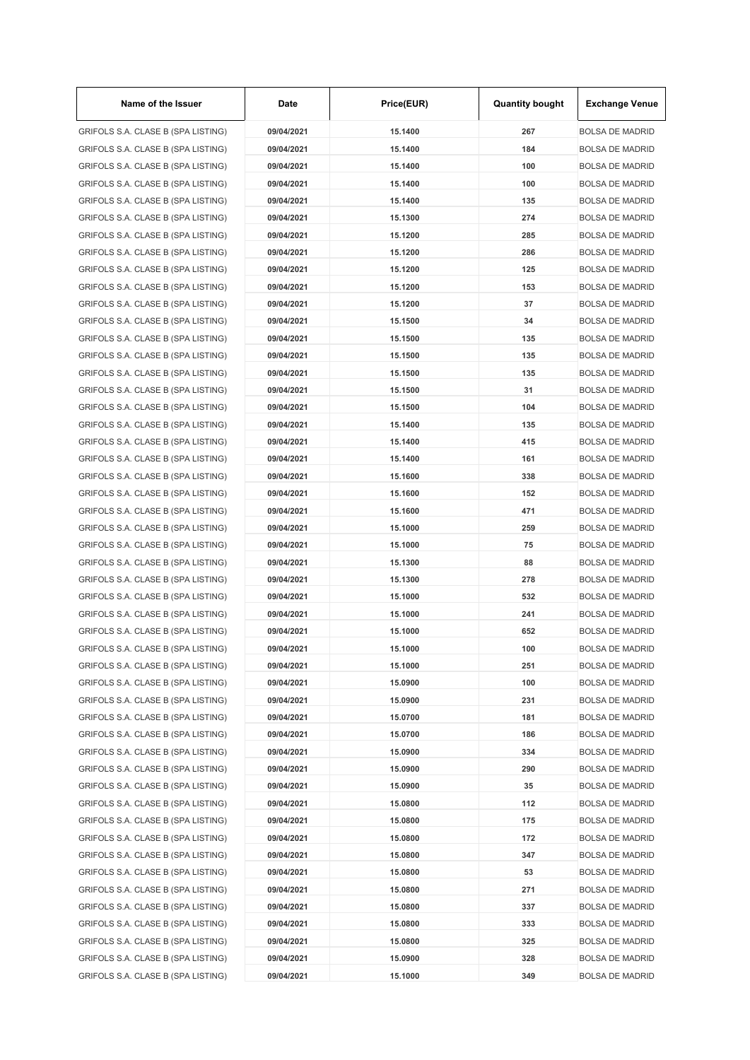| Name of the Issuer                 | Date       | Price(EUR)         | <b>Quantity bought</b> | <b>Exchange Venue</b>  |
|------------------------------------|------------|--------------------|------------------------|------------------------|
| GRIFOLS S.A. CLASE B (SPA LISTING) | 09/04/2021 | 15.1400            | 267                    | <b>BOLSA DE MADRID</b> |
| GRIFOLS S.A. CLASE B (SPA LISTING) | 09/04/2021 | 15.1400            | 184                    | <b>BOLSA DE MADRID</b> |
| GRIFOLS S.A. CLASE B (SPA LISTING) | 09/04/2021 | 15.1400            | 100                    | <b>BOLSA DE MADRID</b> |
| GRIFOLS S.A. CLASE B (SPA LISTING) | 09/04/2021 | 15.1400            | 100                    | <b>BOLSA DE MADRID</b> |
| GRIFOLS S.A. CLASE B (SPA LISTING) | 09/04/2021 | 15.1400            | 135                    | <b>BOLSA DE MADRID</b> |
| GRIFOLS S.A. CLASE B (SPA LISTING) | 09/04/2021 | 15.1300            | 274                    | <b>BOLSA DE MADRID</b> |
| GRIFOLS S.A. CLASE B (SPA LISTING) | 09/04/2021 | 15.1200            | 285                    | <b>BOLSA DE MADRID</b> |
| GRIFOLS S.A. CLASE B (SPA LISTING) | 09/04/2021 | 15.1200            | 286                    | <b>BOLSA DE MADRID</b> |
| GRIFOLS S.A. CLASE B (SPA LISTING) | 09/04/2021 | 15.1200            | 125                    | <b>BOLSA DE MADRID</b> |
| GRIFOLS S.A. CLASE B (SPA LISTING) | 09/04/2021 | 15.1200            | 153                    | <b>BOLSA DE MADRID</b> |
| GRIFOLS S.A. CLASE B (SPA LISTING) | 09/04/2021 | 15.1200            | 37                     | <b>BOLSA DE MADRID</b> |
| GRIFOLS S.A. CLASE B (SPA LISTING) | 09/04/2021 | 15.1500            | 34                     | <b>BOLSA DE MADRID</b> |
| GRIFOLS S.A. CLASE B (SPA LISTING) | 09/04/2021 | 15.1500            | 135                    | <b>BOLSA DE MADRID</b> |
| GRIFOLS S.A. CLASE B (SPA LISTING) | 09/04/2021 | 15.1500            | 135                    | <b>BOLSA DE MADRID</b> |
| GRIFOLS S.A. CLASE B (SPA LISTING) | 09/04/2021 | 15.1500            | 135                    | <b>BOLSA DE MADRID</b> |
| GRIFOLS S.A. CLASE B (SPA LISTING) | 09/04/2021 | 15.1500            | 31                     | <b>BOLSA DE MADRID</b> |
| GRIFOLS S.A. CLASE B (SPA LISTING) | 09/04/2021 | 15.1500            | 104                    | <b>BOLSA DE MADRID</b> |
| GRIFOLS S.A. CLASE B (SPA LISTING) | 09/04/2021 | 15.1400            | 135                    | <b>BOLSA DE MADRID</b> |
| GRIFOLS S.A. CLASE B (SPA LISTING) | 09/04/2021 | 15.1400            | 415                    | <b>BOLSA DE MADRID</b> |
| GRIFOLS S.A. CLASE B (SPA LISTING) | 09/04/2021 | 15.1400            | 161                    | <b>BOLSA DE MADRID</b> |
| GRIFOLS S.A. CLASE B (SPA LISTING) | 09/04/2021 | 15.1600            | 338                    | <b>BOLSA DE MADRID</b> |
| GRIFOLS S.A. CLASE B (SPA LISTING) | 09/04/2021 | 15.1600            | 152                    | <b>BOLSA DE MADRID</b> |
| GRIFOLS S.A. CLASE B (SPA LISTING) | 09/04/2021 | 15.1600            | 471                    | <b>BOLSA DE MADRID</b> |
| GRIFOLS S.A. CLASE B (SPA LISTING) | 09/04/2021 | 15.1000            | 259                    | <b>BOLSA DE MADRID</b> |
| GRIFOLS S.A. CLASE B (SPA LISTING) | 09/04/2021 | 15.1000            | 75                     | <b>BOLSA DE MADRID</b> |
| GRIFOLS S.A. CLASE B (SPA LISTING) | 09/04/2021 | 15.1300            | 88                     | <b>BOLSA DE MADRID</b> |
| GRIFOLS S.A. CLASE B (SPA LISTING) | 09/04/2021 | 15.1300            | 278                    | <b>BOLSA DE MADRID</b> |
| GRIFOLS S.A. CLASE B (SPA LISTING) | 09/04/2021 | 15.1000            | 532                    | <b>BOLSA DE MADRID</b> |
| GRIFOLS S.A. CLASE B (SPA LISTING) | 09/04/2021 | 15.1000            | 241                    | <b>BOLSA DE MADRID</b> |
| GRIFOLS S.A. CLASE B (SPA LISTING) | 09/04/2021 | 15.1000            | 652                    | <b>BOLSA DE MADRID</b> |
| GRIFOLS S.A. CLASE B (SPA LISTING) |            |                    |                        |                        |
|                                    | 09/04/2021 | 15.1000<br>15.1000 | 100                    | <b>BOLSA DE MADRID</b> |
| GRIFOLS S.A. CLASE B (SPA LISTING) | 09/04/2021 |                    | 251                    | <b>BOLSA DE MADRID</b> |
| GRIFOLS S.A. CLASE B (SPA LISTING) | 09/04/2021 | 15.0900            | 100                    | <b>BOLSA DE MADRID</b> |
| GRIFOLS S.A. CLASE B (SPA LISTING) | 09/04/2021 | 15.0900            | 231                    | <b>BOLSA DE MADRID</b> |
| GRIFOLS S.A. CLASE B (SPA LISTING) | 09/04/2021 | 15.0700            | 181                    | <b>BOLSA DE MADRID</b> |
| GRIFOLS S.A. CLASE B (SPA LISTING) | 09/04/2021 | 15.0700            | 186                    | <b>BOLSA DE MADRID</b> |
| GRIFOLS S.A. CLASE B (SPA LISTING) | 09/04/2021 | 15.0900            | 334                    | <b>BOLSA DE MADRID</b> |
| GRIFOLS S.A. CLASE B (SPA LISTING) | 09/04/2021 | 15.0900            | 290                    | <b>BOLSA DE MADRID</b> |
| GRIFOLS S.A. CLASE B (SPA LISTING) | 09/04/2021 | 15.0900            | 35                     | <b>BOLSA DE MADRID</b> |
| GRIFOLS S.A. CLASE B (SPA LISTING) | 09/04/2021 | 15.0800            | 112                    | <b>BOLSA DE MADRID</b> |
| GRIFOLS S.A. CLASE B (SPA LISTING) | 09/04/2021 | 15.0800            | 175                    | <b>BOLSA DE MADRID</b> |
| GRIFOLS S.A. CLASE B (SPA LISTING) | 09/04/2021 | 15.0800            | 172                    | <b>BOLSA DE MADRID</b> |
| GRIFOLS S.A. CLASE B (SPA LISTING) | 09/04/2021 | 15.0800            | 347                    | <b>BOLSA DE MADRID</b> |
| GRIFOLS S.A. CLASE B (SPA LISTING) | 09/04/2021 | 15.0800            | 53                     | <b>BOLSA DE MADRID</b> |
| GRIFOLS S.A. CLASE B (SPA LISTING) | 09/04/2021 | 15.0800            | 271                    | <b>BOLSA DE MADRID</b> |
| GRIFOLS S.A. CLASE B (SPA LISTING) | 09/04/2021 | 15.0800            | 337                    | <b>BOLSA DE MADRID</b> |
| GRIFOLS S.A. CLASE B (SPA LISTING) | 09/04/2021 | 15.0800            | 333                    | <b>BOLSA DE MADRID</b> |
| GRIFOLS S.A. CLASE B (SPA LISTING) | 09/04/2021 | 15.0800            | 325                    | <b>BOLSA DE MADRID</b> |
| GRIFOLS S.A. CLASE B (SPA LISTING) | 09/04/2021 | 15.0900            | 328                    | <b>BOLSA DE MADRID</b> |
| GRIFOLS S.A. CLASE B (SPA LISTING) | 09/04/2021 | 15.1000            | 349                    | <b>BOLSA DE MADRID</b> |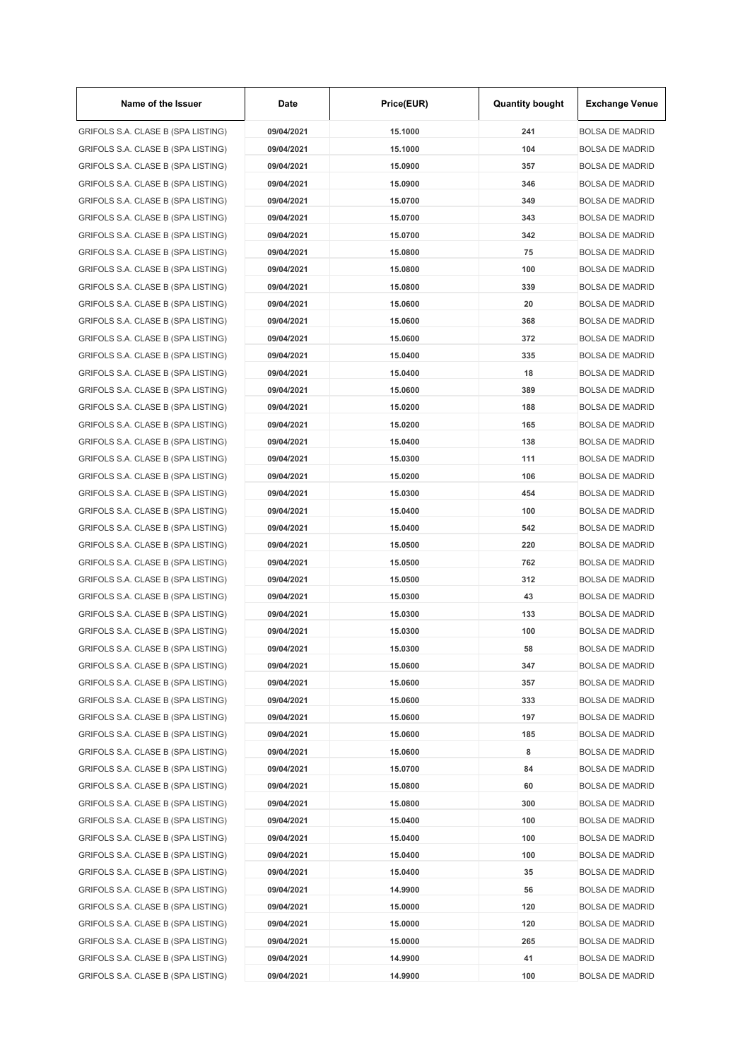| Name of the Issuer                 | Date       | Price(EUR)         | <b>Quantity bought</b> | <b>Exchange Venue</b>                            |
|------------------------------------|------------|--------------------|------------------------|--------------------------------------------------|
| GRIFOLS S.A. CLASE B (SPA LISTING) | 09/04/2021 | 15.1000            | 241                    | <b>BOLSA DE MADRID</b>                           |
| GRIFOLS S.A. CLASE B (SPA LISTING) | 09/04/2021 | 15.1000            | 104                    | <b>BOLSA DE MADRID</b>                           |
| GRIFOLS S.A. CLASE B (SPA LISTING) | 09/04/2021 | 15.0900            | 357                    | <b>BOLSA DE MADRID</b>                           |
| GRIFOLS S.A. CLASE B (SPA LISTING) | 09/04/2021 | 15.0900            | 346                    | <b>BOLSA DE MADRID</b>                           |
| GRIFOLS S.A. CLASE B (SPA LISTING) | 09/04/2021 | 15.0700            | 349                    | <b>BOLSA DE MADRID</b>                           |
| GRIFOLS S.A. CLASE B (SPA LISTING) | 09/04/2021 | 15.0700            | 343                    | <b>BOLSA DE MADRID</b>                           |
| GRIFOLS S.A. CLASE B (SPA LISTING) | 09/04/2021 | 15.0700            | 342                    | <b>BOLSA DE MADRID</b>                           |
| GRIFOLS S.A. CLASE B (SPA LISTING) | 09/04/2021 | 15.0800            | 75                     | <b>BOLSA DE MADRID</b>                           |
| GRIFOLS S.A. CLASE B (SPA LISTING) | 09/04/2021 | 15.0800            | 100                    | <b>BOLSA DE MADRID</b>                           |
| GRIFOLS S.A. CLASE B (SPA LISTING) | 09/04/2021 | 15.0800            | 339                    | <b>BOLSA DE MADRID</b>                           |
| GRIFOLS S.A. CLASE B (SPA LISTING) | 09/04/2021 | 15.0600            | 20                     | <b>BOLSA DE MADRID</b>                           |
| GRIFOLS S.A. CLASE B (SPA LISTING) | 09/04/2021 | 15.0600            | 368                    | <b>BOLSA DE MADRID</b>                           |
| GRIFOLS S.A. CLASE B (SPA LISTING) | 09/04/2021 | 15.0600            | 372                    | <b>BOLSA DE MADRID</b>                           |
| GRIFOLS S.A. CLASE B (SPA LISTING) | 09/04/2021 | 15.0400            | 335                    | <b>BOLSA DE MADRID</b>                           |
| GRIFOLS S.A. CLASE B (SPA LISTING) | 09/04/2021 | 15.0400            | 18                     | <b>BOLSA DE MADRID</b>                           |
| GRIFOLS S.A. CLASE B (SPA LISTING) | 09/04/2021 | 15.0600            | 389                    | <b>BOLSA DE MADRID</b>                           |
| GRIFOLS S.A. CLASE B (SPA LISTING) | 09/04/2021 | 15.0200            | 188                    | <b>BOLSA DE MADRID</b>                           |
| GRIFOLS S.A. CLASE B (SPA LISTING) | 09/04/2021 | 15.0200            | 165                    | <b>BOLSA DE MADRID</b>                           |
| GRIFOLS S.A. CLASE B (SPA LISTING) | 09/04/2021 | 15.0400            | 138                    | <b>BOLSA DE MADRID</b>                           |
| GRIFOLS S.A. CLASE B (SPA LISTING) | 09/04/2021 | 15.0300            | 111                    | <b>BOLSA DE MADRID</b>                           |
| GRIFOLS S.A. CLASE B (SPA LISTING) | 09/04/2021 | 15.0200            | 106                    | <b>BOLSA DE MADRID</b>                           |
| GRIFOLS S.A. CLASE B (SPA LISTING) | 09/04/2021 | 15.0300            | 454                    | <b>BOLSA DE MADRID</b>                           |
| GRIFOLS S.A. CLASE B (SPA LISTING) | 09/04/2021 | 15.0400            | 100                    | <b>BOLSA DE MADRID</b>                           |
| GRIFOLS S.A. CLASE B (SPA LISTING) | 09/04/2021 | 15.0400            | 542                    | <b>BOLSA DE MADRID</b>                           |
| GRIFOLS S.A. CLASE B (SPA LISTING) | 09/04/2021 | 15.0500            | 220                    | <b>BOLSA DE MADRID</b>                           |
|                                    | 09/04/2021 | 15.0500            | 762                    | <b>BOLSA DE MADRID</b>                           |
| GRIFOLS S.A. CLASE B (SPA LISTING) |            |                    | 312                    |                                                  |
| GRIFOLS S.A. CLASE B (SPA LISTING) | 09/04/2021 | 15.0500<br>15.0300 | 43                     | <b>BOLSA DE MADRID</b><br><b>BOLSA DE MADRID</b> |
| GRIFOLS S.A. CLASE B (SPA LISTING) | 09/04/2021 |                    |                        |                                                  |
| GRIFOLS S.A. CLASE B (SPA LISTING) | 09/04/2021 | 15.0300            | 133                    | <b>BOLSA DE MADRID</b>                           |
| GRIFOLS S.A. CLASE B (SPA LISTING) | 09/04/2021 | 15.0300            | 100                    | <b>BOLSA DE MADRID</b>                           |
| GRIFOLS S.A. CLASE B (SPA LISTING) | 09/04/2021 | 15.0300            | 58                     | <b>BOLSA DE MADRID</b>                           |
| GRIFOLS S.A. CLASE B (SPA LISTING) | 09/04/2021 | 15.0600            | 347                    | <b>BOLSA DE MADRID</b>                           |
| GRIFOLS S.A. CLASE B (SPA LISTING) | 09/04/2021 | 15.0600            | 357                    | <b>BOLSA DE MADRID</b>                           |
| GRIFOLS S.A. CLASE B (SPA LISTING) | 09/04/2021 | 15.0600            | 333                    | <b>BOLSA DE MADRID</b>                           |
| GRIFOLS S.A. CLASE B (SPA LISTING) | 09/04/2021 | 15.0600            | 197                    | <b>BOLSA DE MADRID</b>                           |
| GRIFOLS S.A. CLASE B (SPA LISTING) | 09/04/2021 | 15.0600            | 185                    | <b>BOLSA DE MADRID</b>                           |
| GRIFOLS S.A. CLASE B (SPA LISTING) | 09/04/2021 | 15.0600            | 8                      | <b>BOLSA DE MADRID</b>                           |
| GRIFOLS S.A. CLASE B (SPA LISTING) | 09/04/2021 | 15.0700            | 84                     | <b>BOLSA DE MADRID</b>                           |
| GRIFOLS S.A. CLASE B (SPA LISTING) | 09/04/2021 | 15.0800            | 60                     | <b>BOLSA DE MADRID</b>                           |
| GRIFOLS S.A. CLASE B (SPA LISTING) | 09/04/2021 | 15.0800            | 300                    | <b>BOLSA DE MADRID</b>                           |
| GRIFOLS S.A. CLASE B (SPA LISTING) | 09/04/2021 | 15.0400            | 100                    | <b>BOLSA DE MADRID</b>                           |
| GRIFOLS S.A. CLASE B (SPA LISTING) | 09/04/2021 | 15.0400            | 100                    | <b>BOLSA DE MADRID</b>                           |
| GRIFOLS S.A. CLASE B (SPA LISTING) | 09/04/2021 | 15.0400            | 100                    | <b>BOLSA DE MADRID</b>                           |
| GRIFOLS S.A. CLASE B (SPA LISTING) | 09/04/2021 | 15.0400            | 35                     | <b>BOLSA DE MADRID</b>                           |
| GRIFOLS S.A. CLASE B (SPA LISTING) | 09/04/2021 | 14.9900            | 56                     | <b>BOLSA DE MADRID</b>                           |
| GRIFOLS S.A. CLASE B (SPA LISTING) | 09/04/2021 | 15.0000            | 120                    | <b>BOLSA DE MADRID</b>                           |
| GRIFOLS S.A. CLASE B (SPA LISTING) | 09/04/2021 | 15.0000            | 120                    | <b>BOLSA DE MADRID</b>                           |
| GRIFOLS S.A. CLASE B (SPA LISTING) | 09/04/2021 | 15.0000            | 265                    | <b>BOLSA DE MADRID</b>                           |
| GRIFOLS S.A. CLASE B (SPA LISTING) | 09/04/2021 | 14.9900            | 41                     | <b>BOLSA DE MADRID</b>                           |
| GRIFOLS S.A. CLASE B (SPA LISTING) | 09/04/2021 | 14.9900            | 100                    | <b>BOLSA DE MADRID</b>                           |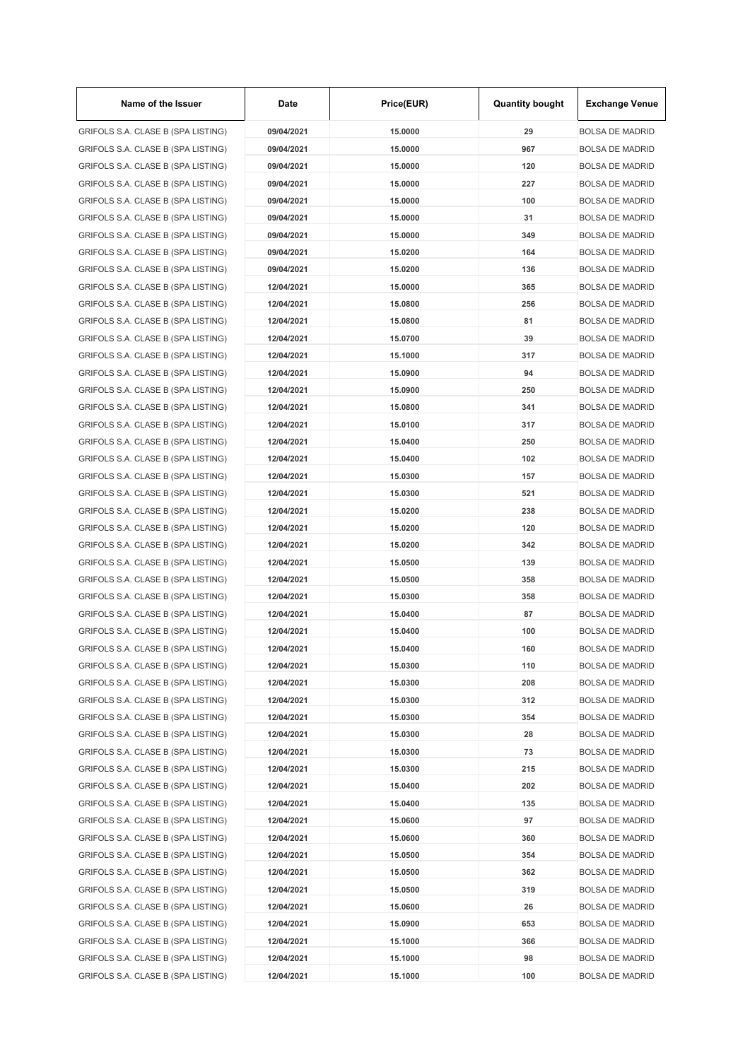| Name of the Issuer                 | Date       | Price(EUR) | <b>Quantity bought</b> | <b>Exchange Venue</b>  |
|------------------------------------|------------|------------|------------------------|------------------------|
| GRIFOLS S.A. CLASE B (SPA LISTING) | 09/04/2021 | 15,0000    | 29                     | <b>BOLSA DE MADRID</b> |
| GRIFOLS S.A. CLASE B (SPA LISTING) | 09/04/2021 | 15.0000    | 967                    | <b>BOLSA DE MADRID</b> |
| GRIFOLS S.A. CLASE B (SPA LISTING) | 09/04/2021 | 15.0000    | 120                    | <b>BOLSA DE MADRID</b> |
| GRIFOLS S.A. CLASE B (SPA LISTING) | 09/04/2021 | 15.0000    | 227                    | <b>BOLSA DE MADRID</b> |
| GRIFOLS S.A. CLASE B (SPA LISTING) | 09/04/2021 | 15.0000    | 100                    | <b>BOLSA DE MADRID</b> |
| GRIFOLS S.A. CLASE B (SPA LISTING) | 09/04/2021 | 15.0000    | 31                     | <b>BOLSA DE MADRID</b> |
| GRIFOLS S.A. CLASE B (SPA LISTING) | 09/04/2021 | 15.0000    | 349                    | <b>BOLSA DE MADRID</b> |
| GRIFOLS S.A. CLASE B (SPA LISTING) | 09/04/2021 | 15.0200    | 164                    | <b>BOLSA DE MADRID</b> |
| GRIFOLS S.A. CLASE B (SPA LISTING) | 09/04/2021 | 15.0200    | 136                    | <b>BOLSA DE MADRID</b> |
| GRIFOLS S.A. CLASE B (SPA LISTING) | 12/04/2021 | 15.0000    | 365                    | <b>BOLSA DE MADRID</b> |
| GRIFOLS S.A. CLASE B (SPA LISTING) | 12/04/2021 | 15.0800    | 256                    | <b>BOLSA DE MADRID</b> |
| GRIFOLS S.A. CLASE B (SPA LISTING) | 12/04/2021 | 15.0800    | 81                     | <b>BOLSA DE MADRID</b> |
| GRIFOLS S.A. CLASE B (SPA LISTING) | 12/04/2021 | 15.0700    | 39                     | <b>BOLSA DE MADRID</b> |
| GRIFOLS S.A. CLASE B (SPA LISTING) | 12/04/2021 | 15.1000    | 317                    | <b>BOLSA DE MADRID</b> |
| GRIFOLS S.A. CLASE B (SPA LISTING) | 12/04/2021 | 15.0900    | 94                     | <b>BOLSA DE MADRID</b> |
| GRIFOLS S.A. CLASE B (SPA LISTING) | 12/04/2021 | 15.0900    | 250                    | <b>BOLSA DE MADRID</b> |
| GRIFOLS S.A. CLASE B (SPA LISTING) | 12/04/2021 | 15.0800    | 341                    | <b>BOLSA DE MADRID</b> |
| GRIFOLS S.A. CLASE B (SPA LISTING) | 12/04/2021 | 15.0100    | 317                    | <b>BOLSA DE MADRID</b> |
| GRIFOLS S.A. CLASE B (SPA LISTING) | 12/04/2021 | 15.0400    | 250                    | <b>BOLSA DE MADRID</b> |
| GRIFOLS S.A. CLASE B (SPA LISTING) | 12/04/2021 | 15.0400    | 102                    | <b>BOLSA DE MADRID</b> |
| GRIFOLS S.A. CLASE B (SPA LISTING) | 12/04/2021 | 15.0300    | 157                    | <b>BOLSA DE MADRID</b> |
| GRIFOLS S.A. CLASE B (SPA LISTING) | 12/04/2021 | 15.0300    | 521                    | <b>BOLSA DE MADRID</b> |
| GRIFOLS S.A. CLASE B (SPA LISTING) | 12/04/2021 | 15.0200    | 238                    | <b>BOLSA DE MADRID</b> |
| GRIFOLS S.A. CLASE B (SPA LISTING) | 12/04/2021 | 15.0200    | 120                    | <b>BOLSA DE MADRID</b> |
| GRIFOLS S.A. CLASE B (SPA LISTING) | 12/04/2021 | 15.0200    | 342                    | <b>BOLSA DE MADRID</b> |
| GRIFOLS S.A. CLASE B (SPA LISTING) | 12/04/2021 | 15.0500    | 139                    | <b>BOLSA DE MADRID</b> |
| GRIFOLS S.A. CLASE B (SPA LISTING) | 12/04/2021 | 15.0500    | 358                    | <b>BOLSA DE MADRID</b> |
|                                    | 12/04/2021 | 15.0300    | 358                    | <b>BOLSA DE MADRID</b> |
| GRIFOLS S.A. CLASE B (SPA LISTING) |            |            |                        |                        |
| GRIFOLS S.A. CLASE B (SPA LISTING) | 12/04/2021 | 15.0400    | 87                     | <b>BOLSA DE MADRID</b> |
| GRIFOLS S.A. CLASE B (SPA LISTING) | 12/04/2021 | 15.0400    | 100                    | <b>BOLSA DE MADRID</b> |
| GRIFOLS S.A. CLASE B (SPA LISTING) | 12/04/2021 | 15.0400    | 160                    | <b>BOLSA DE MADRID</b> |
| GRIFOLS S.A. CLASE B (SPA LISTING) | 12/04/2021 | 15.0300    | 110                    | <b>BOLSA DE MADRID</b> |
| GRIFOLS S.A. CLASE B (SPA LISTING) | 12/04/2021 | 15.0300    | 208                    | <b>BOLSA DE MADRID</b> |
| GRIFOLS S.A. CLASE B (SPA LISTING) | 12/04/2021 | 15.0300    | 312                    | <b>BOLSA DE MADRID</b> |
| GRIFOLS S.A. CLASE B (SPA LISTING) | 12/04/2021 | 15.0300    | 354                    | <b>BOLSA DE MADRID</b> |
| GRIFOLS S.A. CLASE B (SPA LISTING) | 12/04/2021 | 15.0300    | 28                     | <b>BOLSA DE MADRID</b> |
| GRIFOLS S.A. CLASE B (SPA LISTING) | 12/04/2021 | 15.0300    | 73                     | <b>BOLSA DE MADRID</b> |
| GRIFOLS S.A. CLASE B (SPA LISTING) | 12/04/2021 | 15.0300    | 215                    | <b>BOLSA DE MADRID</b> |
| GRIFOLS S.A. CLASE B (SPA LISTING) | 12/04/2021 | 15.0400    | 202                    | <b>BOLSA DE MADRID</b> |
| GRIFOLS S.A. CLASE B (SPA LISTING) | 12/04/2021 | 15.0400    | 135                    | <b>BOLSA DE MADRID</b> |
| GRIFOLS S.A. CLASE B (SPA LISTING) | 12/04/2021 | 15.0600    | 97                     | <b>BOLSA DE MADRID</b> |
| GRIFOLS S.A. CLASE B (SPA LISTING) | 12/04/2021 | 15.0600    | 360                    | <b>BOLSA DE MADRID</b> |
| GRIFOLS S.A. CLASE B (SPA LISTING) | 12/04/2021 | 15.0500    | 354                    | <b>BOLSA DE MADRID</b> |
| GRIFOLS S.A. CLASE B (SPA LISTING) | 12/04/2021 | 15.0500    | 362                    | <b>BOLSA DE MADRID</b> |
| GRIFOLS S.A. CLASE B (SPA LISTING) | 12/04/2021 | 15.0500    | 319                    | <b>BOLSA DE MADRID</b> |
| GRIFOLS S.A. CLASE B (SPA LISTING) | 12/04/2021 | 15.0600    | 26                     | <b>BOLSA DE MADRID</b> |
| GRIFOLS S.A. CLASE B (SPA LISTING) | 12/04/2021 | 15.0900    | 653                    | <b>BOLSA DE MADRID</b> |
| GRIFOLS S.A. CLASE B (SPA LISTING) | 12/04/2021 | 15.1000    | 366                    | <b>BOLSA DE MADRID</b> |
| GRIFOLS S.A. CLASE B (SPA LISTING) | 12/04/2021 | 15.1000    | 98                     | <b>BOLSA DE MADRID</b> |
| GRIFOLS S.A. CLASE B (SPA LISTING) | 12/04/2021 | 15.1000    | 100                    | <b>BOLSA DE MADRID</b> |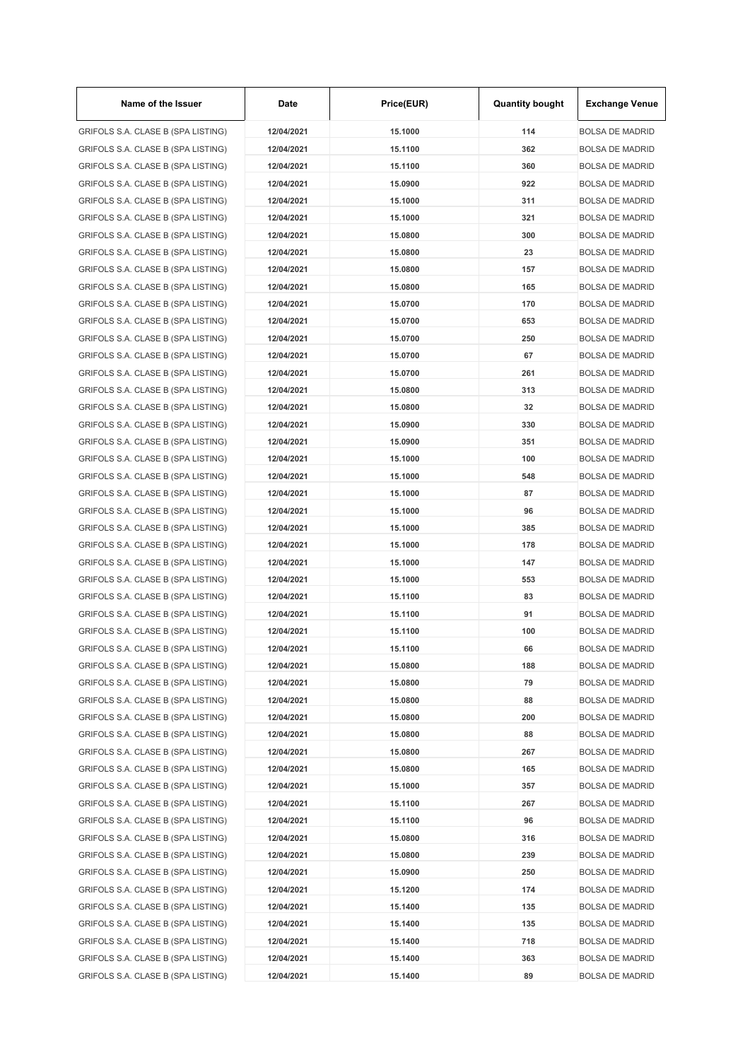| Name of the Issuer                 | Date       | Price(EUR) | <b>Quantity bought</b> | <b>Exchange Venue</b>  |
|------------------------------------|------------|------------|------------------------|------------------------|
| GRIFOLS S.A. CLASE B (SPA LISTING) | 12/04/2021 | 15.1000    | 114                    | <b>BOLSA DE MADRID</b> |
| GRIFOLS S.A. CLASE B (SPA LISTING) | 12/04/2021 | 15.1100    | 362                    | <b>BOLSA DE MADRID</b> |
| GRIFOLS S.A. CLASE B (SPA LISTING) | 12/04/2021 | 15.1100    | 360                    | <b>BOLSA DE MADRID</b> |
| GRIFOLS S.A. CLASE B (SPA LISTING) | 12/04/2021 | 15.0900    | 922                    | <b>BOLSA DE MADRID</b> |
| GRIFOLS S.A. CLASE B (SPA LISTING) | 12/04/2021 | 15.1000    | 311                    | <b>BOLSA DE MADRID</b> |
| GRIFOLS S.A. CLASE B (SPA LISTING) | 12/04/2021 | 15.1000    | 321                    | <b>BOLSA DE MADRID</b> |
| GRIFOLS S.A. CLASE B (SPA LISTING) | 12/04/2021 | 15.0800    | 300                    | <b>BOLSA DE MADRID</b> |
| GRIFOLS S.A. CLASE B (SPA LISTING) | 12/04/2021 | 15.0800    | 23                     | <b>BOLSA DE MADRID</b> |
| GRIFOLS S.A. CLASE B (SPA LISTING) | 12/04/2021 | 15.0800    | 157                    | <b>BOLSA DE MADRID</b> |
| GRIFOLS S.A. CLASE B (SPA LISTING) | 12/04/2021 | 15.0800    | 165                    | <b>BOLSA DE MADRID</b> |
| GRIFOLS S.A. CLASE B (SPA LISTING) | 12/04/2021 | 15.0700    | 170                    | <b>BOLSA DE MADRID</b> |
| GRIFOLS S.A. CLASE B (SPA LISTING) | 12/04/2021 | 15.0700    | 653                    | <b>BOLSA DE MADRID</b> |
| GRIFOLS S.A. CLASE B (SPA LISTING) | 12/04/2021 | 15.0700    | 250                    | <b>BOLSA DE MADRID</b> |
| GRIFOLS S.A. CLASE B (SPA LISTING) | 12/04/2021 | 15.0700    | 67                     | <b>BOLSA DE MADRID</b> |
| GRIFOLS S.A. CLASE B (SPA LISTING) | 12/04/2021 | 15.0700    | 261                    | <b>BOLSA DE MADRID</b> |
| GRIFOLS S.A. CLASE B (SPA LISTING) | 12/04/2021 | 15.0800    | 313                    | <b>BOLSA DE MADRID</b> |
| GRIFOLS S.A. CLASE B (SPA LISTING) | 12/04/2021 | 15.0800    | 32                     | <b>BOLSA DE MADRID</b> |
| GRIFOLS S.A. CLASE B (SPA LISTING) | 12/04/2021 | 15.0900    | 330                    | <b>BOLSA DE MADRID</b> |
| GRIFOLS S.A. CLASE B (SPA LISTING) | 12/04/2021 | 15.0900    | 351                    | <b>BOLSA DE MADRID</b> |
| GRIFOLS S.A. CLASE B (SPA LISTING) | 12/04/2021 | 15.1000    | 100                    | <b>BOLSA DE MADRID</b> |
| GRIFOLS S.A. CLASE B (SPA LISTING) | 12/04/2021 | 15.1000    | 548                    | <b>BOLSA DE MADRID</b> |
| GRIFOLS S.A. CLASE B (SPA LISTING) | 12/04/2021 | 15.1000    | 87                     | <b>BOLSA DE MADRID</b> |
| GRIFOLS S.A. CLASE B (SPA LISTING) | 12/04/2021 | 15.1000    | 96                     | <b>BOLSA DE MADRID</b> |
| GRIFOLS S.A. CLASE B (SPA LISTING) | 12/04/2021 | 15.1000    | 385                    | <b>BOLSA DE MADRID</b> |
| GRIFOLS S.A. CLASE B (SPA LISTING) | 12/04/2021 | 15.1000    | 178                    | <b>BOLSA DE MADRID</b> |
| GRIFOLS S.A. CLASE B (SPA LISTING) | 12/04/2021 | 15.1000    | 147                    | <b>BOLSA DE MADRID</b> |
| GRIFOLS S.A. CLASE B (SPA LISTING) | 12/04/2021 | 15.1000    | 553                    | <b>BOLSA DE MADRID</b> |
|                                    | 12/04/2021 |            | 83                     | <b>BOLSA DE MADRID</b> |
| GRIFOLS S.A. CLASE B (SPA LISTING) |            | 15.1100    |                        |                        |
| GRIFOLS S.A. CLASE B (SPA LISTING) | 12/04/2021 | 15.1100    | 91<br>100              | <b>BOLSA DE MADRID</b> |
| GRIFOLS S.A. CLASE B (SPA LISTING) | 12/04/2021 | 15.1100    |                        | <b>BOLSA DE MADRID</b> |
| GRIFOLS S.A. CLASE B (SPA LISTING) | 12/04/2021 | 15.1100    | 66                     | <b>BOLSA DE MADRID</b> |
| GRIFOLS S.A. CLASE B (SPA LISTING) | 12/04/2021 | 15.0800    | 188                    | <b>BOLSA DE MADRID</b> |
| GRIFOLS S.A. CLASE B (SPA LISTING) | 12/04/2021 | 15.0800    | 79                     | <b>BOLSA DE MADRID</b> |
| GRIFOLS S.A. CLASE B (SPA LISTING) | 12/04/2021 | 15.0800    | 88                     | <b>BOLSA DE MADRID</b> |
| GRIFOLS S.A. CLASE B (SPA LISTING) | 12/04/2021 | 15.0800    | 200                    | <b>BOLSA DE MADRID</b> |
| GRIFOLS S.A. CLASE B (SPA LISTING) | 12/04/2021 | 15.0800    | 88                     | <b>BOLSA DE MADRID</b> |
| GRIFOLS S.A. CLASE B (SPA LISTING) | 12/04/2021 | 15.0800    | 267                    | <b>BOLSA DE MADRID</b> |
| GRIFOLS S.A. CLASE B (SPA LISTING) | 12/04/2021 | 15.0800    | 165                    | <b>BOLSA DE MADRID</b> |
| GRIFOLS S.A. CLASE B (SPA LISTING) | 12/04/2021 | 15.1000    | 357                    | <b>BOLSA DE MADRID</b> |
| GRIFOLS S.A. CLASE B (SPA LISTING) | 12/04/2021 | 15.1100    | 267                    | <b>BOLSA DE MADRID</b> |
| GRIFOLS S.A. CLASE B (SPA LISTING) | 12/04/2021 | 15.1100    | 96                     | <b>BOLSA DE MADRID</b> |
| GRIFOLS S.A. CLASE B (SPA LISTING) | 12/04/2021 | 15.0800    | 316                    | <b>BOLSA DE MADRID</b> |
| GRIFOLS S.A. CLASE B (SPA LISTING) | 12/04/2021 | 15.0800    | 239                    | BOLSA DE MADRID        |
| GRIFOLS S.A. CLASE B (SPA LISTING) | 12/04/2021 | 15.0900    | 250                    | <b>BOLSA DE MADRID</b> |
| GRIFOLS S.A. CLASE B (SPA LISTING) | 12/04/2021 | 15.1200    | 174                    | <b>BOLSA DE MADRID</b> |
| GRIFOLS S.A. CLASE B (SPA LISTING) | 12/04/2021 | 15.1400    | 135                    | <b>BOLSA DE MADRID</b> |
| GRIFOLS S.A. CLASE B (SPA LISTING) | 12/04/2021 | 15.1400    | 135                    | <b>BOLSA DE MADRID</b> |
| GRIFOLS S.A. CLASE B (SPA LISTING) | 12/04/2021 | 15.1400    | 718                    | <b>BOLSA DE MADRID</b> |
| GRIFOLS S.A. CLASE B (SPA LISTING) | 12/04/2021 | 15.1400    | 363                    | <b>BOLSA DE MADRID</b> |
| GRIFOLS S.A. CLASE B (SPA LISTING) | 12/04/2021 | 15.1400    | 89                     | <b>BOLSA DE MADRID</b> |

 $\mathbf{r}$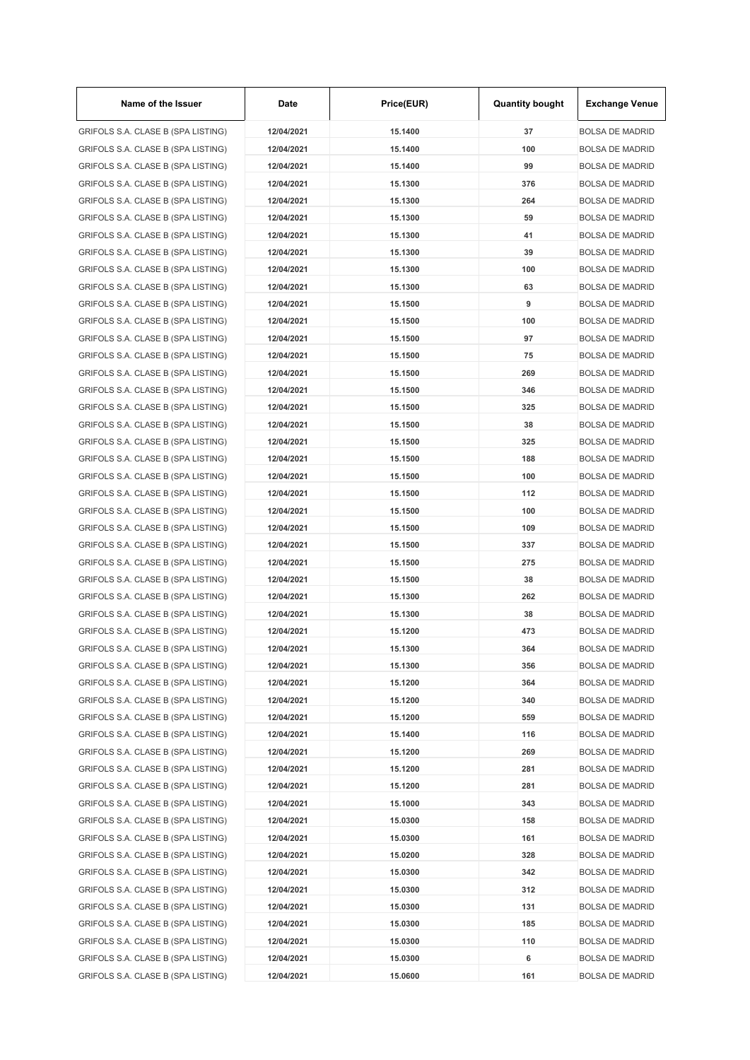| Name of the Issuer                 | Date       | Price(EUR) | <b>Quantity bought</b> | <b>Exchange Venue</b>  |
|------------------------------------|------------|------------|------------------------|------------------------|
| GRIFOLS S.A. CLASE B (SPA LISTING) | 12/04/2021 | 15.1400    | 37                     | <b>BOLSA DE MADRID</b> |
| GRIFOLS S.A. CLASE B (SPA LISTING) | 12/04/2021 | 15.1400    | 100                    | <b>BOLSA DE MADRID</b> |
| GRIFOLS S.A. CLASE B (SPA LISTING) | 12/04/2021 | 15.1400    | 99                     | <b>BOLSA DE MADRID</b> |
| GRIFOLS S.A. CLASE B (SPA LISTING) | 12/04/2021 | 15.1300    | 376                    | <b>BOLSA DE MADRID</b> |
| GRIFOLS S.A. CLASE B (SPA LISTING) | 12/04/2021 | 15.1300    | 264                    | <b>BOLSA DE MADRID</b> |
| GRIFOLS S.A. CLASE B (SPA LISTING) | 12/04/2021 | 15.1300    | 59                     | <b>BOLSA DE MADRID</b> |
| GRIFOLS S.A. CLASE B (SPA LISTING) | 12/04/2021 | 15.1300    | 41                     | <b>BOLSA DE MADRID</b> |
| GRIFOLS S.A. CLASE B (SPA LISTING) | 12/04/2021 | 15.1300    | 39                     | <b>BOLSA DE MADRID</b> |
| GRIFOLS S.A. CLASE B (SPA LISTING) | 12/04/2021 | 15.1300    | 100                    | <b>BOLSA DE MADRID</b> |
| GRIFOLS S.A. CLASE B (SPA LISTING) | 12/04/2021 | 15.1300    | 63                     | <b>BOLSA DE MADRID</b> |
| GRIFOLS S.A. CLASE B (SPA LISTING) | 12/04/2021 | 15.1500    | 9                      | <b>BOLSA DE MADRID</b> |
| GRIFOLS S.A. CLASE B (SPA LISTING) | 12/04/2021 | 15.1500    | 100                    | <b>BOLSA DE MADRID</b> |
| GRIFOLS S.A. CLASE B (SPA LISTING) | 12/04/2021 | 15.1500    | 97                     | <b>BOLSA DE MADRID</b> |
| GRIFOLS S.A. CLASE B (SPA LISTING) | 12/04/2021 | 15.1500    | 75                     | <b>BOLSA DE MADRID</b> |
| GRIFOLS S.A. CLASE B (SPA LISTING) | 12/04/2021 | 15.1500    | 269                    | <b>BOLSA DE MADRID</b> |
| GRIFOLS S.A. CLASE B (SPA LISTING) | 12/04/2021 | 15.1500    | 346                    | <b>BOLSA DE MADRID</b> |
| GRIFOLS S.A. CLASE B (SPA LISTING) | 12/04/2021 | 15.1500    | 325                    | <b>BOLSA DE MADRID</b> |
| GRIFOLS S.A. CLASE B (SPA LISTING) | 12/04/2021 | 15.1500    | 38                     | <b>BOLSA DE MADRID</b> |
|                                    |            |            |                        | <b>BOLSA DE MADRID</b> |
| GRIFOLS S.A. CLASE B (SPA LISTING) | 12/04/2021 | 15.1500    | 325                    |                        |
| GRIFOLS S.A. CLASE B (SPA LISTING) | 12/04/2021 | 15.1500    | 188                    | <b>BOLSA DE MADRID</b> |
| GRIFOLS S.A. CLASE B (SPA LISTING) | 12/04/2021 | 15.1500    | 100                    | <b>BOLSA DE MADRID</b> |
| GRIFOLS S.A. CLASE B (SPA LISTING) | 12/04/2021 | 15.1500    | 112                    | <b>BOLSA DE MADRID</b> |
| GRIFOLS S.A. CLASE B (SPA LISTING) | 12/04/2021 | 15.1500    | 100                    | <b>BOLSA DE MADRID</b> |
| GRIFOLS S.A. CLASE B (SPA LISTING) | 12/04/2021 | 15.1500    | 109                    | <b>BOLSA DE MADRID</b> |
| GRIFOLS S.A. CLASE B (SPA LISTING) | 12/04/2021 | 15.1500    | 337                    | <b>BOLSA DE MADRID</b> |
| GRIFOLS S.A. CLASE B (SPA LISTING) | 12/04/2021 | 15.1500    | 275                    | <b>BOLSA DE MADRID</b> |
| GRIFOLS S.A. CLASE B (SPA LISTING) | 12/04/2021 | 15.1500    | 38                     | <b>BOLSA DE MADRID</b> |
| GRIFOLS S.A. CLASE B (SPA LISTING) | 12/04/2021 | 15.1300    | 262                    | <b>BOLSA DE MADRID</b> |
| GRIFOLS S.A. CLASE B (SPA LISTING) | 12/04/2021 | 15.1300    | 38                     | <b>BOLSA DE MADRID</b> |
| GRIFOLS S.A. CLASE B (SPA LISTING) | 12/04/2021 | 15.1200    | 473                    | <b>BOLSA DE MADRID</b> |
| GRIFOLS S.A. CLASE B (SPA LISTING) | 12/04/2021 | 15.1300    | 364                    | <b>BOLSA DE MADRID</b> |
| GRIFOLS S.A. CLASE B (SPA LISTING) | 12/04/2021 | 15.1300    | 356                    | <b>BOLSA DE MADRID</b> |
| GRIFOLS S.A. CLASE B (SPA LISTING) | 12/04/2021 | 15.1200    | 364                    | <b>BOLSA DE MADRID</b> |
| GRIFOLS S.A. CLASE B (SPA LISTING) | 12/04/2021 | 15.1200    | 340                    | <b>BOLSA DE MADRID</b> |
| GRIFOLS S.A. CLASE B (SPA LISTING) | 12/04/2021 | 15.1200    | 559                    | <b>BOLSA DE MADRID</b> |
| GRIFOLS S.A. CLASE B (SPA LISTING) | 12/04/2021 | 15.1400    | 116                    | <b>BOLSA DE MADRID</b> |
| GRIFOLS S.A. CLASE B (SPA LISTING) | 12/04/2021 | 15.1200    | 269                    | <b>BOLSA DE MADRID</b> |
| GRIFOLS S.A. CLASE B (SPA LISTING) | 12/04/2021 | 15.1200    | 281                    | <b>BOLSA DE MADRID</b> |
| GRIFOLS S.A. CLASE B (SPA LISTING) | 12/04/2021 | 15.1200    | 281                    | <b>BOLSA DE MADRID</b> |
| GRIFOLS S.A. CLASE B (SPA LISTING) | 12/04/2021 | 15.1000    | 343                    | <b>BOLSA DE MADRID</b> |
| GRIFOLS S.A. CLASE B (SPA LISTING) | 12/04/2021 | 15.0300    | 158                    | <b>BOLSA DE MADRID</b> |
| GRIFOLS S.A. CLASE B (SPA LISTING) | 12/04/2021 | 15.0300    | 161                    | <b>BOLSA DE MADRID</b> |
| GRIFOLS S.A. CLASE B (SPA LISTING) | 12/04/2021 | 15.0200    | 328                    | <b>BOLSA DE MADRID</b> |
| GRIFOLS S.A. CLASE B (SPA LISTING) | 12/04/2021 | 15.0300    | 342                    | <b>BOLSA DE MADRID</b> |
| GRIFOLS S.A. CLASE B (SPA LISTING) | 12/04/2021 | 15.0300    | 312                    | <b>BOLSA DE MADRID</b> |
| GRIFOLS S.A. CLASE B (SPA LISTING) | 12/04/2021 | 15.0300    | 131                    | <b>BOLSA DE MADRID</b> |
| GRIFOLS S.A. CLASE B (SPA LISTING) | 12/04/2021 | 15.0300    | 185                    | <b>BOLSA DE MADRID</b> |
| GRIFOLS S.A. CLASE B (SPA LISTING) | 12/04/2021 | 15.0300    | 110                    | <b>BOLSA DE MADRID</b> |
| GRIFOLS S.A. CLASE B (SPA LISTING) | 12/04/2021 | 15.0300    | 6                      | <b>BOLSA DE MADRID</b> |
| GRIFOLS S.A. CLASE B (SPA LISTING) | 12/04/2021 | 15.0600    | 161                    | <b>BOLSA DE MADRID</b> |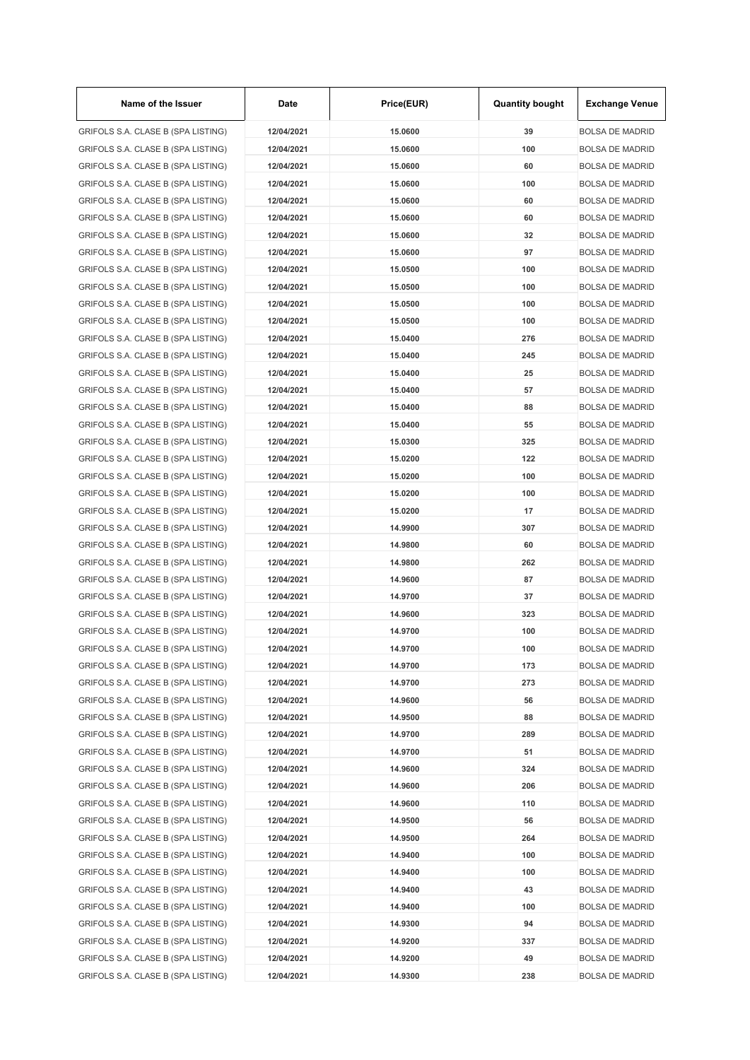| Name of the Issuer                 | Date       | Price(EUR) | <b>Quantity bought</b> | <b>Exchange Venue</b>                            |
|------------------------------------|------------|------------|------------------------|--------------------------------------------------|
| GRIFOLS S.A. CLASE B (SPA LISTING) | 12/04/2021 | 15.0600    | 39                     | <b>BOLSA DE MADRID</b>                           |
| GRIFOLS S.A. CLASE B (SPA LISTING) | 12/04/2021 | 15.0600    | 100                    | <b>BOLSA DE MADRID</b>                           |
| GRIFOLS S.A. CLASE B (SPA LISTING) | 12/04/2021 | 15.0600    | 60                     | <b>BOLSA DE MADRID</b>                           |
| GRIFOLS S.A. CLASE B (SPA LISTING) | 12/04/2021 | 15.0600    | 100                    | <b>BOLSA DE MADRID</b>                           |
| GRIFOLS S.A. CLASE B (SPA LISTING) | 12/04/2021 | 15.0600    | 60                     | <b>BOLSA DE MADRID</b>                           |
| GRIFOLS S.A. CLASE B (SPA LISTING) | 12/04/2021 | 15.0600    | 60                     | <b>BOLSA DE MADRID</b>                           |
| GRIFOLS S.A. CLASE B (SPA LISTING) | 12/04/2021 | 15.0600    | 32                     | <b>BOLSA DE MADRID</b>                           |
| GRIFOLS S.A. CLASE B (SPA LISTING) | 12/04/2021 | 15.0600    | 97                     | <b>BOLSA DE MADRID</b>                           |
| GRIFOLS S.A. CLASE B (SPA LISTING) | 12/04/2021 | 15.0500    | 100                    | <b>BOLSA DE MADRID</b>                           |
| GRIFOLS S.A. CLASE B (SPA LISTING) | 12/04/2021 | 15.0500    | 100                    | <b>BOLSA DE MADRID</b>                           |
| GRIFOLS S.A. CLASE B (SPA LISTING) | 12/04/2021 | 15.0500    | 100                    | <b>BOLSA DE MADRID</b>                           |
| GRIFOLS S.A. CLASE B (SPA LISTING) | 12/04/2021 | 15.0500    | 100                    | <b>BOLSA DE MADRID</b>                           |
| GRIFOLS S.A. CLASE B (SPA LISTING) | 12/04/2021 | 15.0400    | 276                    | <b>BOLSA DE MADRID</b>                           |
| GRIFOLS S.A. CLASE B (SPA LISTING) | 12/04/2021 | 15.0400    | 245                    | <b>BOLSA DE MADRID</b>                           |
| GRIFOLS S.A. CLASE B (SPA LISTING) | 12/04/2021 | 15.0400    | 25                     | <b>BOLSA DE MADRID</b>                           |
| GRIFOLS S.A. CLASE B (SPA LISTING) | 12/04/2021 | 15.0400    | 57                     | <b>BOLSA DE MADRID</b>                           |
| GRIFOLS S.A. CLASE B (SPA LISTING) | 12/04/2021 | 15.0400    | 88                     | <b>BOLSA DE MADRID</b>                           |
| GRIFOLS S.A. CLASE B (SPA LISTING) | 12/04/2021 | 15.0400    | 55                     | <b>BOLSA DE MADRID</b>                           |
| GRIFOLS S.A. CLASE B (SPA LISTING) | 12/04/2021 | 15.0300    | 325                    | <b>BOLSA DE MADRID</b>                           |
| GRIFOLS S.A. CLASE B (SPA LISTING) | 12/04/2021 | 15.0200    | 122                    | <b>BOLSA DE MADRID</b>                           |
| GRIFOLS S.A. CLASE B (SPA LISTING) | 12/04/2021 | 15.0200    | 100                    | <b>BOLSA DE MADRID</b>                           |
| GRIFOLS S.A. CLASE B (SPA LISTING) | 12/04/2021 | 15.0200    | 100                    | <b>BOLSA DE MADRID</b>                           |
| GRIFOLS S.A. CLASE B (SPA LISTING) | 12/04/2021 | 15.0200    | 17                     | <b>BOLSA DE MADRID</b>                           |
| GRIFOLS S.A. CLASE B (SPA LISTING) | 12/04/2021 | 14.9900    | 307                    | <b>BOLSA DE MADRID</b>                           |
| GRIFOLS S.A. CLASE B (SPA LISTING) | 12/04/2021 | 14.9800    | 60                     | <b>BOLSA DE MADRID</b>                           |
|                                    | 12/04/2021 | 14.9800    | 262                    | <b>BOLSA DE MADRID</b>                           |
| GRIFOLS S.A. CLASE B (SPA LISTING) |            | 14.9600    |                        |                                                  |
| GRIFOLS S.A. CLASE B (SPA LISTING) | 12/04/2021 |            | 87                     | <b>BOLSA DE MADRID</b><br><b>BOLSA DE MADRID</b> |
| GRIFOLS S.A. CLASE B (SPA LISTING) | 12/04/2021 | 14.9700    | 37                     |                                                  |
| GRIFOLS S.A. CLASE B (SPA LISTING) | 12/04/2021 | 14.9600    | 323                    | <b>BOLSA DE MADRID</b>                           |
| GRIFOLS S.A. CLASE B (SPA LISTING) | 12/04/2021 | 14.9700    | 100                    | <b>BOLSA DE MADRID</b>                           |
| GRIFOLS S.A. CLASE B (SPA LISTING) | 12/04/2021 | 14.9700    | 100                    | <b>BOLSA DE MADRID</b>                           |
| GRIFOLS S.A. CLASE B (SPA LISTING) | 12/04/2021 | 14.9700    | 173                    | <b>BOLSA DE MADRID</b>                           |
| GRIFOLS S.A. CLASE B (SPA LISTING) | 12/04/2021 | 14.9700    | 273                    | <b>BOLSA DE MADRID</b>                           |
| GRIFOLS S.A. CLASE B (SPA LISTING) | 12/04/2021 | 14.9600    | 56                     | <b>BOLSA DE MADRID</b>                           |
| GRIFOLS S.A. CLASE B (SPA LISTING) | 12/04/2021 | 14.9500    | 88                     | <b>BOLSA DE MADRID</b>                           |
| GRIFOLS S.A. CLASE B (SPA LISTING) | 12/04/2021 | 14.9700    | 289                    | <b>BOLSA DE MADRID</b>                           |
| GRIFOLS S.A. CLASE B (SPA LISTING) | 12/04/2021 | 14.9700    | 51                     | <b>BOLSA DE MADRID</b>                           |
| GRIFOLS S.A. CLASE B (SPA LISTING) | 12/04/2021 | 14.9600    | 324                    | <b>BOLSA DE MADRID</b>                           |
| GRIFOLS S.A. CLASE B (SPA LISTING) | 12/04/2021 | 14.9600    | 206                    | <b>BOLSA DE MADRID</b>                           |
| GRIFOLS S.A. CLASE B (SPA LISTING) | 12/04/2021 | 14.9600    | 110                    | <b>BOLSA DE MADRID</b>                           |
| GRIFOLS S.A. CLASE B (SPA LISTING) | 12/04/2021 | 14.9500    | 56                     | <b>BOLSA DE MADRID</b>                           |
| GRIFOLS S.A. CLASE B (SPA LISTING) | 12/04/2021 | 14.9500    | 264                    | <b>BOLSA DE MADRID</b>                           |
| GRIFOLS S.A. CLASE B (SPA LISTING) | 12/04/2021 | 14.9400    | 100                    | <b>BOLSA DE MADRID</b>                           |
| GRIFOLS S.A. CLASE B (SPA LISTING) | 12/04/2021 | 14.9400    | 100                    | <b>BOLSA DE MADRID</b>                           |
| GRIFOLS S.A. CLASE B (SPA LISTING) | 12/04/2021 | 14.9400    | 43                     | <b>BOLSA DE MADRID</b>                           |
| GRIFOLS S.A. CLASE B (SPA LISTING) | 12/04/2021 | 14.9400    | 100                    | <b>BOLSA DE MADRID</b>                           |
| GRIFOLS S.A. CLASE B (SPA LISTING) | 12/04/2021 | 14.9300    | 94                     | <b>BOLSA DE MADRID</b>                           |
| GRIFOLS S.A. CLASE B (SPA LISTING) | 12/04/2021 | 14.9200    | 337                    | <b>BOLSA DE MADRID</b>                           |
| GRIFOLS S.A. CLASE B (SPA LISTING) | 12/04/2021 | 14.9200    | 49                     | <b>BOLSA DE MADRID</b>                           |
| GRIFOLS S.A. CLASE B (SPA LISTING) | 12/04/2021 | 14.9300    | 238                    | <b>BOLSA DE MADRID</b>                           |